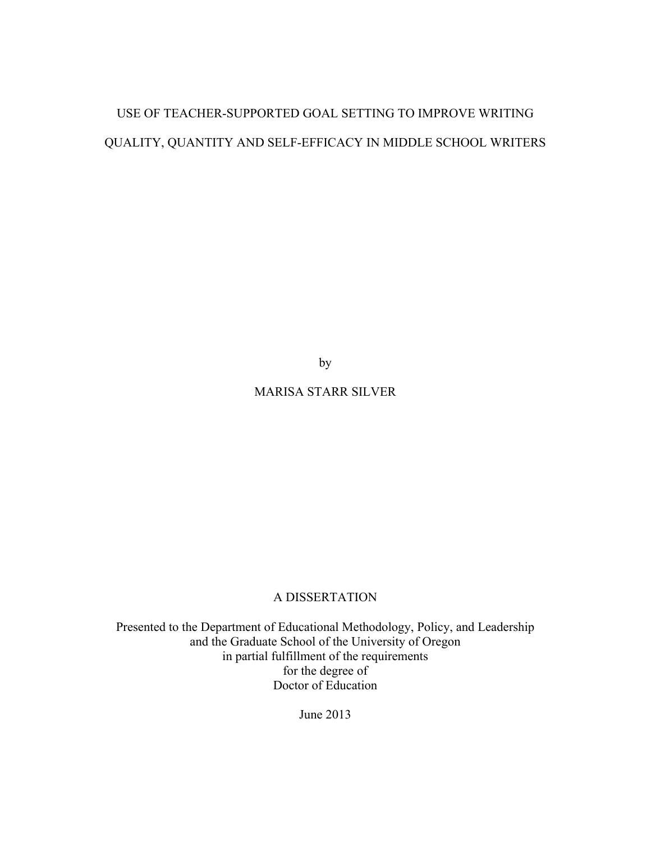# USE OF TEACHER-SUPPORTED GOAL SETTING TO IMPROVE WRITING QUALITY, QUANTITY AND SELF-EFFICACY IN MIDDLE SCHOOL WRITERS

by

# MARISA STARR SILVER

# A DISSERTATION

Presented to the Department of Educational Methodology, Policy, and Leadership and the Graduate School of the University of Oregon in partial fulfillment of the requirements for the degree of Doctor of Education

June 2013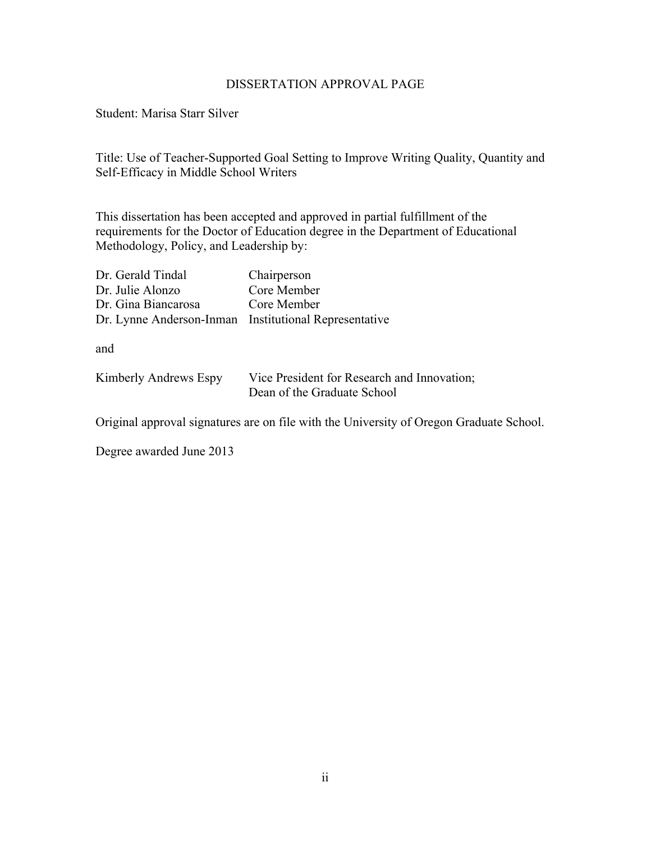#### DISSERTATION APPROVAL PAGE

Student: Marisa Starr Silver

Title: Use of Teacher-Supported Goal Setting to Improve Writing Quality, Quantity and Self-Efficacy in Middle School Writers

This dissertation has been accepted and approved in partial fulfillment of the requirements for the Doctor of Education degree in the Department of Educational Methodology, Policy, and Leadership by:

| Dr. Gerald Tindal                                     | Chairperson |
|-------------------------------------------------------|-------------|
| Dr. Julie Alonzo                                      | Core Member |
| Dr. Gina Biancarosa                                   | Core Member |
| Dr. Lynne Anderson-Inman Institutional Representative |             |

and

| Kimberly Andrews Espy | Vice President for Research and Innovation; |
|-----------------------|---------------------------------------------|
|                       | Dean of the Graduate School                 |

Original approval signatures are on file with the University of Oregon Graduate School.

Degree awarded June 2013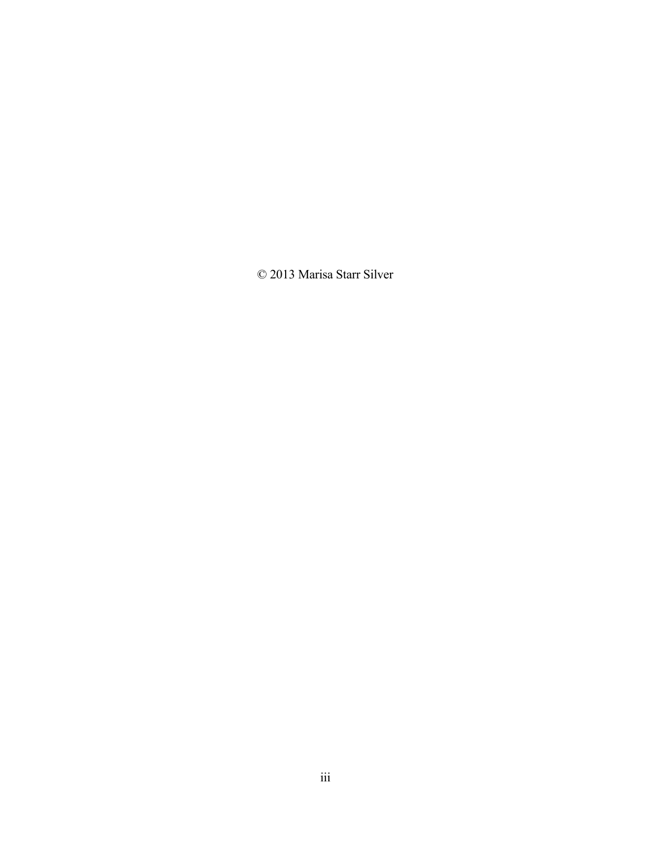© 2013 Marisa Starr Silver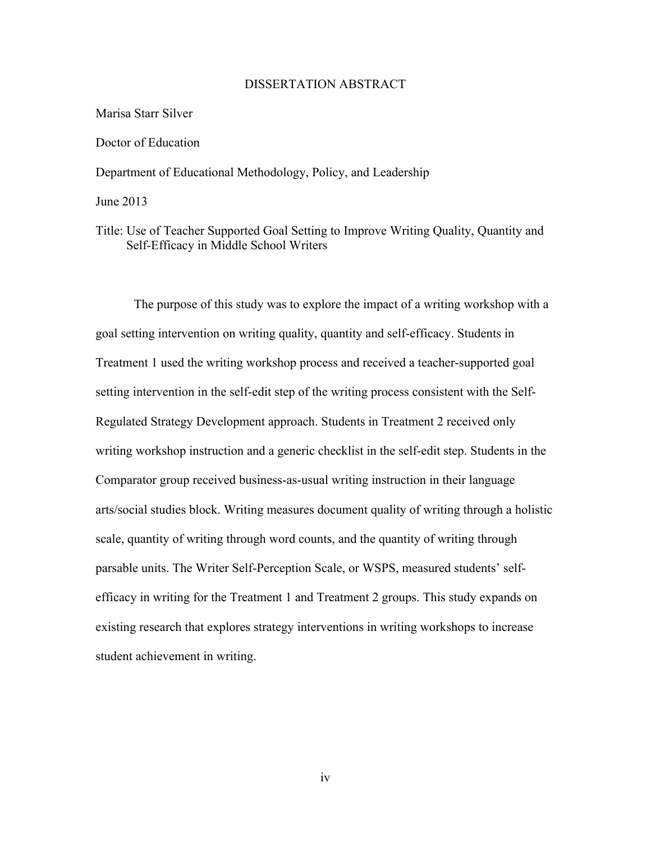#### DISSERTATION ABSTRACT

#### Marisa Starr Silver

#### Doctor of Education

Department of Educational Methodology, Policy, and Leadership

June 2013

Title: Use of Teacher Supported Goal Setting to Improve Writing Quality, Quantity and Self-Efficacy in Middle School Writers

The purpose of this study was to explore the impact of a writing workshop with a goal setting intervention on writing quality, quantity and self-efficacy. Students in Treatment 1 used the writing workshop process and received a teacher-supported goal setting intervention in the self-edit step of the writing process consistent with the Self-Regulated Strategy Development approach. Students in Treatment 2 received only writing workshop instruction and a generic checklist in the self-edit step. Students in the Comparator group received business-as-usual writing instruction in their language arts/social studies block. Writing measures document quality of writing through a holistic scale, quantity of writing through word counts, and the quantity of writing through parsable units. The Writer Self-Perception Scale, or WSPS, measured students' selfefficacy in writing for the Treatment 1 and Treatment 2 groups. This study expands on existing research that explores strategy interventions in writing workshops to increase student achievement in writing.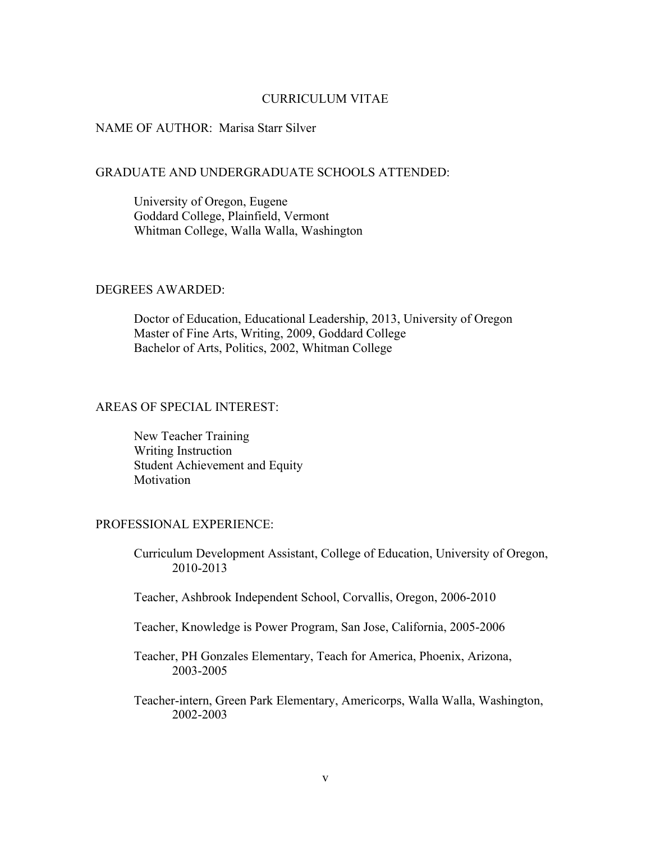#### CURRICULUM VITAE

#### NAME OF AUTHOR: Marisa Starr Silver

#### GRADUATE AND UNDERGRADUATE SCHOOLS ATTENDED:

University of Oregon, Eugene Goddard College, Plainfield, Vermont Whitman College, Walla Walla, Washington

#### DEGREES AWARDED:

Doctor of Education, Educational Leadership, 2013, University of Oregon Master of Fine Arts, Writing, 2009, Goddard College Bachelor of Arts, Politics, 2002, Whitman College

#### AREAS OF SPECIAL INTEREST:

New Teacher Training Writing Instruction Student Achievement and Equity Motivation

#### PROFESSIONAL EXPERIENCE:

Curriculum Development Assistant, College of Education, University of Oregon, 2010-2013

- Teacher, Ashbrook Independent School, Corvallis, Oregon, 2006-2010
- Teacher, Knowledge is Power Program, San Jose, California, 2005-2006

Teacher, PH Gonzales Elementary, Teach for America, Phoenix, Arizona, 2003-2005

Teacher-intern, Green Park Elementary, Americorps, Walla Walla, Washington, 2002-2003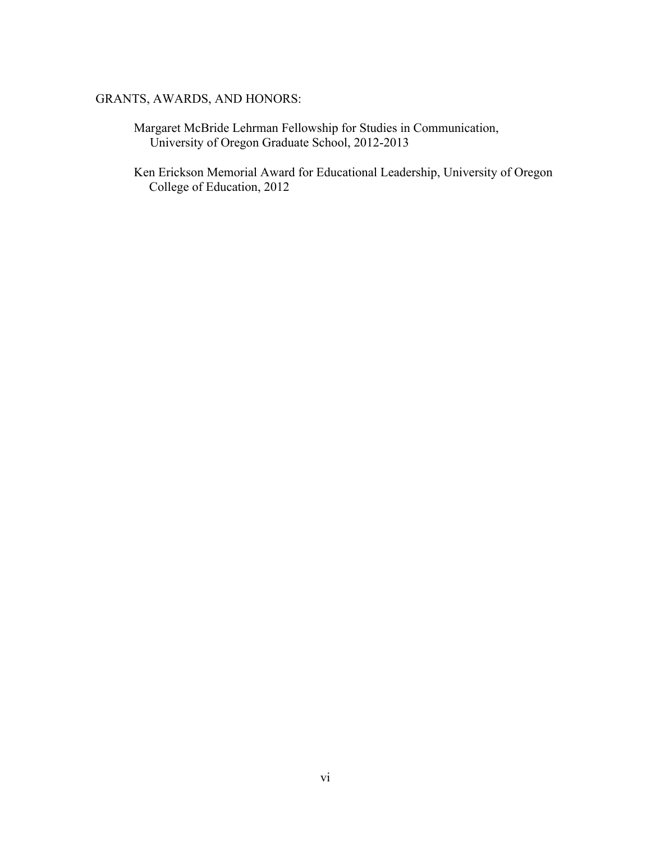## GRANTS, AWARDS, AND HONORS:

- Margaret McBride Lehrman Fellowship for Studies in Communication, University of Oregon Graduate School, 2012-2013
- Ken Erickson Memorial Award for Educational Leadership, University of Oregon College of Education, 2012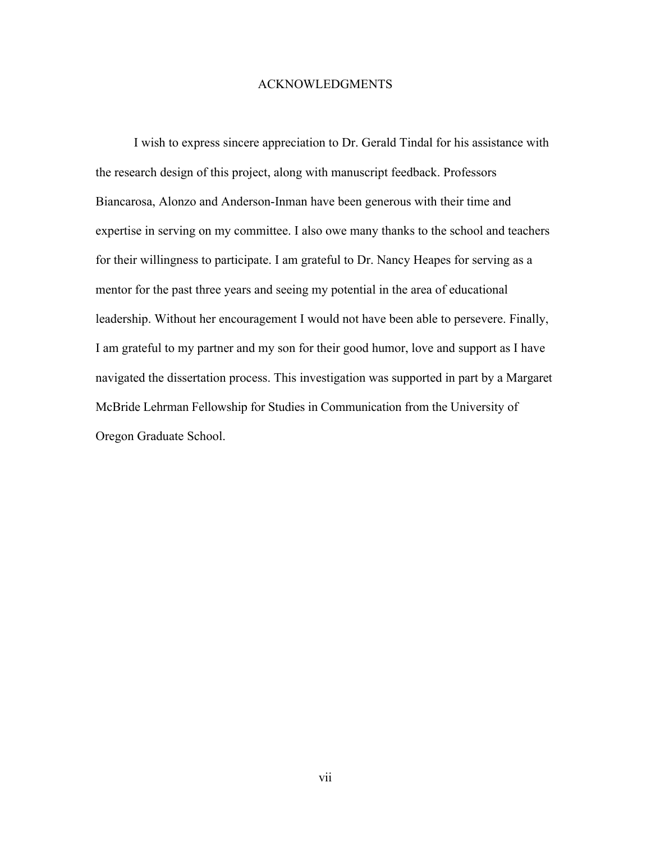#### ACKNOWLEDGMENTS

I wish to express sincere appreciation to Dr. Gerald Tindal for his assistance with the research design of this project, along with manuscript feedback. Professors Biancarosa, Alonzo and Anderson-Inman have been generous with their time and expertise in serving on my committee. I also owe many thanks to the school and teachers for their willingness to participate. I am grateful to Dr. Nancy Heapes for serving as a mentor for the past three years and seeing my potential in the area of educational leadership. Without her encouragement I would not have been able to persevere. Finally, I am grateful to my partner and my son for their good humor, love and support as I have navigated the dissertation process. This investigation was supported in part by a Margaret McBride Lehrman Fellowship for Studies in Communication from the University of Oregon Graduate School.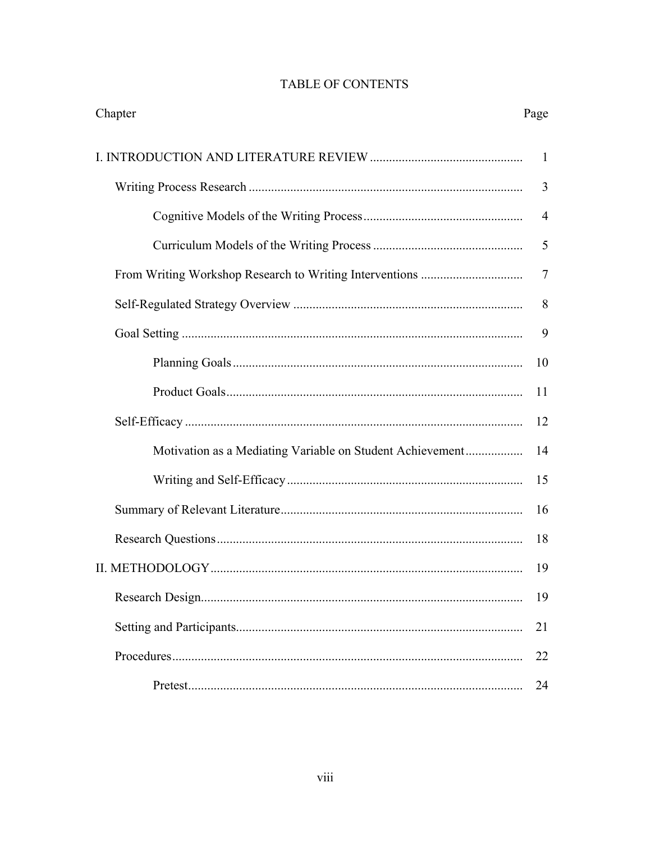# TABLE OF CONTENTS

| Chapter                                                   | Page           |
|-----------------------------------------------------------|----------------|
|                                                           | -1             |
|                                                           | 3              |
|                                                           | $\overline{4}$ |
|                                                           | 5              |
|                                                           | $\overline{7}$ |
|                                                           | 8              |
|                                                           | 9              |
|                                                           | 10             |
|                                                           | 11             |
|                                                           | 12             |
| Motivation as a Mediating Variable on Student Achievement | 14             |
|                                                           | 15             |
|                                                           | 16             |
|                                                           | 18             |
|                                                           | 19             |
|                                                           | 19             |
|                                                           | 21             |
|                                                           | 22             |
|                                                           | 24             |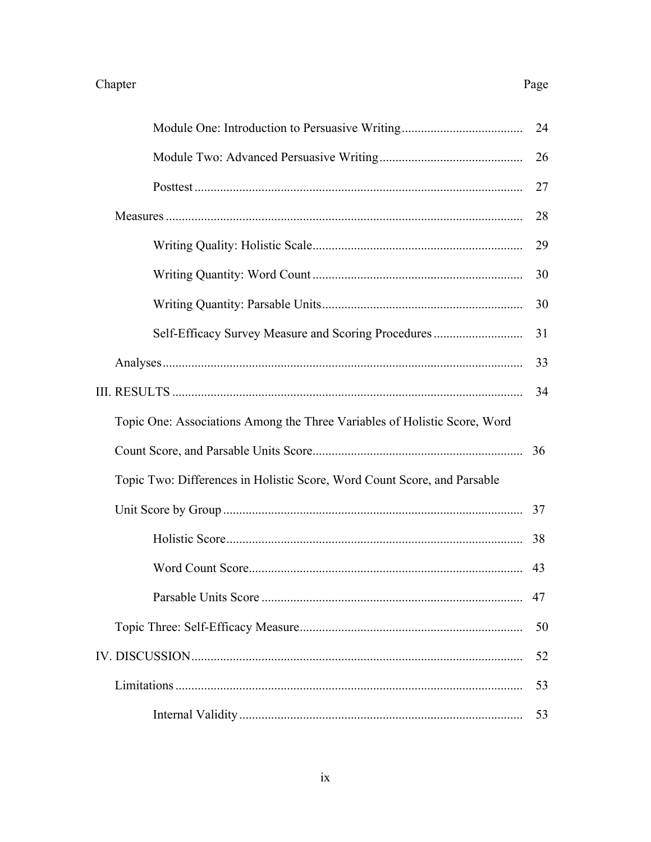|                                                                           | 24 |
|---------------------------------------------------------------------------|----|
|                                                                           | 26 |
|                                                                           | 27 |
|                                                                           | 28 |
|                                                                           | 29 |
|                                                                           | 30 |
|                                                                           | 30 |
| Self-Efficacy Survey Measure and Scoring Procedures                       | 31 |
|                                                                           | 33 |
|                                                                           | 34 |
| Topic One: Associations Among the Three Variables of Holistic Score, Word |    |
|                                                                           | 36 |
| Topic Two: Differences in Holistic Score, Word Count Score, and Parsable  |    |
|                                                                           | 37 |
|                                                                           | 38 |
|                                                                           | 43 |
|                                                                           | 47 |
|                                                                           | 50 |
|                                                                           | 52 |
|                                                                           | 53 |
|                                                                           | 53 |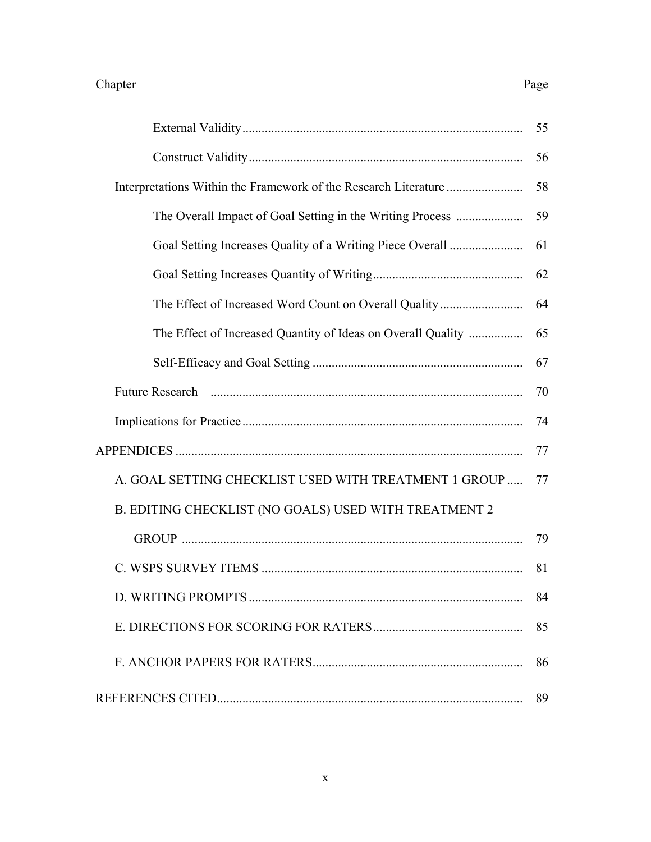|                                                                                                                                                                                                                                      | 55 |
|--------------------------------------------------------------------------------------------------------------------------------------------------------------------------------------------------------------------------------------|----|
|                                                                                                                                                                                                                                      | 56 |
|                                                                                                                                                                                                                                      | 58 |
| The Overall Impact of Goal Setting in the Writing Process                                                                                                                                                                            | 59 |
| Goal Setting Increases Quality of a Writing Piece Overall                                                                                                                                                                            | 61 |
|                                                                                                                                                                                                                                      | 62 |
| The Effect of Increased Word Count on Overall Quality                                                                                                                                                                                | 64 |
| The Effect of Increased Quantity of Ideas on Overall Quality                                                                                                                                                                         | 65 |
|                                                                                                                                                                                                                                      | 67 |
| Future Research <b>continuum continuum continuum continuum continuum continuum continuum continuum continuum continuum continuum continuum continuum continuum continuum continuum continuum continuum continuum continuum conti</b> | 70 |
|                                                                                                                                                                                                                                      | 74 |
|                                                                                                                                                                                                                                      | 77 |
| A. GOAL SETTING CHECKLIST USED WITH TREATMENT 1 GROUP                                                                                                                                                                                | 77 |
| B. EDITING CHECKLIST (NO GOALS) USED WITH TREATMENT 2                                                                                                                                                                                |    |
|                                                                                                                                                                                                                                      | 79 |
|                                                                                                                                                                                                                                      | 81 |
|                                                                                                                                                                                                                                      | 84 |
|                                                                                                                                                                                                                                      | 85 |
|                                                                                                                                                                                                                                      | 86 |
|                                                                                                                                                                                                                                      | 89 |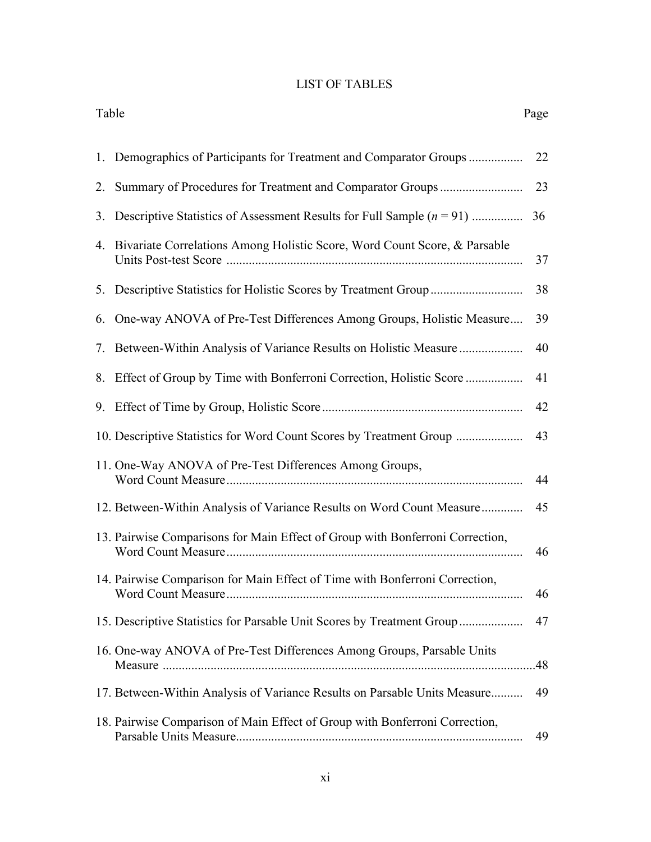# LIST OF TABLES

| Table |                                                                               | Page |
|-------|-------------------------------------------------------------------------------|------|
|       |                                                                               | 22   |
|       |                                                                               | 23   |
|       | 3. Descriptive Statistics of Assessment Results for Full Sample $(n = 91)$    | 36   |
|       | 4. Bivariate Correlations Among Holistic Score, Word Count Score, & Parsable  | 37   |
|       | 5. Descriptive Statistics for Holistic Scores by Treatment Group              | 38   |
| 6.    | One-way ANOVA of Pre-Test Differences Among Groups, Holistic Measure          | 39   |
|       | 7. Between-Within Analysis of Variance Results on Holistic Measure            | 40   |
|       |                                                                               | 41   |
|       |                                                                               | 42   |
|       | 10. Descriptive Statistics for Word Count Scores by Treatment Group           | 43   |
|       | 11. One-Way ANOVA of Pre-Test Differences Among Groups,                       | 44   |
|       | 12. Between-Within Analysis of Variance Results on Word Count Measure         | 45   |
|       | 13. Pairwise Comparisons for Main Effect of Group with Bonferroni Correction, | 46   |
|       | 14. Pairwise Comparison for Main Effect of Time with Bonferroni Correction,   | 46   |
|       | 15. Descriptive Statistics for Parsable Unit Scores by Treatment Group        | 47   |
|       | 16. One-way ANOVA of Pre-Test Differences Among Groups, Parsable Units        |      |
|       | 17. Between-Within Analysis of Variance Results on Parsable Units Measure     | 49   |
|       | 18. Pairwise Comparison of Main Effect of Group with Bonferroni Correction,   | 49   |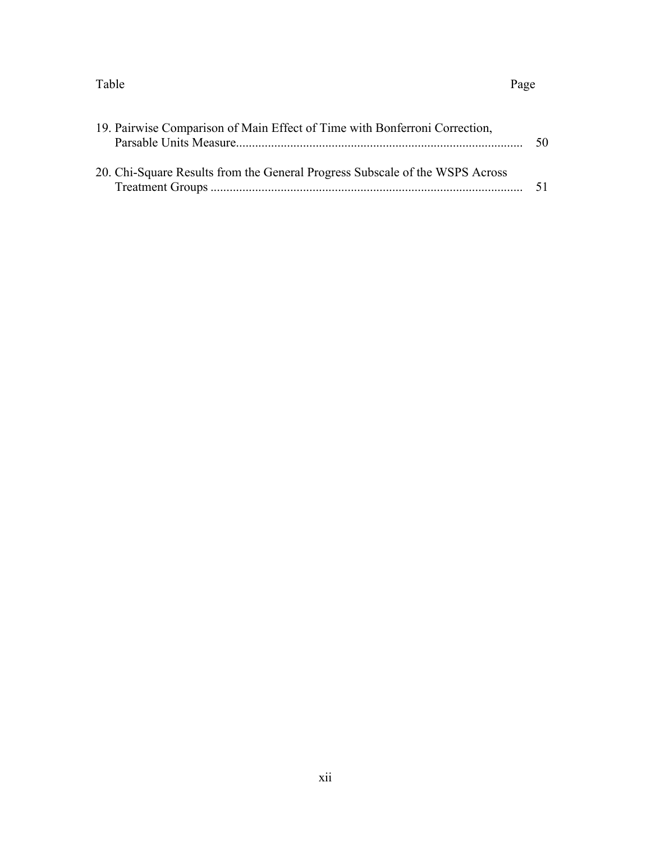#### Table Page

| 19. Pairwise Comparison of Main Effect of Time with Bonferroni Correction,   | 50  |
|------------------------------------------------------------------------------|-----|
| 20. Chi-Square Results from the General Progress Subscale of the WSPS Across | -51 |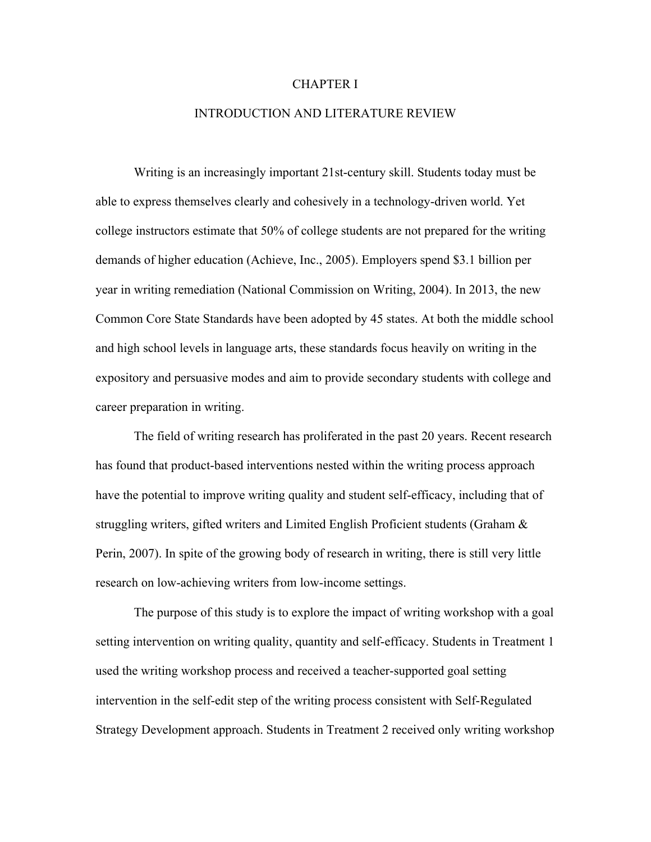#### CHAPTER I

#### INTRODUCTION AND LITERATURE REVIEW

Writing is an increasingly important 21st-century skill. Students today must be able to express themselves clearly and cohesively in a technology-driven world. Yet college instructors estimate that 50% of college students are not prepared for the writing demands of higher education (Achieve, Inc., 2005). Employers spend \$3.1 billion per year in writing remediation (National Commission on Writing, 2004). In 2013, the new Common Core State Standards have been adopted by 45 states. At both the middle school and high school levels in language arts, these standards focus heavily on writing in the expository and persuasive modes and aim to provide secondary students with college and career preparation in writing.

The field of writing research has proliferated in the past 20 years. Recent research has found that product-based interventions nested within the writing process approach have the potential to improve writing quality and student self-efficacy, including that of struggling writers, gifted writers and Limited English Proficient students (Graham  $\&$ Perin, 2007). In spite of the growing body of research in writing, there is still very little research on low-achieving writers from low-income settings.

The purpose of this study is to explore the impact of writing workshop with a goal setting intervention on writing quality, quantity and self-efficacy. Students in Treatment 1 used the writing workshop process and received a teacher-supported goal setting intervention in the self-edit step of the writing process consistent with Self-Regulated Strategy Development approach. Students in Treatment 2 received only writing workshop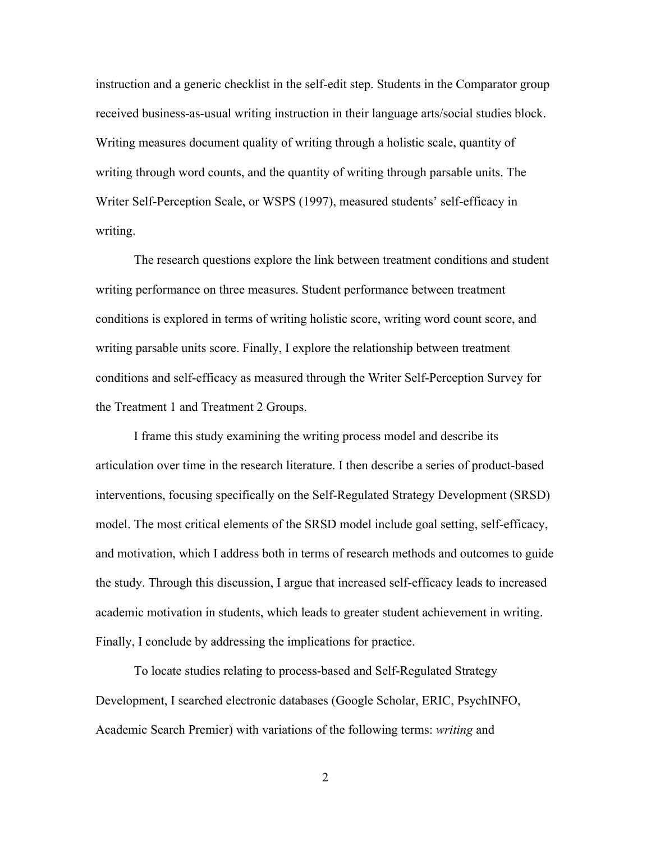instruction and a generic checklist in the self-edit step. Students in the Comparator group received business-as-usual writing instruction in their language arts/social studies block. Writing measures document quality of writing through a holistic scale, quantity of writing through word counts, and the quantity of writing through parsable units. The Writer Self-Perception Scale, or WSPS (1997), measured students' self-efficacy in writing.

The research questions explore the link between treatment conditions and student writing performance on three measures. Student performance between treatment conditions is explored in terms of writing holistic score, writing word count score, and writing parsable units score. Finally, I explore the relationship between treatment conditions and self-efficacy as measured through the Writer Self-Perception Survey for the Treatment 1 and Treatment 2 Groups.

I frame this study examining the writing process model and describe its articulation over time in the research literature. I then describe a series of product-based interventions, focusing specifically on the Self-Regulated Strategy Development (SRSD) model. The most critical elements of the SRSD model include goal setting, self-efficacy, and motivation, which I address both in terms of research methods and outcomes to guide the study. Through this discussion, I argue that increased self-efficacy leads to increased academic motivation in students, which leads to greater student achievement in writing. Finally, I conclude by addressing the implications for practice.

To locate studies relating to process-based and Self-Regulated Strategy Development, I searched electronic databases (Google Scholar, ERIC, PsychINFO, Academic Search Premier) with variations of the following terms: *writing* and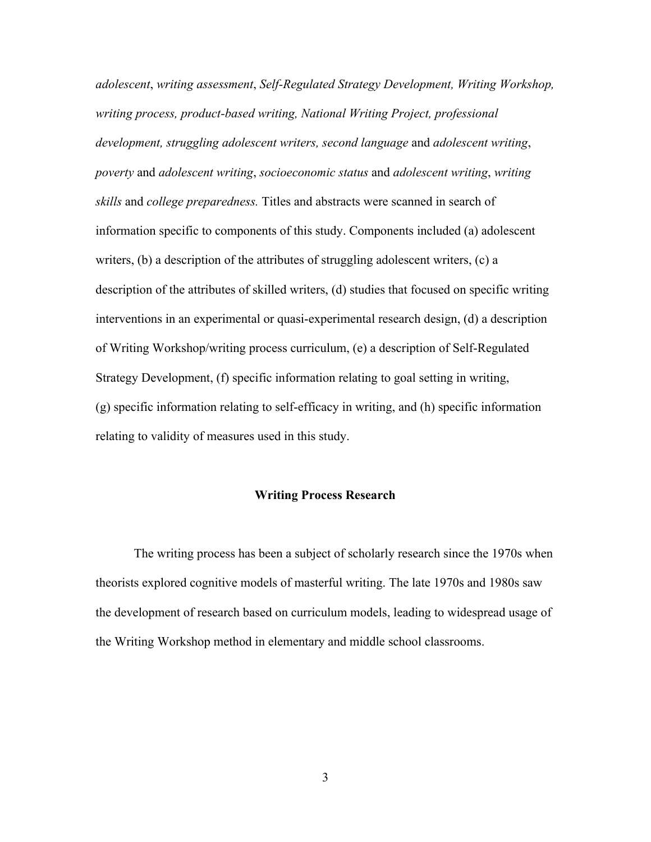*adolescent*, *writing assessment*, *Self-Regulated Strategy Development, Writing Workshop, writing process, product-based writing, National Writing Project, professional development, struggling adolescent writers, second language* and *adolescent writing*, *poverty* and *adolescent writing*, *socioeconomic status* and *adolescent writing*, *writing skills* and *college preparedness.* Titles and abstracts were scanned in search of information specific to components of this study. Components included (a) adolescent writers, (b) a description of the attributes of struggling adolescent writers, (c) a description of the attributes of skilled writers, (d) studies that focused on specific writing interventions in an experimental or quasi-experimental research design, (d) a description of Writing Workshop/writing process curriculum, (e) a description of Self-Regulated Strategy Development, (f) specific information relating to goal setting in writing, (g) specific information relating to self-efficacy in writing, and (h) specific information relating to validity of measures used in this study.

#### **Writing Process Research**

The writing process has been a subject of scholarly research since the 1970s when theorists explored cognitive models of masterful writing. The late 1970s and 1980s saw the development of research based on curriculum models, leading to widespread usage of the Writing Workshop method in elementary and middle school classrooms.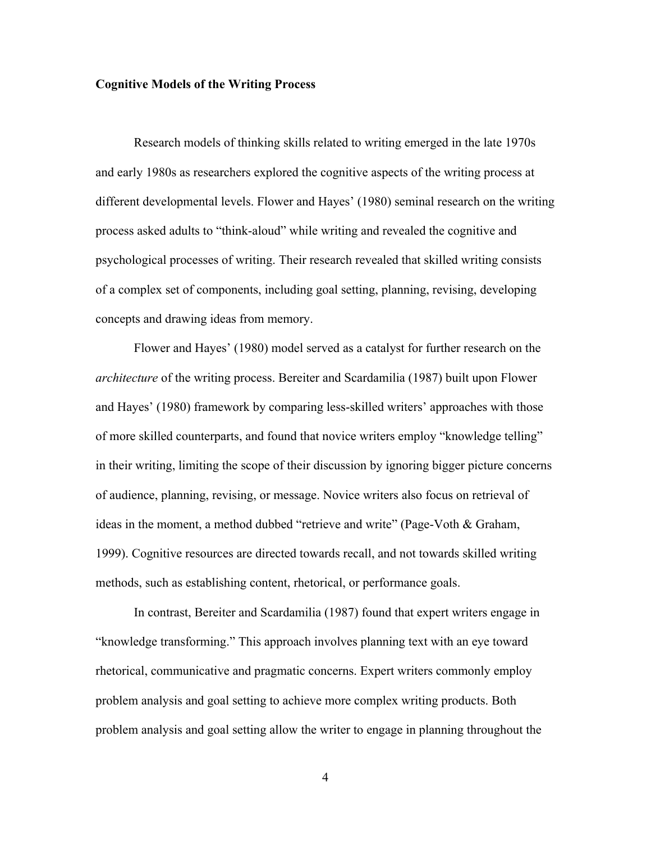#### **Cognitive Models of the Writing Process**

Research models of thinking skills related to writing emerged in the late 1970s and early 1980s as researchers explored the cognitive aspects of the writing process at different developmental levels. Flower and Hayes' (1980) seminal research on the writing process asked adults to "think-aloud" while writing and revealed the cognitive and psychological processes of writing. Their research revealed that skilled writing consists of a complex set of components, including goal setting, planning, revising, developing concepts and drawing ideas from memory.

Flower and Hayes' (1980) model served as a catalyst for further research on the *architecture* of the writing process. Bereiter and Scardamilia (1987) built upon Flower and Hayes' (1980) framework by comparing less-skilled writers' approaches with those of more skilled counterparts, and found that novice writers employ "knowledge telling" in their writing, limiting the scope of their discussion by ignoring bigger picture concerns of audience, planning, revising, or message. Novice writers also focus on retrieval of ideas in the moment, a method dubbed "retrieve and write" (Page-Voth & Graham, 1999). Cognitive resources are directed towards recall, and not towards skilled writing methods, such as establishing content, rhetorical, or performance goals.

In contrast, Bereiter and Scardamilia (1987) found that expert writers engage in "knowledge transforming." This approach involves planning text with an eye toward rhetorical, communicative and pragmatic concerns. Expert writers commonly employ problem analysis and goal setting to achieve more complex writing products. Both problem analysis and goal setting allow the writer to engage in planning throughout the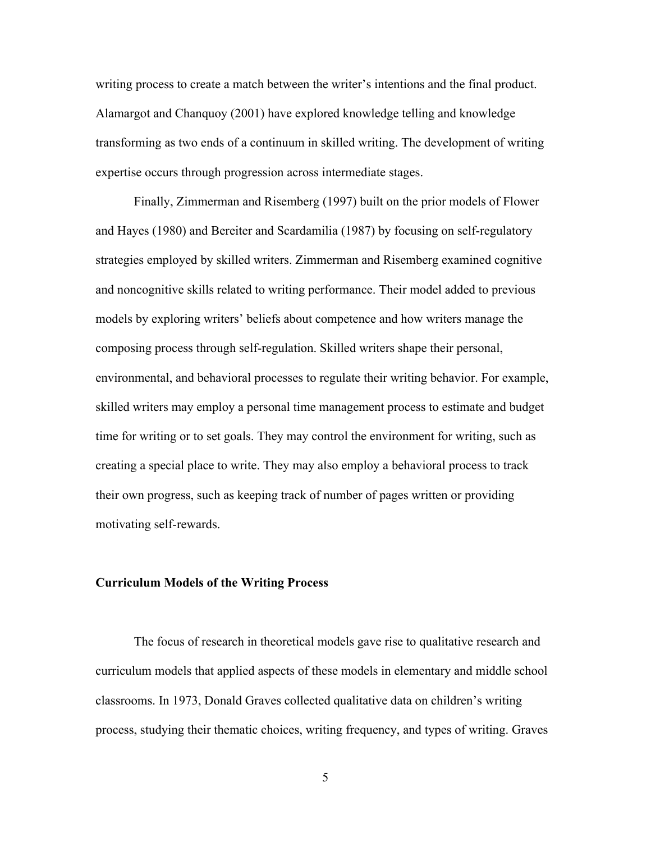writing process to create a match between the writer's intentions and the final product. Alamargot and Chanquoy (2001) have explored knowledge telling and knowledge transforming as two ends of a continuum in skilled writing. The development of writing expertise occurs through progression across intermediate stages.

Finally, Zimmerman and Risemberg (1997) built on the prior models of Flower and Hayes (1980) and Bereiter and Scardamilia (1987) by focusing on self-regulatory strategies employed by skilled writers. Zimmerman and Risemberg examined cognitive and noncognitive skills related to writing performance. Their model added to previous models by exploring writers' beliefs about competence and how writers manage the composing process through self-regulation. Skilled writers shape their personal, environmental, and behavioral processes to regulate their writing behavior. For example, skilled writers may employ a personal time management process to estimate and budget time for writing or to set goals. They may control the environment for writing, such as creating a special place to write. They may also employ a behavioral process to track their own progress, such as keeping track of number of pages written or providing motivating self-rewards.

#### **Curriculum Models of the Writing Process**

The focus of research in theoretical models gave rise to qualitative research and curriculum models that applied aspects of these models in elementary and middle school classrooms. In 1973, Donald Graves collected qualitative data on children's writing process, studying their thematic choices, writing frequency, and types of writing. Graves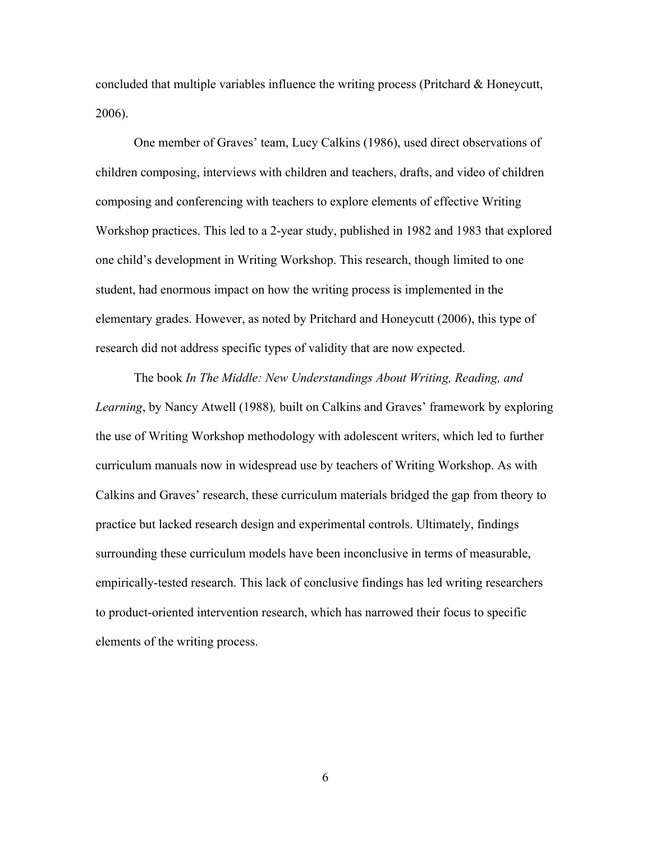concluded that multiple variables influence the writing process (Pritchard & Honeycutt, 2006).

One member of Graves' team, Lucy Calkins (1986), used direct observations of children composing, interviews with children and teachers, drafts, and video of children composing and conferencing with teachers to explore elements of effective Writing Workshop practices. This led to a 2-year study, published in 1982 and 1983 that explored one child's development in Writing Workshop. This research, though limited to one student, had enormous impact on how the writing process is implemented in the elementary grades. However, as noted by Pritchard and Honeycutt (2006), this type of research did not address specific types of validity that are now expected.

The book *In The Middle: New Understandings About Writing, Reading, and Learning*, by Nancy Atwell (1988)*,* built on Calkins and Graves' framework by exploring the use of Writing Workshop methodology with adolescent writers, which led to further curriculum manuals now in widespread use by teachers of Writing Workshop. As with Calkins and Graves' research, these curriculum materials bridged the gap from theory to practice but lacked research design and experimental controls. Ultimately, findings surrounding these curriculum models have been inconclusive in terms of measurable, empirically-tested research. This lack of conclusive findings has led writing researchers to product-oriented intervention research, which has narrowed their focus to specific elements of the writing process.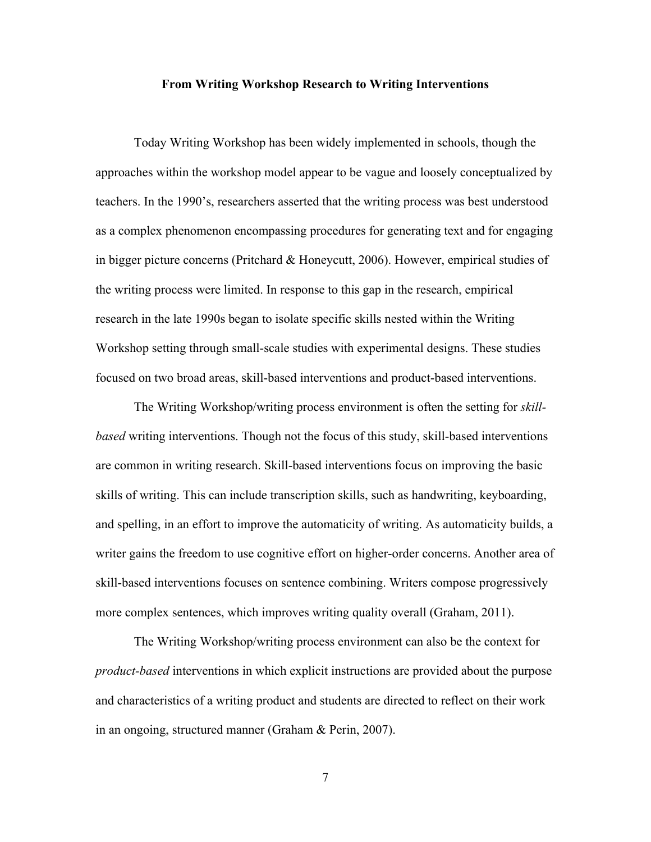#### **From Writing Workshop Research to Writing Interventions**

Today Writing Workshop has been widely implemented in schools, though the approaches within the workshop model appear to be vague and loosely conceptualized by teachers. In the 1990's, researchers asserted that the writing process was best understood as a complex phenomenon encompassing procedures for generating text and for engaging in bigger picture concerns (Pritchard & Honeycutt, 2006). However, empirical studies of the writing process were limited. In response to this gap in the research, empirical research in the late 1990s began to isolate specific skills nested within the Writing Workshop setting through small-scale studies with experimental designs. These studies focused on two broad areas, skill-based interventions and product-based interventions.

The Writing Workshop/writing process environment is often the setting for *skillbased* writing interventions. Though not the focus of this study, skill-based interventions are common in writing research. Skill-based interventions focus on improving the basic skills of writing. This can include transcription skills, such as handwriting, keyboarding, and spelling, in an effort to improve the automaticity of writing. As automaticity builds, a writer gains the freedom to use cognitive effort on higher-order concerns. Another area of skill-based interventions focuses on sentence combining. Writers compose progressively more complex sentences, which improves writing quality overall (Graham, 2011).

The Writing Workshop/writing process environment can also be the context for *product-based* interventions in which explicit instructions are provided about the purpose and characteristics of a writing product and students are directed to reflect on their work in an ongoing, structured manner (Graham & Perin, 2007).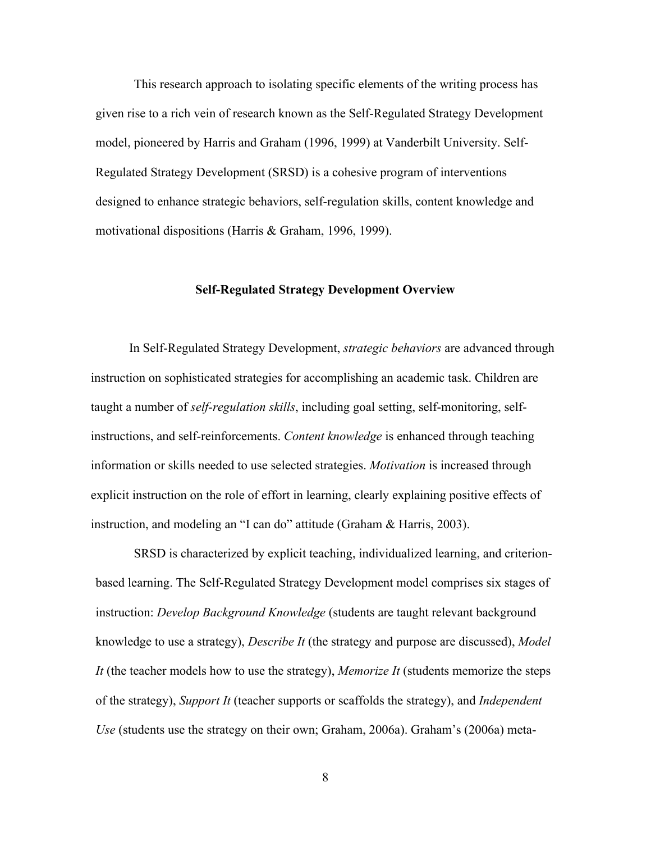This research approach to isolating specific elements of the writing process has given rise to a rich vein of research known as the Self-Regulated Strategy Development model, pioneered by Harris and Graham (1996, 1999) at Vanderbilt University. Self-Regulated Strategy Development (SRSD) is a cohesive program of interventions designed to enhance strategic behaviors, self-regulation skills, content knowledge and motivational dispositions (Harris & Graham, 1996, 1999).

#### **Self-Regulated Strategy Development Overview**

In Self-Regulated Strategy Development, *strategic behaviors* are advanced through instruction on sophisticated strategies for accomplishing an academic task. Children are taught a number of *self-regulation skills*, including goal setting, self-monitoring, selfinstructions, and self-reinforcements. *Content knowledge* is enhanced through teaching information or skills needed to use selected strategies. *Motivation* is increased through explicit instruction on the role of effort in learning, clearly explaining positive effects of instruction, and modeling an "I can do" attitude (Graham & Harris, 2003).

SRSD is characterized by explicit teaching, individualized learning, and criterionbased learning. The Self-Regulated Strategy Development model comprises six stages of instruction: *Develop Background Knowledge* (students are taught relevant background knowledge to use a strategy), *Describe It* (the strategy and purpose are discussed), *Model It* (the teacher models how to use the strategy), *Memorize It* (students memorize the steps of the strategy), *Support It* (teacher supports or scaffolds the strategy), and *Independent Use* (students use the strategy on their own; Graham, 2006a). Graham's (2006a) meta-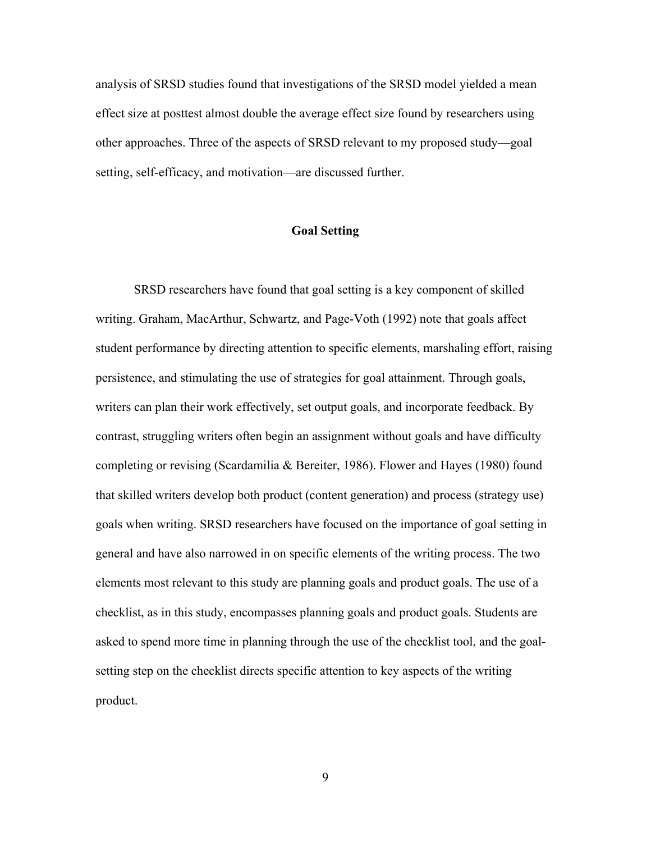analysis of SRSD studies found that investigations of the SRSD model yielded a mean effect size at posttest almost double the average effect size found by researchers using other approaches. Three of the aspects of SRSD relevant to my proposed study—goal setting, self-efficacy, and motivation—are discussed further.

#### **Goal Setting**

SRSD researchers have found that goal setting is a key component of skilled writing. Graham, MacArthur, Schwartz, and Page-Voth (1992) note that goals affect student performance by directing attention to specific elements, marshaling effort, raising persistence, and stimulating the use of strategies for goal attainment. Through goals, writers can plan their work effectively, set output goals, and incorporate feedback. By contrast, struggling writers often begin an assignment without goals and have difficulty completing or revising (Scardamilia & Bereiter, 1986). Flower and Hayes (1980) found that skilled writers develop both product (content generation) and process (strategy use) goals when writing. SRSD researchers have focused on the importance of goal setting in general and have also narrowed in on specific elements of the writing process. The two elements most relevant to this study are planning goals and product goals. The use of a checklist, as in this study, encompasses planning goals and product goals. Students are asked to spend more time in planning through the use of the checklist tool, and the goalsetting step on the checklist directs specific attention to key aspects of the writing product.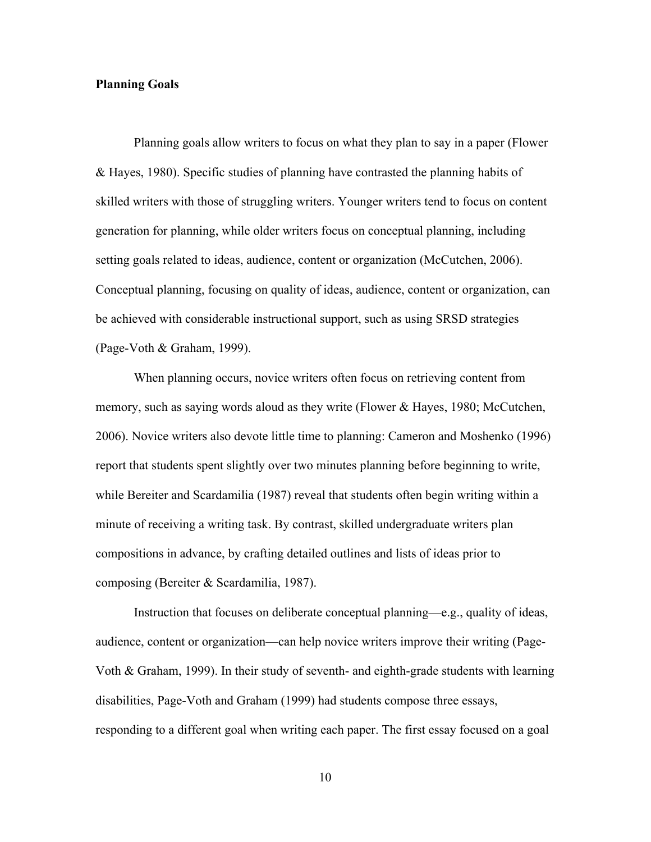#### **Planning Goals**

Planning goals allow writers to focus on what they plan to say in a paper (Flower & Hayes, 1980). Specific studies of planning have contrasted the planning habits of skilled writers with those of struggling writers. Younger writers tend to focus on content generation for planning, while older writers focus on conceptual planning, including setting goals related to ideas, audience, content or organization (McCutchen, 2006). Conceptual planning, focusing on quality of ideas, audience, content or organization, can be achieved with considerable instructional support, such as using SRSD strategies (Page-Voth & Graham, 1999).

When planning occurs, novice writers often focus on retrieving content from memory, such as saying words aloud as they write (Flower & Hayes, 1980; McCutchen, 2006). Novice writers also devote little time to planning: Cameron and Moshenko (1996) report that students spent slightly over two minutes planning before beginning to write, while Bereiter and Scardamilia (1987) reveal that students often begin writing within a minute of receiving a writing task. By contrast, skilled undergraduate writers plan compositions in advance, by crafting detailed outlines and lists of ideas prior to composing (Bereiter & Scardamilia, 1987).

Instruction that focuses on deliberate conceptual planning—e.g., quality of ideas, audience, content or organization—can help novice writers improve their writing (Page-Voth & Graham, 1999). In their study of seventh- and eighth-grade students with learning disabilities, Page-Voth and Graham (1999) had students compose three essays, responding to a different goal when writing each paper. The first essay focused on a goal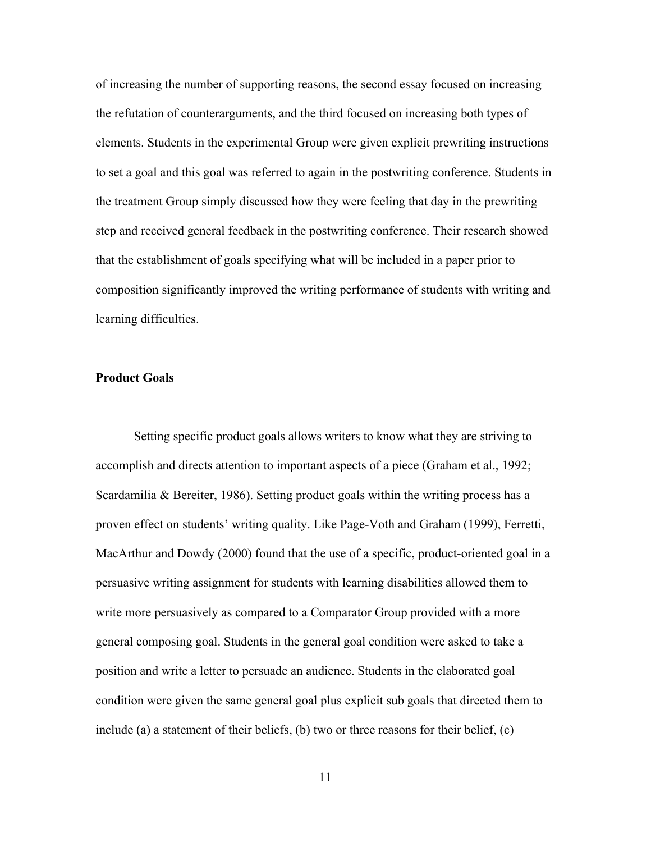of increasing the number of supporting reasons, the second essay focused on increasing the refutation of counterarguments, and the third focused on increasing both types of elements. Students in the experimental Group were given explicit prewriting instructions to set a goal and this goal was referred to again in the postwriting conference. Students in the treatment Group simply discussed how they were feeling that day in the prewriting step and received general feedback in the postwriting conference. Their research showed that the establishment of goals specifying what will be included in a paper prior to composition significantly improved the writing performance of students with writing and learning difficulties.

#### **Product Goals**

Setting specific product goals allows writers to know what they are striving to accomplish and directs attention to important aspects of a piece (Graham et al., 1992; Scardamilia & Bereiter, 1986). Setting product goals within the writing process has a proven effect on students' writing quality. Like Page-Voth and Graham (1999), Ferretti, MacArthur and Dowdy (2000) found that the use of a specific, product-oriented goal in a persuasive writing assignment for students with learning disabilities allowed them to write more persuasively as compared to a Comparator Group provided with a more general composing goal. Students in the general goal condition were asked to take a position and write a letter to persuade an audience. Students in the elaborated goal condition were given the same general goal plus explicit sub goals that directed them to include (a) a statement of their beliefs, (b) two or three reasons for their belief, (c)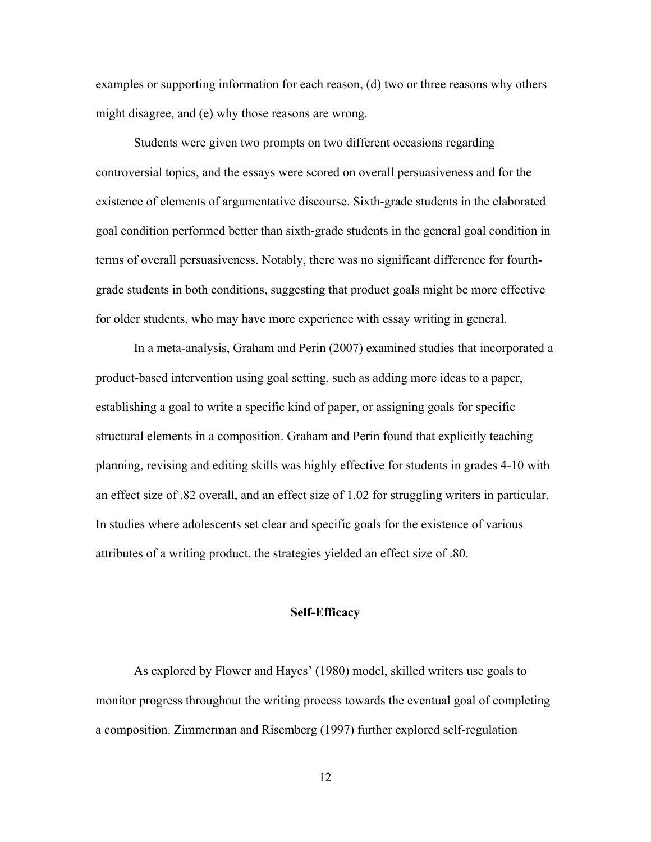examples or supporting information for each reason, (d) two or three reasons why others might disagree, and (e) why those reasons are wrong.

Students were given two prompts on two different occasions regarding controversial topics, and the essays were scored on overall persuasiveness and for the existence of elements of argumentative discourse. Sixth-grade students in the elaborated goal condition performed better than sixth-grade students in the general goal condition in terms of overall persuasiveness. Notably, there was no significant difference for fourthgrade students in both conditions, suggesting that product goals might be more effective for older students, who may have more experience with essay writing in general.

In a meta-analysis, Graham and Perin (2007) examined studies that incorporated a product-based intervention using goal setting, such as adding more ideas to a paper, establishing a goal to write a specific kind of paper, or assigning goals for specific structural elements in a composition. Graham and Perin found that explicitly teaching planning, revising and editing skills was highly effective for students in grades 4-10 with an effect size of .82 overall, and an effect size of 1.02 for struggling writers in particular. In studies where adolescents set clear and specific goals for the existence of various attributes of a writing product, the strategies yielded an effect size of .80.

#### **Self-Efficacy**

As explored by Flower and Hayes' (1980) model, skilled writers use goals to monitor progress throughout the writing process towards the eventual goal of completing a composition. Zimmerman and Risemberg (1997) further explored self-regulation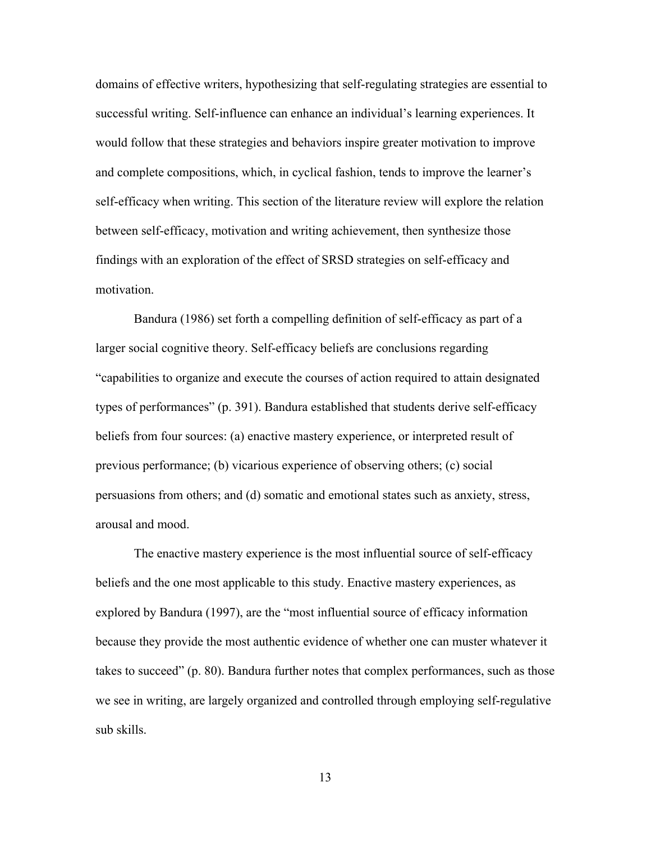domains of effective writers, hypothesizing that self-regulating strategies are essential to successful writing. Self-influence can enhance an individual's learning experiences. It would follow that these strategies and behaviors inspire greater motivation to improve and complete compositions, which, in cyclical fashion, tends to improve the learner's self-efficacy when writing. This section of the literature review will explore the relation between self-efficacy, motivation and writing achievement, then synthesize those findings with an exploration of the effect of SRSD strategies on self-efficacy and motivation.

Bandura (1986) set forth a compelling definition of self-efficacy as part of a larger social cognitive theory. Self-efficacy beliefs are conclusions regarding "capabilities to organize and execute the courses of action required to attain designated types of performances" (p. 391). Bandura established that students derive self-efficacy beliefs from four sources: (a) enactive mastery experience, or interpreted result of previous performance; (b) vicarious experience of observing others; (c) social persuasions from others; and (d) somatic and emotional states such as anxiety, stress, arousal and mood.

The enactive mastery experience is the most influential source of self-efficacy beliefs and the one most applicable to this study. Enactive mastery experiences, as explored by Bandura (1997), are the "most influential source of efficacy information because they provide the most authentic evidence of whether one can muster whatever it takes to succeed" (p. 80). Bandura further notes that complex performances, such as those we see in writing, are largely organized and controlled through employing self-regulative sub skills.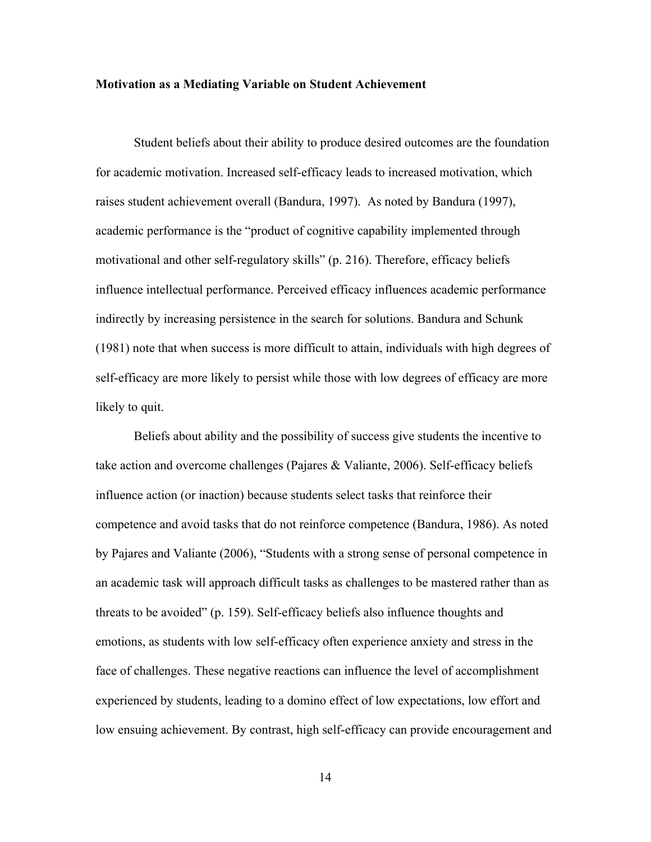#### **Motivation as a Mediating Variable on Student Achievement**

Student beliefs about their ability to produce desired outcomes are the foundation for academic motivation. Increased self-efficacy leads to increased motivation, which raises student achievement overall (Bandura, 1997). As noted by Bandura (1997), academic performance is the "product of cognitive capability implemented through motivational and other self-regulatory skills" (p. 216). Therefore, efficacy beliefs influence intellectual performance. Perceived efficacy influences academic performance indirectly by increasing persistence in the search for solutions. Bandura and Schunk (1981) note that when success is more difficult to attain, individuals with high degrees of self-efficacy are more likely to persist while those with low degrees of efficacy are more likely to quit.

Beliefs about ability and the possibility of success give students the incentive to take action and overcome challenges (Pajares & Valiante, 2006). Self-efficacy beliefs influence action (or inaction) because students select tasks that reinforce their competence and avoid tasks that do not reinforce competence (Bandura, 1986). As noted by Pajares and Valiante (2006), "Students with a strong sense of personal competence in an academic task will approach difficult tasks as challenges to be mastered rather than as threats to be avoided" (p. 159). Self-efficacy beliefs also influence thoughts and emotions, as students with low self-efficacy often experience anxiety and stress in the face of challenges. These negative reactions can influence the level of accomplishment experienced by students, leading to a domino effect of low expectations, low effort and low ensuing achievement. By contrast, high self-efficacy can provide encouragement and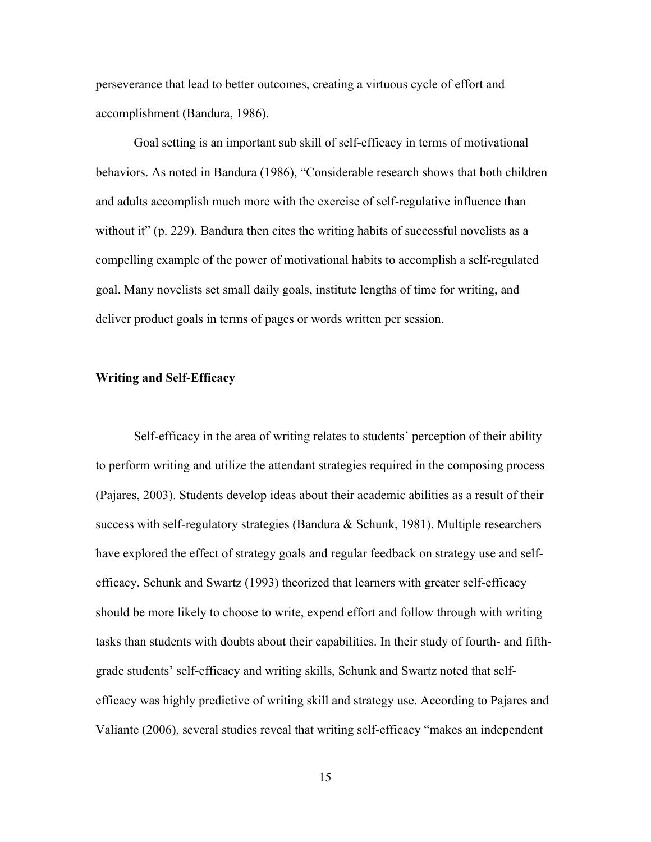perseverance that lead to better outcomes, creating a virtuous cycle of effort and accomplishment (Bandura, 1986).

Goal setting is an important sub skill of self-efficacy in terms of motivational behaviors. As noted in Bandura (1986), "Considerable research shows that both children and adults accomplish much more with the exercise of self-regulative influence than without it" (p. 229). Bandura then cites the writing habits of successful novelists as a compelling example of the power of motivational habits to accomplish a self-regulated goal. Many novelists set small daily goals, institute lengths of time for writing, and deliver product goals in terms of pages or words written per session.

#### **Writing and Self-Efficacy**

Self-efficacy in the area of writing relates to students' perception of their ability to perform writing and utilize the attendant strategies required in the composing process (Pajares, 2003). Students develop ideas about their academic abilities as a result of their success with self-regulatory strategies (Bandura & Schunk, 1981). Multiple researchers have explored the effect of strategy goals and regular feedback on strategy use and selfefficacy. Schunk and Swartz (1993) theorized that learners with greater self-efficacy should be more likely to choose to write, expend effort and follow through with writing tasks than students with doubts about their capabilities. In their study of fourth- and fifthgrade students' self-efficacy and writing skills, Schunk and Swartz noted that selfefficacy was highly predictive of writing skill and strategy use. According to Pajares and Valiante (2006), several studies reveal that writing self-efficacy "makes an independent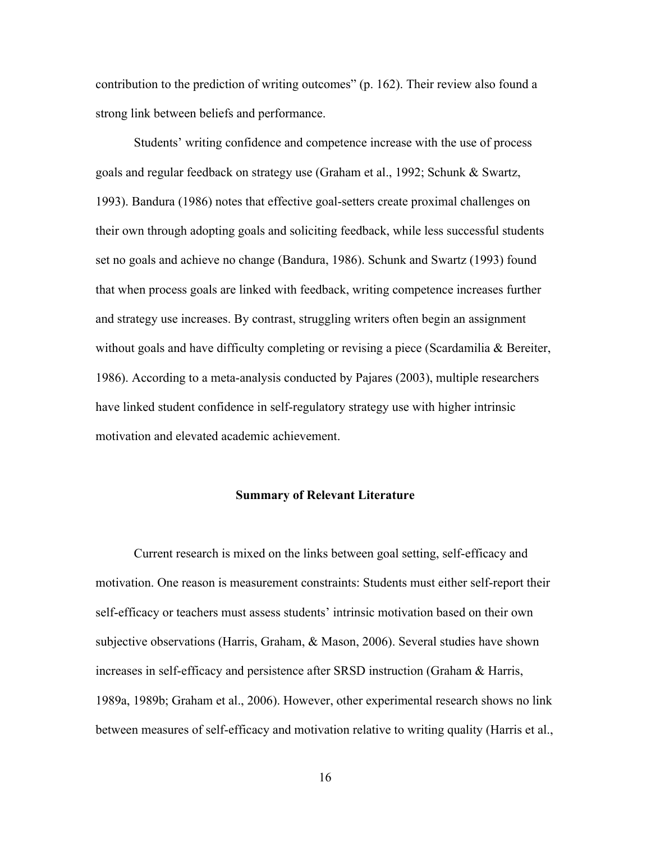contribution to the prediction of writing outcomes" (p. 162). Their review also found a strong link between beliefs and performance.

Students' writing confidence and competence increase with the use of process goals and regular feedback on strategy use (Graham et al., 1992; Schunk & Swartz, 1993). Bandura (1986) notes that effective goal-setters create proximal challenges on their own through adopting goals and soliciting feedback, while less successful students set no goals and achieve no change (Bandura, 1986). Schunk and Swartz (1993) found that when process goals are linked with feedback, writing competence increases further and strategy use increases. By contrast, struggling writers often begin an assignment without goals and have difficulty completing or revising a piece (Scardamilia & Bereiter, 1986). According to a meta-analysis conducted by Pajares (2003), multiple researchers have linked student confidence in self-regulatory strategy use with higher intrinsic motivation and elevated academic achievement.

#### **Summary of Relevant Literature**

Current research is mixed on the links between goal setting, self-efficacy and motivation. One reason is measurement constraints: Students must either self-report their self-efficacy or teachers must assess students' intrinsic motivation based on their own subjective observations (Harris, Graham, & Mason, 2006). Several studies have shown increases in self-efficacy and persistence after SRSD instruction (Graham & Harris, 1989a, 1989b; Graham et al., 2006). However, other experimental research shows no link between measures of self-efficacy and motivation relative to writing quality (Harris et al.,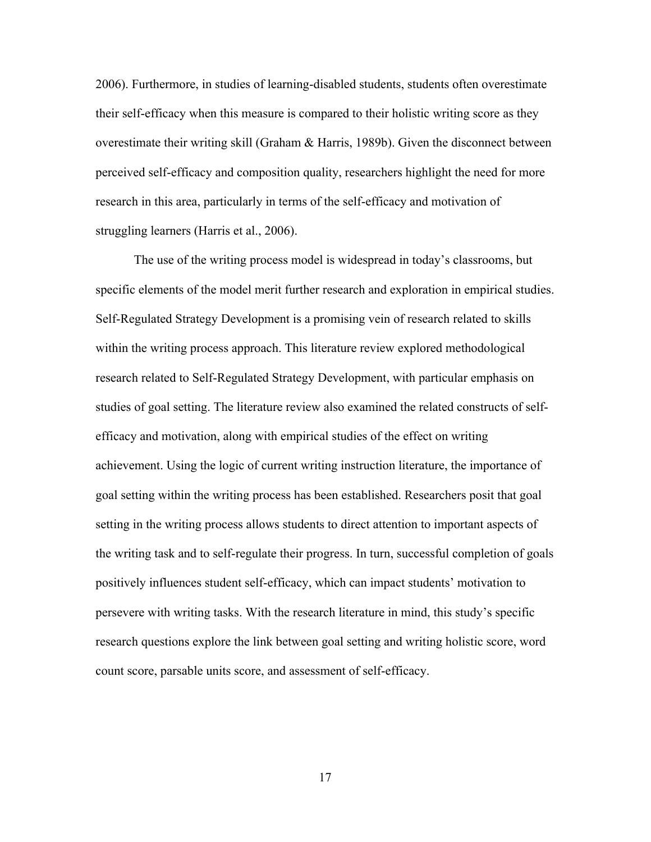2006). Furthermore, in studies of learning-disabled students, students often overestimate their self-efficacy when this measure is compared to their holistic writing score as they overestimate their writing skill (Graham & Harris, 1989b). Given the disconnect between perceived self-efficacy and composition quality, researchers highlight the need for more research in this area, particularly in terms of the self-efficacy and motivation of struggling learners (Harris et al., 2006).

The use of the writing process model is widespread in today's classrooms, but specific elements of the model merit further research and exploration in empirical studies. Self-Regulated Strategy Development is a promising vein of research related to skills within the writing process approach. This literature review explored methodological research related to Self-Regulated Strategy Development, with particular emphasis on studies of goal setting. The literature review also examined the related constructs of selfefficacy and motivation, along with empirical studies of the effect on writing achievement. Using the logic of current writing instruction literature, the importance of goal setting within the writing process has been established. Researchers posit that goal setting in the writing process allows students to direct attention to important aspects of the writing task and to self-regulate their progress. In turn, successful completion of goals positively influences student self-efficacy, which can impact students' motivation to persevere with writing tasks. With the research literature in mind, this study's specific research questions explore the link between goal setting and writing holistic score, word count score, parsable units score, and assessment of self-efficacy.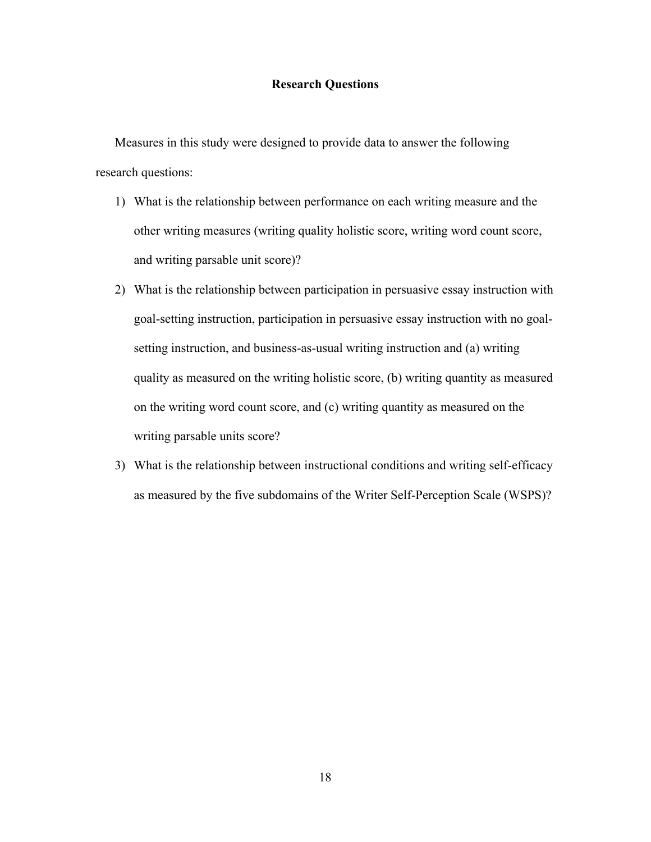#### **Research Questions**

Measures in this study were designed to provide data to answer the following research questions:

- 1) What is the relationship between performance on each writing measure and the other writing measures (writing quality holistic score, writing word count score, and writing parsable unit score)?
- 2) What is the relationship between participation in persuasive essay instruction with goal-setting instruction, participation in persuasive essay instruction with no goalsetting instruction, and business-as-usual writing instruction and (a) writing quality as measured on the writing holistic score, (b) writing quantity as measured on the writing word count score, and (c) writing quantity as measured on the writing parsable units score?
- 3) What is the relationship between instructional conditions and writing self-efficacy as measured by the five subdomains of the Writer Self-Perception Scale (WSPS)?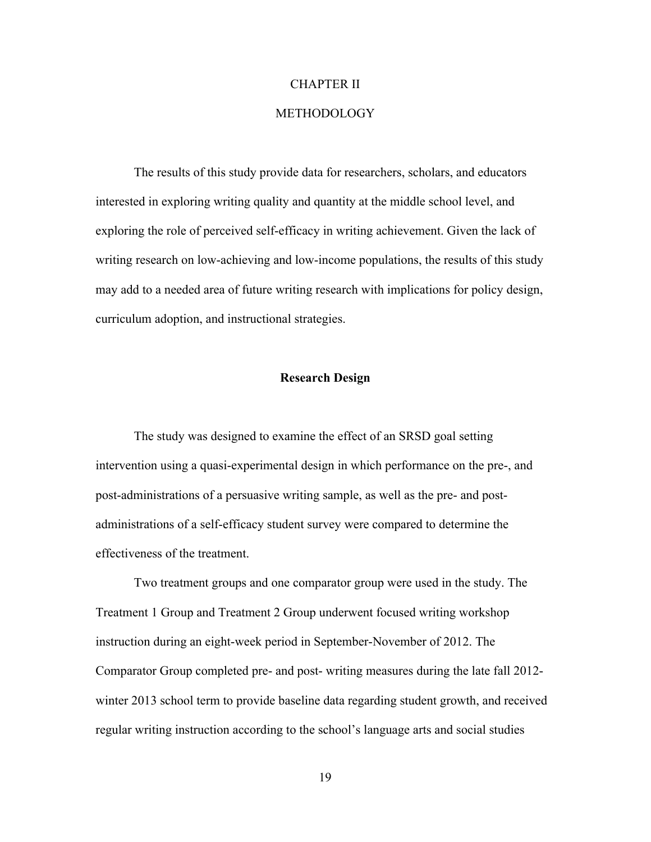#### CHAPTER II

### METHODOLOGY

The results of this study provide data for researchers, scholars, and educators interested in exploring writing quality and quantity at the middle school level, and exploring the role of perceived self-efficacy in writing achievement. Given the lack of writing research on low-achieving and low-income populations, the results of this study may add to a needed area of future writing research with implications for policy design, curriculum adoption, and instructional strategies.

#### **Research Design**

The study was designed to examine the effect of an SRSD goal setting intervention using a quasi-experimental design in which performance on the pre-, and post-administrations of a persuasive writing sample, as well as the pre- and postadministrations of a self-efficacy student survey were compared to determine the effectiveness of the treatment.

Two treatment groups and one comparator group were used in the study. The Treatment 1 Group and Treatment 2 Group underwent focused writing workshop instruction during an eight-week period in September-November of 2012. The Comparator Group completed pre- and post- writing measures during the late fall 2012 winter 2013 school term to provide baseline data regarding student growth, and received regular writing instruction according to the school's language arts and social studies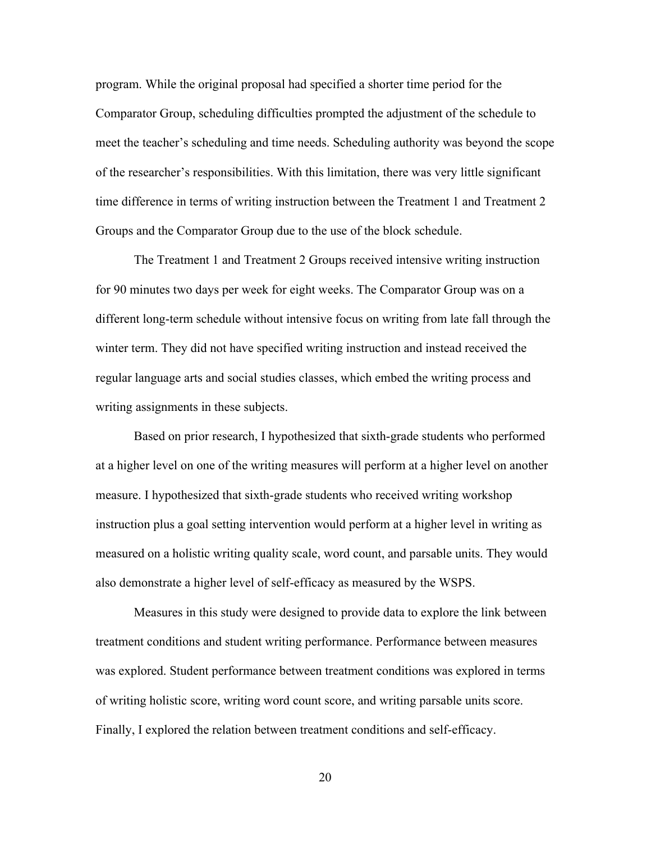program. While the original proposal had specified a shorter time period for the Comparator Group, scheduling difficulties prompted the adjustment of the schedule to meet the teacher's scheduling and time needs. Scheduling authority was beyond the scope of the researcher's responsibilities. With this limitation, there was very little significant time difference in terms of writing instruction between the Treatment 1 and Treatment 2 Groups and the Comparator Group due to the use of the block schedule.

The Treatment 1 and Treatment 2 Groups received intensive writing instruction for 90 minutes two days per week for eight weeks. The Comparator Group was on a different long-term schedule without intensive focus on writing from late fall through the winter term. They did not have specified writing instruction and instead received the regular language arts and social studies classes, which embed the writing process and writing assignments in these subjects.

Based on prior research, I hypothesized that sixth-grade students who performed at a higher level on one of the writing measures will perform at a higher level on another measure. I hypothesized that sixth-grade students who received writing workshop instruction plus a goal setting intervention would perform at a higher level in writing as measured on a holistic writing quality scale, word count, and parsable units. They would also demonstrate a higher level of self-efficacy as measured by the WSPS.

Measures in this study were designed to provide data to explore the link between treatment conditions and student writing performance. Performance between measures was explored. Student performance between treatment conditions was explored in terms of writing holistic score, writing word count score, and writing parsable units score. Finally, I explored the relation between treatment conditions and self-efficacy.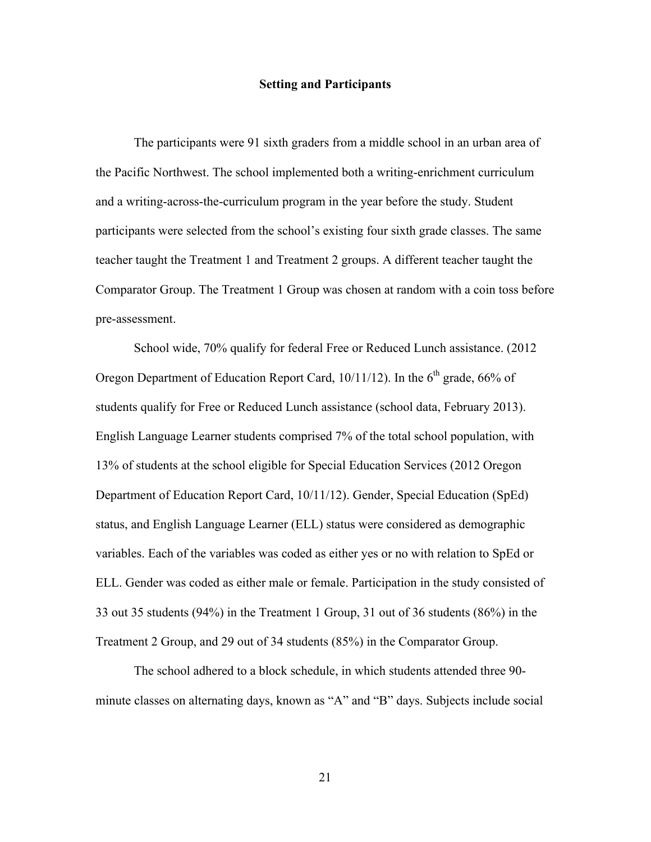#### **Setting and Participants**

The participants were 91 sixth graders from a middle school in an urban area of the Pacific Northwest. The school implemented both a writing-enrichment curriculum and a writing-across-the-curriculum program in the year before the study. Student participants were selected from the school's existing four sixth grade classes. The same teacher taught the Treatment 1 and Treatment 2 groups. A different teacher taught the Comparator Group. The Treatment 1 Group was chosen at random with a coin toss before pre-assessment.

School wide, 70% qualify for federal Free or Reduced Lunch assistance. (2012 Oregon Department of Education Report Card,  $10/11/12$ ). In the 6<sup>th</sup> grade, 66% of students qualify for Free or Reduced Lunch assistance (school data, February 2013). English Language Learner students comprised 7% of the total school population, with 13% of students at the school eligible for Special Education Services (2012 Oregon Department of Education Report Card, 10/11/12). Gender, Special Education (SpEd) status, and English Language Learner (ELL) status were considered as demographic variables. Each of the variables was coded as either yes or no with relation to SpEd or ELL. Gender was coded as either male or female. Participation in the study consisted of 33 out 35 students (94%) in the Treatment 1 Group, 31 out of 36 students (86%) in the Treatment 2 Group, and 29 out of 34 students (85%) in the Comparator Group.

The school adhered to a block schedule, in which students attended three 90 minute classes on alternating days, known as "A" and "B" days. Subjects include social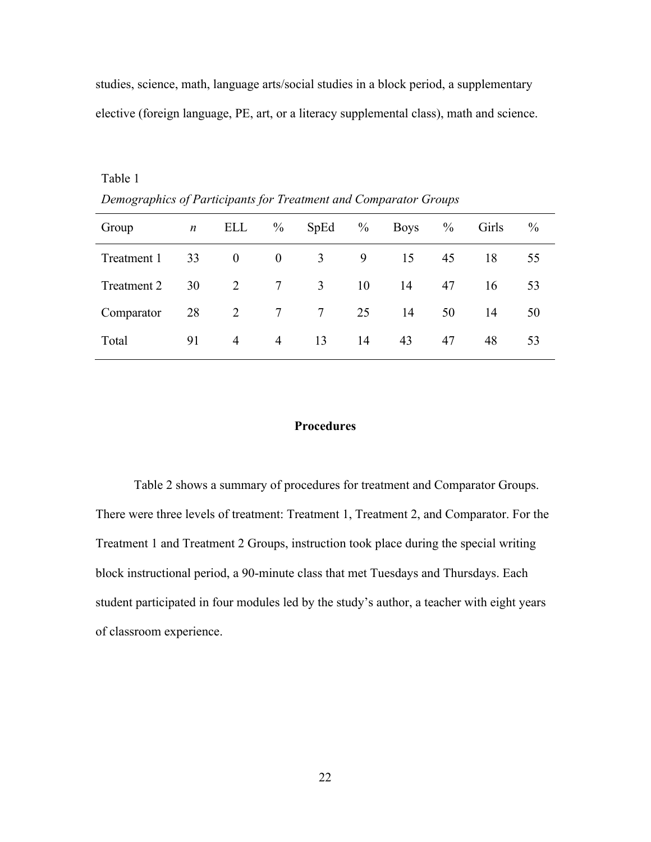studies, science, math, language arts/social studies in a block period, a supplementary elective (foreign language, PE, art, or a literacy supplemental class), math and science.

| Demographics of Farncipanis for Treatment and Comparator Groups |    |                |                 |                 |               |             |               |       |               |
|-----------------------------------------------------------------|----|----------------|-----------------|-----------------|---------------|-------------|---------------|-------|---------------|
| Group                                                           | n  | ELL            | $\frac{0}{0}$   | SpEd            | $\frac{0}{0}$ | <b>Boys</b> | $\frac{0}{0}$ | Girls | $\frac{0}{0}$ |
| Treatment 1                                                     | 33 | $\theta$       | $\theta$        | $\mathfrak{Z}$  | 9             | 15          | 45            | 18    | 55            |
| Treatment 2                                                     | 30 | 2              | $7\phantom{.0}$ | 3               | 10            | 14          | 47            | 16    | 53            |
| Comparator                                                      | 28 | 2              | $\tau$          | $7\phantom{.0}$ | 25            | 14          | 50            | 14    | 50            |
| Total                                                           | 91 | $\overline{4}$ | $\overline{4}$  | 13              | 14            | 43          | 47            | 48    | 53            |

*Demographics of Participants for Treatment and Comparator Groups*

Table 1

#### **Procedures**

Table 2 shows a summary of procedures for treatment and Comparator Groups. There were three levels of treatment: Treatment 1, Treatment 2, and Comparator. For the Treatment 1 and Treatment 2 Groups, instruction took place during the special writing block instructional period, a 90-minute class that met Tuesdays and Thursdays. Each student participated in four modules led by the study's author, a teacher with eight years of classroom experience.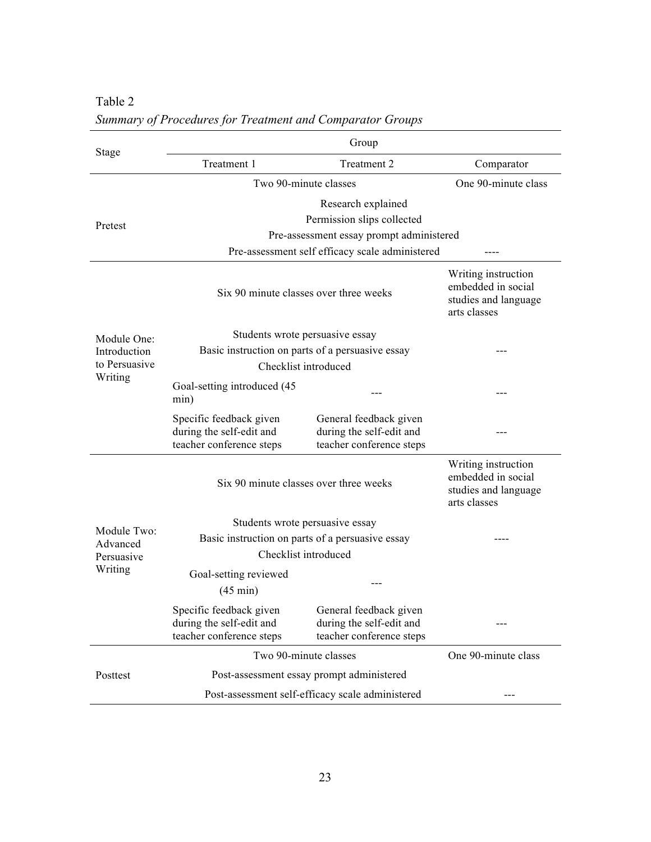|                                       | Group                                                                                                                                           |                                                                                   |                     |  |  |  |
|---------------------------------------|-------------------------------------------------------------------------------------------------------------------------------------------------|-----------------------------------------------------------------------------------|---------------------|--|--|--|
| Stage                                 | Treatment 1                                                                                                                                     | Comparator                                                                        |                     |  |  |  |
|                                       | Two 90-minute classes                                                                                                                           |                                                                                   | One 90-minute class |  |  |  |
| Pretest                               | Research explained<br>Permission slips collected<br>Pre-assessment essay prompt administered<br>Pre-assessment self efficacy scale administered |                                                                                   |                     |  |  |  |
|                                       | Six 90 minute classes over three weeks                                                                                                          | Writing instruction<br>embedded in social<br>studies and language<br>arts classes |                     |  |  |  |
| Module One:                           | Students wrote persuasive essay                                                                                                                 |                                                                                   |                     |  |  |  |
| Introduction                          | Basic instruction on parts of a persuasive essay                                                                                                |                                                                                   |                     |  |  |  |
| to Persuasive<br>Writing              | Checklist introduced                                                                                                                            |                                                                                   |                     |  |  |  |
|                                       | Goal-setting introduced (45)<br>min)                                                                                                            |                                                                                   |                     |  |  |  |
|                                       | Specific feedback given<br>during the self-edit and<br>teacher conference steps                                                                 | General feedback given<br>during the self-edit and<br>teacher conference steps    |                     |  |  |  |
|                                       | Six 90 minute classes over three weeks                                                                                                          | Writing instruction<br>embedded in social<br>studies and language<br>arts classes |                     |  |  |  |
|                                       | Students wrote persuasive essay                                                                                                                 |                                                                                   |                     |  |  |  |
| Module Two:<br>Advanced<br>Persuasive | Basic instruction on parts of a persuasive essay<br>Checklist introduced                                                                        |                                                                                   |                     |  |  |  |
| Writing                               | Goal-setting reviewed<br>$(45 \text{ min})$                                                                                                     |                                                                                   |                     |  |  |  |
|                                       | Specific feedback given<br>during the self-edit and<br>teacher conference steps                                                                 | General feedback given<br>during the self-edit and<br>teacher conference steps    |                     |  |  |  |
|                                       | Two 90-minute classes                                                                                                                           |                                                                                   | One 90-minute class |  |  |  |
| Posttest                              | Post-assessment essay prompt administered                                                                                                       |                                                                                   |                     |  |  |  |
|                                       | Post-assessment self-efficacy scale administered                                                                                                | ---                                                                               |                     |  |  |  |

Table 2 *Summary of Procedures for Treatment and Comparator Groups*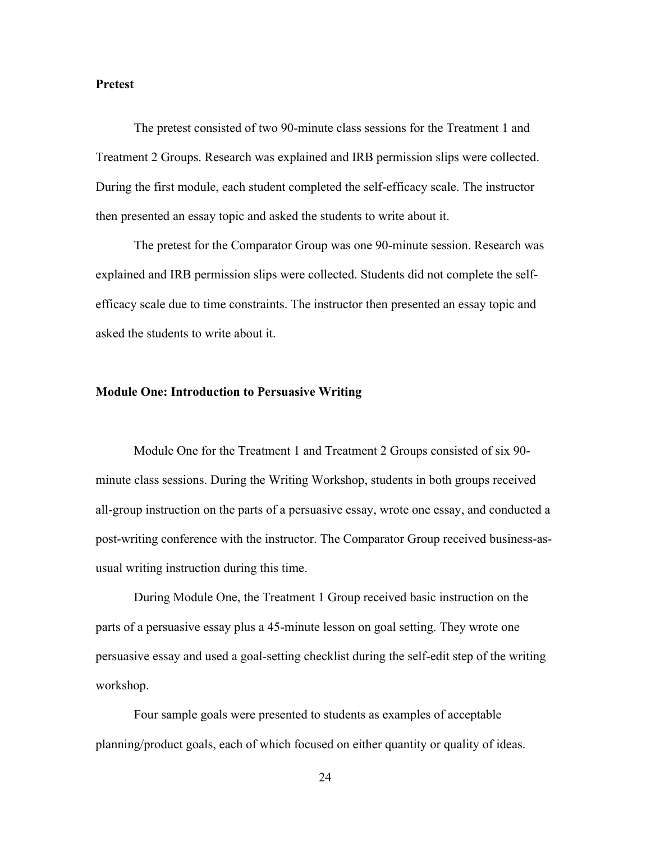#### **Pretest**

The pretest consisted of two 90-minute class sessions for the Treatment 1 and Treatment 2 Groups. Research was explained and IRB permission slips were collected. During the first module, each student completed the self-efficacy scale. The instructor then presented an essay topic and asked the students to write about it.

The pretest for the Comparator Group was one 90-minute session. Research was explained and IRB permission slips were collected. Students did not complete the selfefficacy scale due to time constraints. The instructor then presented an essay topic and asked the students to write about it.

#### **Module One: Introduction to Persuasive Writing**

Module One for the Treatment 1 and Treatment 2 Groups consisted of six 90 minute class sessions. During the Writing Workshop, students in both groups received all-group instruction on the parts of a persuasive essay, wrote one essay, and conducted a post-writing conference with the instructor. The Comparator Group received business-asusual writing instruction during this time.

During Module One, the Treatment 1 Group received basic instruction on the parts of a persuasive essay plus a 45-minute lesson on goal setting. They wrote one persuasive essay and used a goal-setting checklist during the self-edit step of the writing workshop.

Four sample goals were presented to students as examples of acceptable planning/product goals, each of which focused on either quantity or quality of ideas.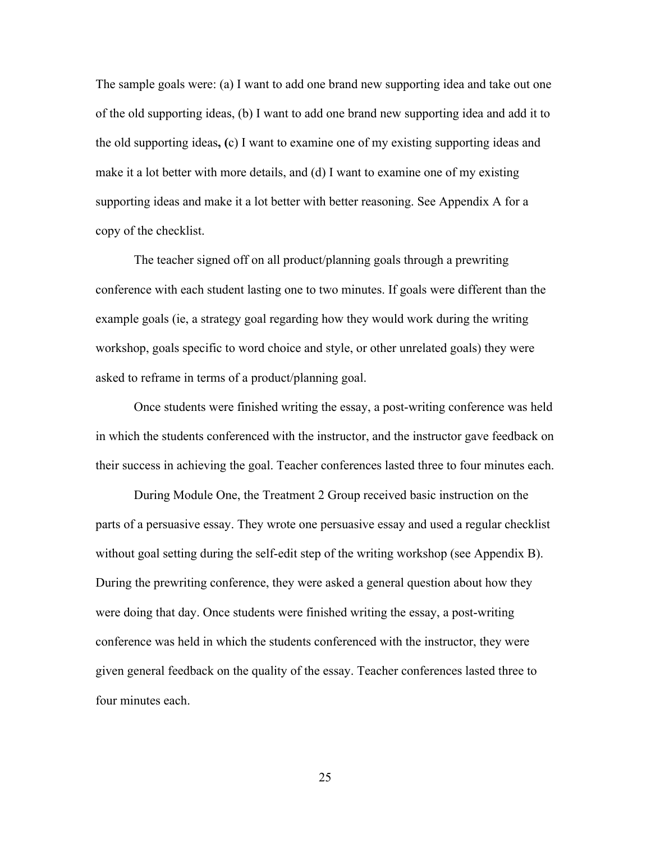The sample goals were: (a) I want to add one brand new supporting idea and take out one of the old supporting ideas, (b) I want to add one brand new supporting idea and add it to the old supporting ideas**, (**c) I want to examine one of my existing supporting ideas and make it a lot better with more details, and (d) I want to examine one of my existing supporting ideas and make it a lot better with better reasoning. See Appendix A for a copy of the checklist.

The teacher signed off on all product/planning goals through a prewriting conference with each student lasting one to two minutes. If goals were different than the example goals (ie, a strategy goal regarding how they would work during the writing workshop, goals specific to word choice and style, or other unrelated goals) they were asked to reframe in terms of a product/planning goal.

Once students were finished writing the essay, a post-writing conference was held in which the students conferenced with the instructor, and the instructor gave feedback on their success in achieving the goal. Teacher conferences lasted three to four minutes each.

During Module One, the Treatment 2 Group received basic instruction on the parts of a persuasive essay. They wrote one persuasive essay and used a regular checklist without goal setting during the self-edit step of the writing workshop (see Appendix B). During the prewriting conference, they were asked a general question about how they were doing that day. Once students were finished writing the essay, a post-writing conference was held in which the students conferenced with the instructor, they were given general feedback on the quality of the essay. Teacher conferences lasted three to four minutes each.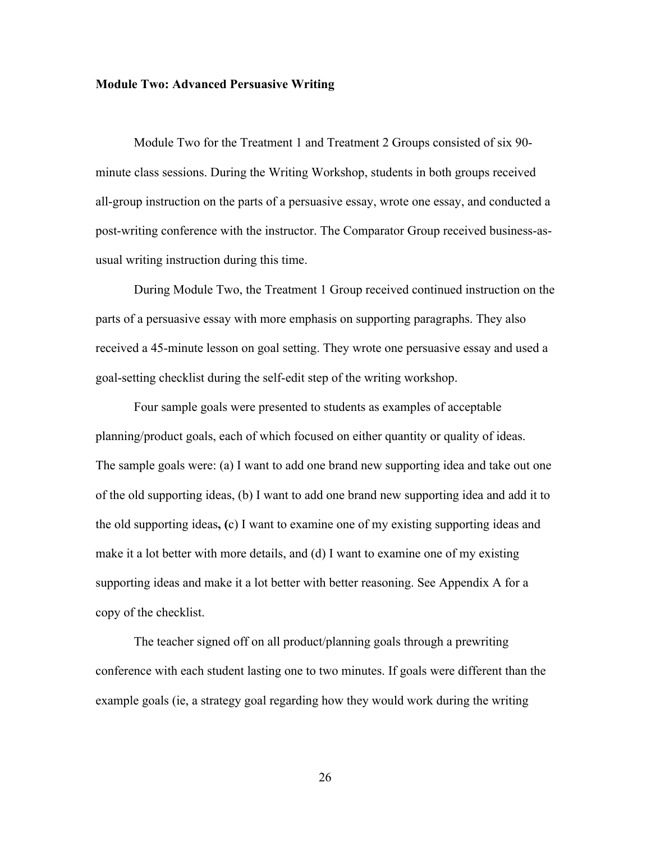#### **Module Two: Advanced Persuasive Writing**

Module Two for the Treatment 1 and Treatment 2 Groups consisted of six 90 minute class sessions. During the Writing Workshop, students in both groups received all-group instruction on the parts of a persuasive essay, wrote one essay, and conducted a post-writing conference with the instructor. The Comparator Group received business-asusual writing instruction during this time.

During Module Two, the Treatment 1 Group received continued instruction on the parts of a persuasive essay with more emphasis on supporting paragraphs. They also received a 45-minute lesson on goal setting. They wrote one persuasive essay and used a goal-setting checklist during the self-edit step of the writing workshop.

Four sample goals were presented to students as examples of acceptable planning/product goals, each of which focused on either quantity or quality of ideas. The sample goals were: (a) I want to add one brand new supporting idea and take out one of the old supporting ideas, (b) I want to add one brand new supporting idea and add it to the old supporting ideas**, (**c) I want to examine one of my existing supporting ideas and make it a lot better with more details, and (d) I want to examine one of my existing supporting ideas and make it a lot better with better reasoning. See Appendix A for a copy of the checklist.

The teacher signed off on all product/planning goals through a prewriting conference with each student lasting one to two minutes. If goals were different than the example goals (ie, a strategy goal regarding how they would work during the writing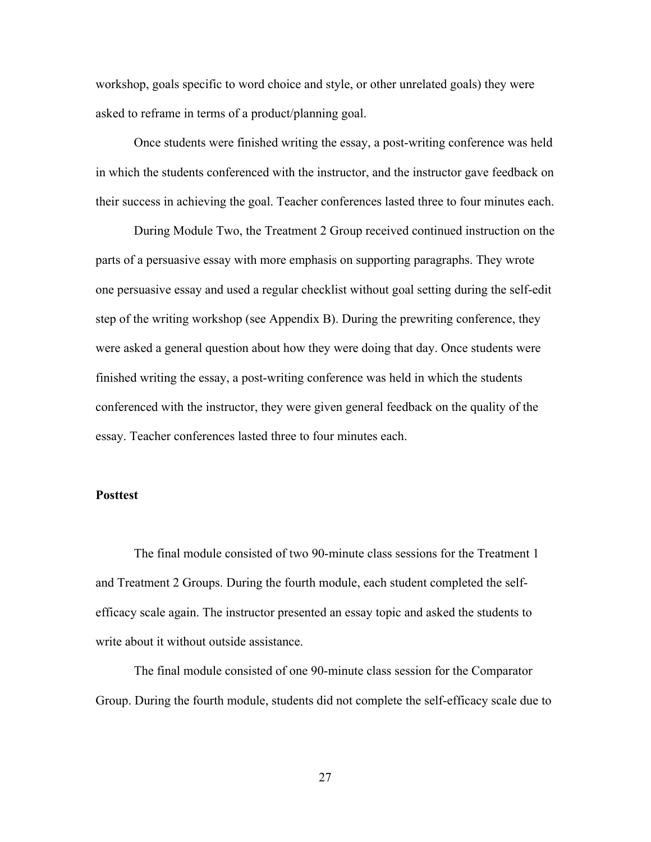workshop, goals specific to word choice and style, or other unrelated goals) they were asked to reframe in terms of a product/planning goal.

Once students were finished writing the essay, a post-writing conference was held in which the students conferenced with the instructor, and the instructor gave feedback on their success in achieving the goal. Teacher conferences lasted three to four minutes each.

During Module Two, the Treatment 2 Group received continued instruction on the parts of a persuasive essay with more emphasis on supporting paragraphs. They wrote one persuasive essay and used a regular checklist without goal setting during the self-edit step of the writing workshop (see Appendix B). During the prewriting conference, they were asked a general question about how they were doing that day. Once students were finished writing the essay, a post-writing conference was held in which the students conferenced with the instructor, they were given general feedback on the quality of the essay. Teacher conferences lasted three to four minutes each.

# **Posttest**

The final module consisted of two 90-minute class sessions for the Treatment 1 and Treatment 2 Groups. During the fourth module, each student completed the selfefficacy scale again. The instructor presented an essay topic and asked the students to write about it without outside assistance.

The final module consisted of one 90-minute class session for the Comparator Group. During the fourth module, students did not complete the self-efficacy scale due to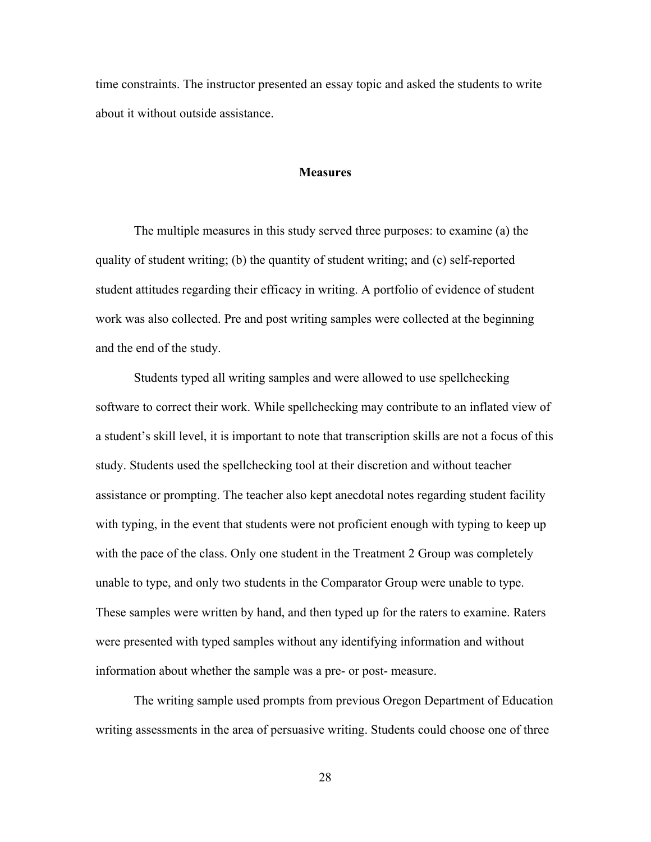time constraints. The instructor presented an essay topic and asked the students to write about it without outside assistance.

## **Measures**

The multiple measures in this study served three purposes: to examine (a) the quality of student writing; (b) the quantity of student writing; and (c) self-reported student attitudes regarding their efficacy in writing. A portfolio of evidence of student work was also collected. Pre and post writing samples were collected at the beginning and the end of the study.

Students typed all writing samples and were allowed to use spellchecking software to correct their work. While spellchecking may contribute to an inflated view of a student's skill level, it is important to note that transcription skills are not a focus of this study. Students used the spellchecking tool at their discretion and without teacher assistance or prompting. The teacher also kept anecdotal notes regarding student facility with typing, in the event that students were not proficient enough with typing to keep up with the pace of the class. Only one student in the Treatment 2 Group was completely unable to type, and only two students in the Comparator Group were unable to type. These samples were written by hand, and then typed up for the raters to examine. Raters were presented with typed samples without any identifying information and without information about whether the sample was a pre- or post- measure.

The writing sample used prompts from previous Oregon Department of Education writing assessments in the area of persuasive writing. Students could choose one of three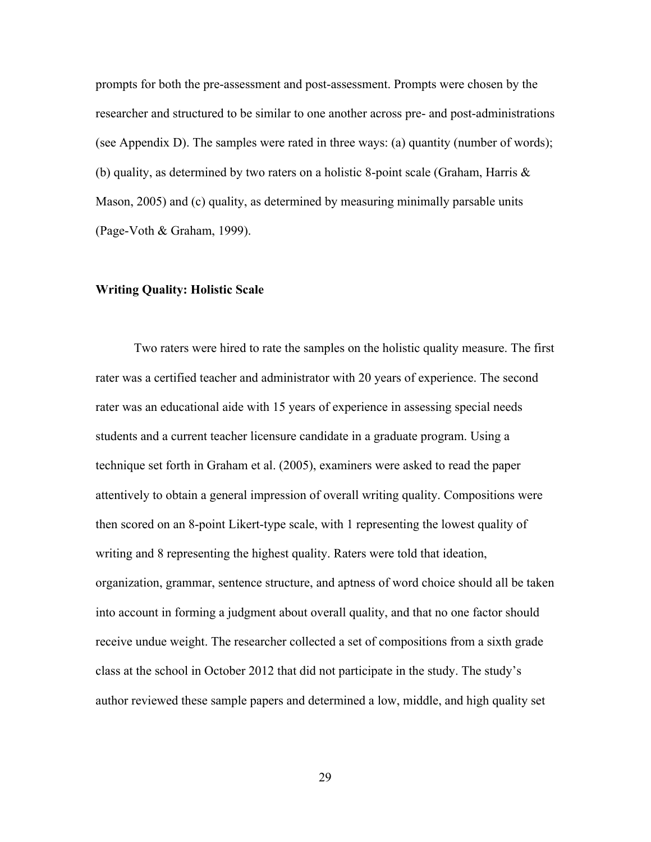prompts for both the pre-assessment and post-assessment. Prompts were chosen by the researcher and structured to be similar to one another across pre- and post-administrations (see Appendix D). The samples were rated in three ways: (a) quantity (number of words); (b) quality, as determined by two raters on a holistic 8-point scale (Graham, Harris & Mason, 2005) and (c) quality, as determined by measuring minimally parsable units (Page-Voth & Graham, 1999).

# **Writing Quality: Holistic Scale**

Two raters were hired to rate the samples on the holistic quality measure. The first rater was a certified teacher and administrator with 20 years of experience. The second rater was an educational aide with 15 years of experience in assessing special needs students and a current teacher licensure candidate in a graduate program. Using a technique set forth in Graham et al. (2005), examiners were asked to read the paper attentively to obtain a general impression of overall writing quality. Compositions were then scored on an 8-point Likert-type scale, with 1 representing the lowest quality of writing and 8 representing the highest quality. Raters were told that ideation, organization, grammar, sentence structure, and aptness of word choice should all be taken into account in forming a judgment about overall quality, and that no one factor should receive undue weight. The researcher collected a set of compositions from a sixth grade class at the school in October 2012 that did not participate in the study. The study's author reviewed these sample papers and determined a low, middle, and high quality set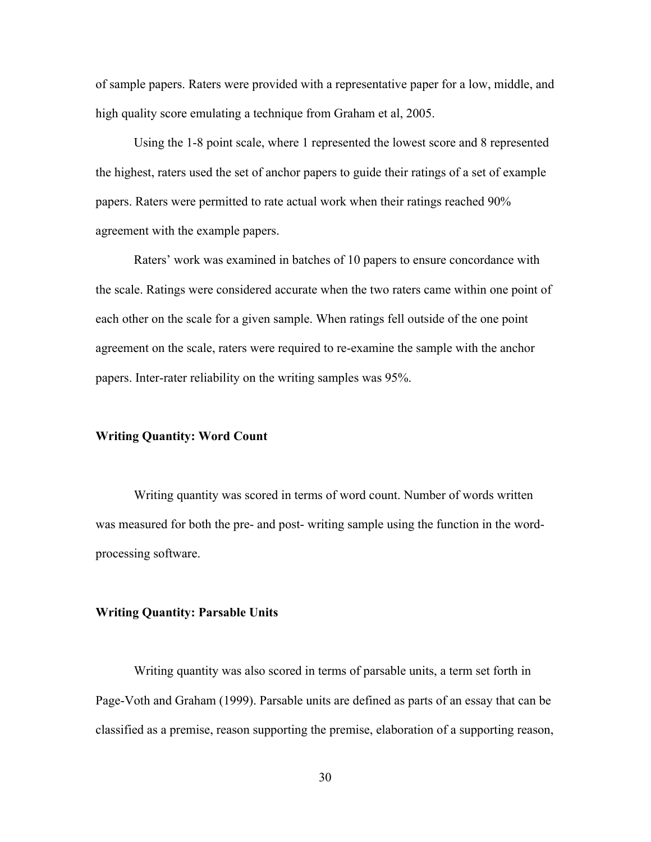of sample papers. Raters were provided with a representative paper for a low, middle, and high quality score emulating a technique from Graham et al, 2005.

Using the 1-8 point scale, where 1 represented the lowest score and 8 represented the highest, raters used the set of anchor papers to guide their ratings of a set of example papers. Raters were permitted to rate actual work when their ratings reached 90% agreement with the example papers.

Raters' work was examined in batches of 10 papers to ensure concordance with the scale. Ratings were considered accurate when the two raters came within one point of each other on the scale for a given sample. When ratings fell outside of the one point agreement on the scale, raters were required to re-examine the sample with the anchor papers. Inter-rater reliability on the writing samples was 95%.

### **Writing Quantity: Word Count**

Writing quantity was scored in terms of word count. Number of words written was measured for both the pre- and post- writing sample using the function in the wordprocessing software.

#### **Writing Quantity: Parsable Units**

Writing quantity was also scored in terms of parsable units, a term set forth in Page-Voth and Graham (1999). Parsable units are defined as parts of an essay that can be classified as a premise, reason supporting the premise, elaboration of a supporting reason,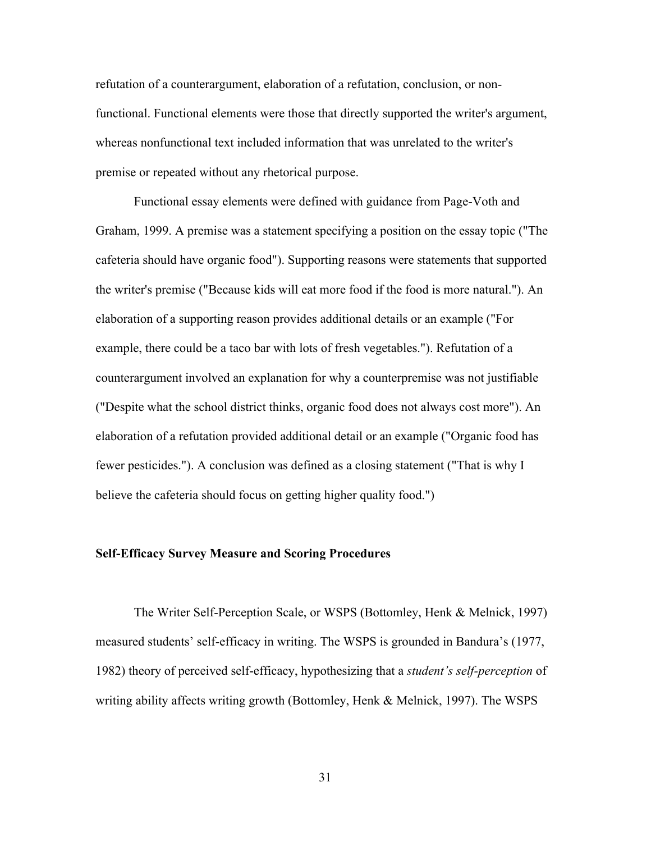refutation of a counterargument, elaboration of a refutation, conclusion, or nonfunctional. Functional elements were those that directly supported the writer's argument, whereas nonfunctional text included information that was unrelated to the writer's premise or repeated without any rhetorical purpose.

Functional essay elements were defined with guidance from Page-Voth and Graham, 1999. A premise was a statement specifying a position on the essay topic ("The cafeteria should have organic food"). Supporting reasons were statements that supported the writer's premise ("Because kids will eat more food if the food is more natural."). An elaboration of a supporting reason provides additional details or an example ("For example, there could be a taco bar with lots of fresh vegetables."). Refutation of a counterargument involved an explanation for why a counterpremise was not justifiable ("Despite what the school district thinks, organic food does not always cost more"). An elaboration of a refutation provided additional detail or an example ("Organic food has fewer pesticides."). A conclusion was defined as a closing statement ("That is why I believe the cafeteria should focus on getting higher quality food.")

# **Self-Efficacy Survey Measure and Scoring Procedures**

The Writer Self-Perception Scale, or WSPS (Bottomley, Henk & Melnick, 1997) measured students' self-efficacy in writing. The WSPS is grounded in Bandura's (1977, 1982) theory of perceived self-efficacy, hypothesizing that a *student's self-perception* of writing ability affects writing growth (Bottomley, Henk & Melnick, 1997). The WSPS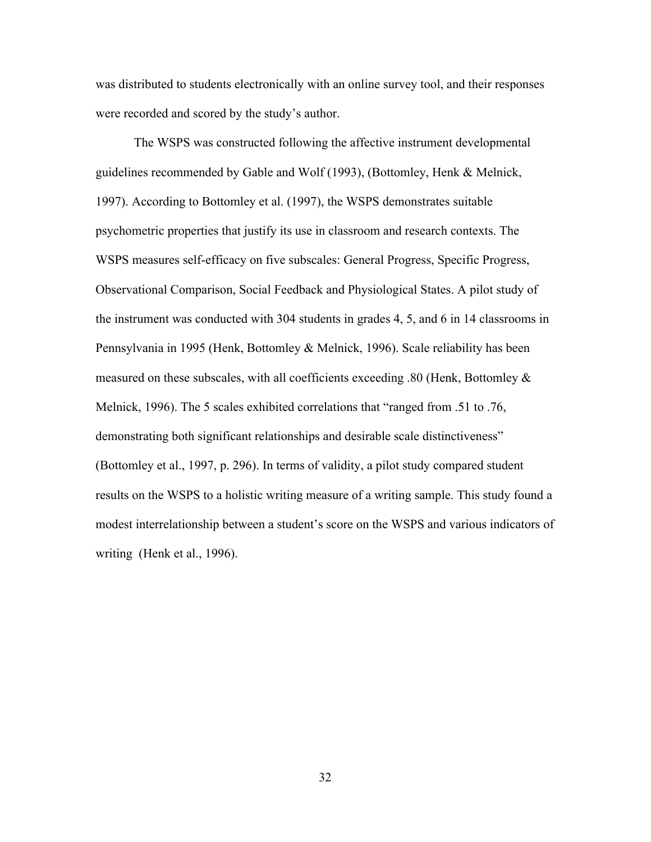was distributed to students electronically with an online survey tool, and their responses were recorded and scored by the study's author.

The WSPS was constructed following the affective instrument developmental guidelines recommended by Gable and Wolf (1993), (Bottomley, Henk & Melnick, 1997). According to Bottomley et al. (1997), the WSPS demonstrates suitable psychometric properties that justify its use in classroom and research contexts. The WSPS measures self-efficacy on five subscales: General Progress, Specific Progress, Observational Comparison, Social Feedback and Physiological States. A pilot study of the instrument was conducted with 304 students in grades 4, 5, and 6 in 14 classrooms in Pennsylvania in 1995 (Henk, Bottomley & Melnick, 1996). Scale reliability has been measured on these subscales, with all coefficients exceeding .80 (Henk, Bottomley & Melnick, 1996). The 5 scales exhibited correlations that "ranged from .51 to .76, demonstrating both significant relationships and desirable scale distinctiveness" (Bottomley et al., 1997, p. 296). In terms of validity, a pilot study compared student results on the WSPS to a holistic writing measure of a writing sample. This study found a modest interrelationship between a student's score on the WSPS and various indicators of writing (Henk et al., 1996).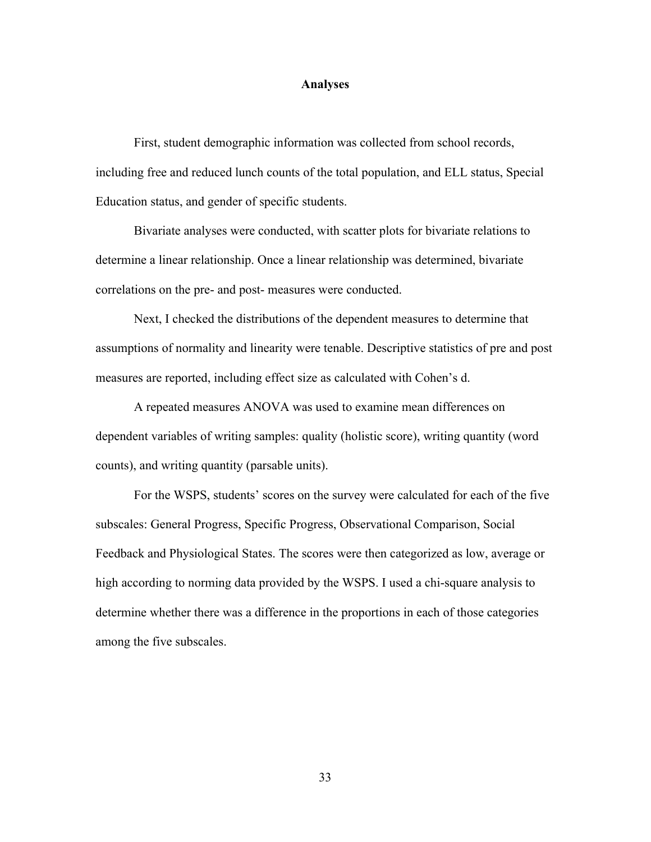#### **Analyses**

First, student demographic information was collected from school records, including free and reduced lunch counts of the total population, and ELL status, Special Education status, and gender of specific students.

Bivariate analyses were conducted, with scatter plots for bivariate relations to determine a linear relationship. Once a linear relationship was determined, bivariate correlations on the pre- and post- measures were conducted.

Next, I checked the distributions of the dependent measures to determine that assumptions of normality and linearity were tenable. Descriptive statistics of pre and post measures are reported, including effect size as calculated with Cohen's d.

A repeated measures ANOVA was used to examine mean differences on dependent variables of writing samples: quality (holistic score), writing quantity (word counts), and writing quantity (parsable units).

For the WSPS, students' scores on the survey were calculated for each of the five subscales: General Progress, Specific Progress, Observational Comparison, Social Feedback and Physiological States. The scores were then categorized as low, average or high according to norming data provided by the WSPS. I used a chi-square analysis to determine whether there was a difference in the proportions in each of those categories among the five subscales.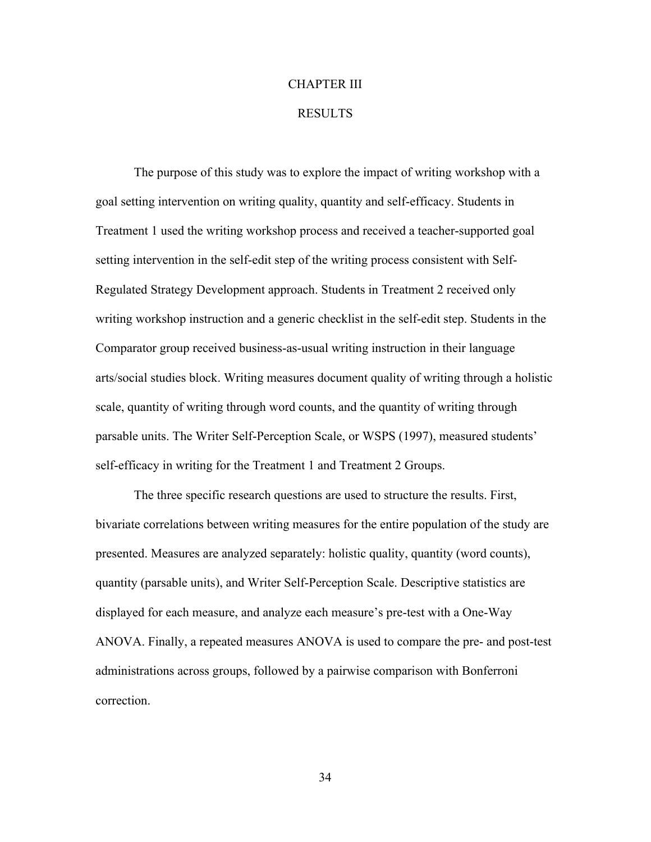# CHAPTER III

#### RESULTS

The purpose of this study was to explore the impact of writing workshop with a goal setting intervention on writing quality, quantity and self-efficacy. Students in Treatment 1 used the writing workshop process and received a teacher-supported goal setting intervention in the self-edit step of the writing process consistent with Self-Regulated Strategy Development approach. Students in Treatment 2 received only writing workshop instruction and a generic checklist in the self-edit step. Students in the Comparator group received business-as-usual writing instruction in their language arts/social studies block. Writing measures document quality of writing through a holistic scale, quantity of writing through word counts, and the quantity of writing through parsable units. The Writer Self-Perception Scale, or WSPS (1997), measured students' self-efficacy in writing for the Treatment 1 and Treatment 2 Groups.

The three specific research questions are used to structure the results. First, bivariate correlations between writing measures for the entire population of the study are presented. Measures are analyzed separately: holistic quality, quantity (word counts), quantity (parsable units), and Writer Self-Perception Scale. Descriptive statistics are displayed for each measure, and analyze each measure's pre-test with a One-Way ANOVA. Finally, a repeated measures ANOVA is used to compare the pre- and post-test administrations across groups, followed by a pairwise comparison with Bonferroni correction.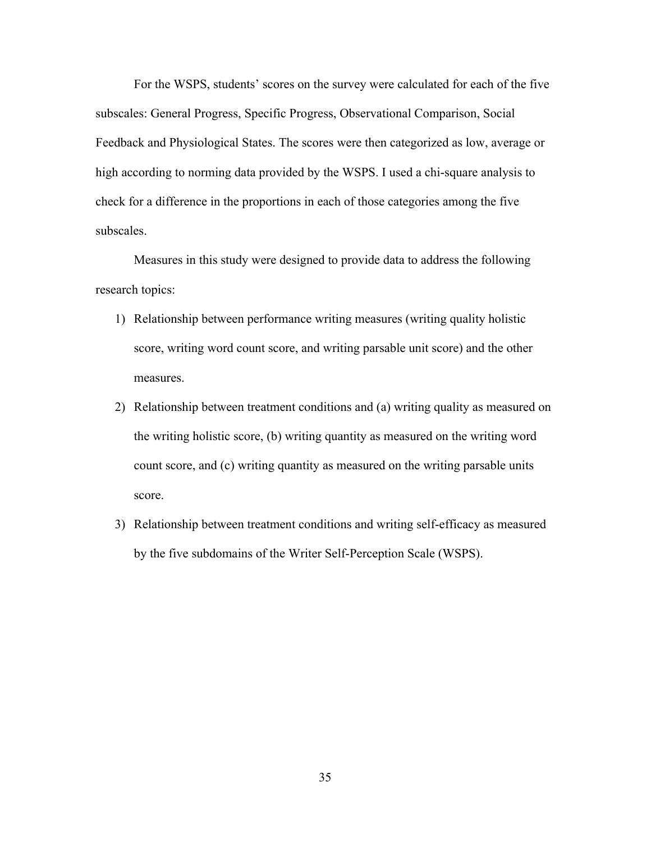For the WSPS, students' scores on the survey were calculated for each of the five subscales: General Progress, Specific Progress, Observational Comparison, Social Feedback and Physiological States. The scores were then categorized as low, average or high according to norming data provided by the WSPS. I used a chi-square analysis to check for a difference in the proportions in each of those categories among the five subscales.

Measures in this study were designed to provide data to address the following research topics:

- 1) Relationship between performance writing measures (writing quality holistic score, writing word count score, and writing parsable unit score) and the other measures.
- 2) Relationship between treatment conditions and (a) writing quality as measured on the writing holistic score, (b) writing quantity as measured on the writing word count score, and (c) writing quantity as measured on the writing parsable units score.
- 3) Relationship between treatment conditions and writing self-efficacy as measured by the five subdomains of the Writer Self-Perception Scale (WSPS).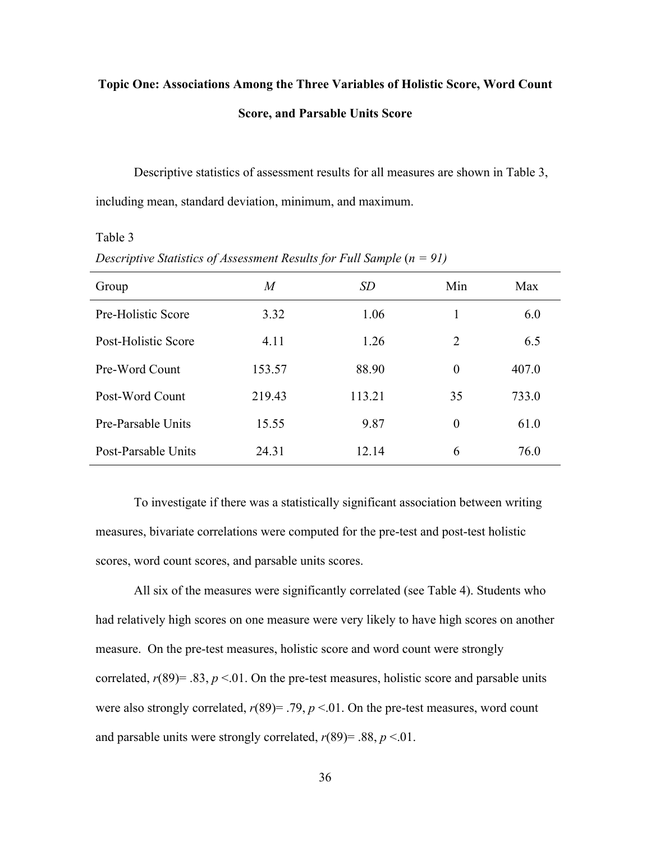# **Topic One: Associations Among the Three Variables of Holistic Score, Word Count Score, and Parsable Units Score**

Descriptive statistics of assessment results for all measures are shown in Table 3, including mean, standard deviation, minimum, and maximum.

#### Table 3

| Group               | M      | SD     | Min      | Max   |
|---------------------|--------|--------|----------|-------|
| Pre-Holistic Score  | 3.32   | 1.06   |          | 6.0   |
| Post-Holistic Score | 4.11   | 1.26   | 2        | 6.5   |
| Pre-Word Count      | 153.57 | 88.90  | $\theta$ | 407.0 |
| Post-Word Count     | 219.43 | 113.21 | 35       | 733.0 |
| Pre-Parsable Units  | 15.55  | 9.87   | $\theta$ | 61.0  |
| Post-Parsable Units | 24.31  | 12.14  | 6        | 76.0  |

*Descriptive Statistics of Assessment Results for Full Sample* ( $n = 91$ )

To investigate if there was a statistically significant association between writing measures, bivariate correlations were computed for the pre-test and post-test holistic scores, word count scores, and parsable units scores.

All six of the measures were significantly correlated (see Table 4). Students who had relatively high scores on one measure were very likely to have high scores on another measure. On the pre-test measures, holistic score and word count were strongly correlated,  $r(89) = .83$ ,  $p < .01$ . On the pre-test measures, holistic score and parsable units were also strongly correlated,  $r(89) = .79$ ,  $p < .01$ . On the pre-test measures, word count and parsable units were strongly correlated,  $r(89) = .88$ ,  $p < .01$ .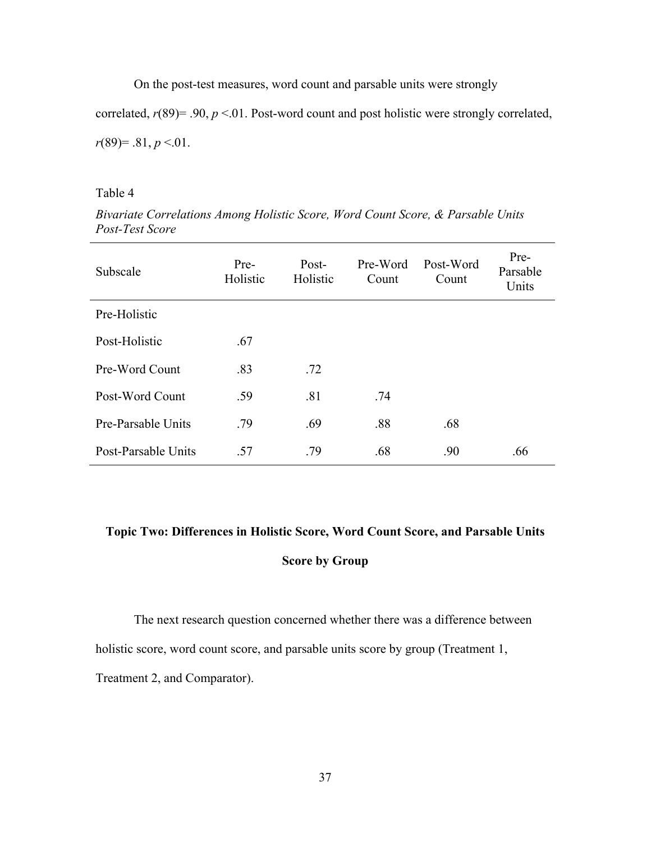On the post-test measures, word count and parsable units were strongly

correlated, *r*(89)= .90, *p* <.01. Post-word count and post holistic were strongly correlated, *r*(89)= .81, *p* <.01.

# Table 4

*Bivariate Correlations Among Holistic Score, Word Count Score, & Parsable Units Post-Test Score*

| Subscale            | Pre-<br>Holistic | Post-<br>Holistic | Pre-Word<br>Count | Post-Word<br>Count | Pre-<br>Parsable<br>Units |
|---------------------|------------------|-------------------|-------------------|--------------------|---------------------------|
| Pre-Holistic        |                  |                   |                   |                    |                           |
| Post-Holistic       | .67              |                   |                   |                    |                           |
| Pre-Word Count      | .83              | .72               |                   |                    |                           |
| Post-Word Count     | .59              | .81               | .74               |                    |                           |
| Pre-Parsable Units  | .79              | .69               | .88               | .68                |                           |
| Post-Parsable Units | .57              | .79               | .68               | .90                | .66                       |

# **Topic Two: Differences in Holistic Score, Word Count Score, and Parsable Units Score by Group**

The next research question concerned whether there was a difference between holistic score, word count score, and parsable units score by group (Treatment 1,

Treatment 2, and Comparator).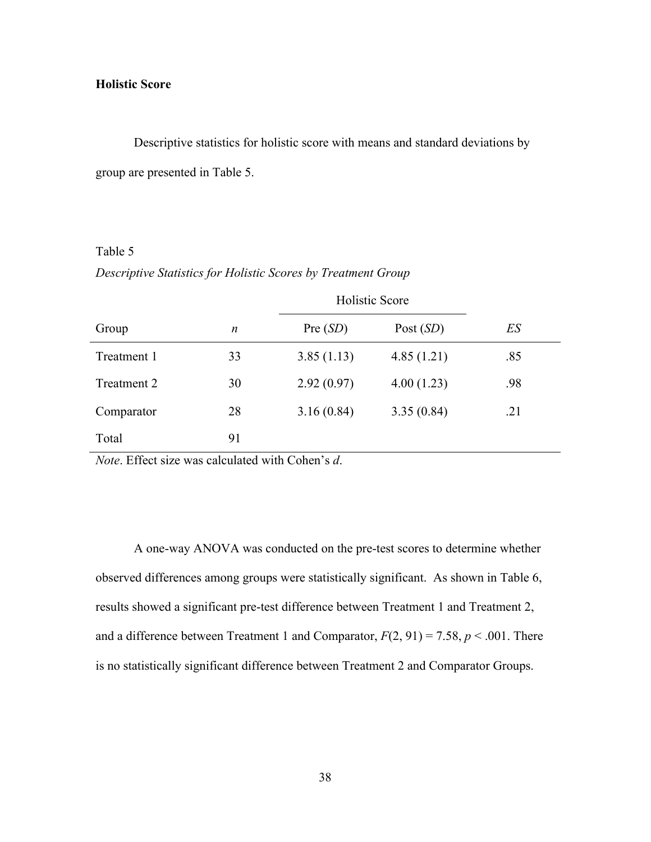# **Holistic Score**

Descriptive statistics for holistic score with means and standard deviations by group are presented in Table 5.

# Table 5

*Descriptive Statistics for Holistic Scores by Treatment Group*

|             |    |            | <b>Holistic Score</b> |     |  |
|-------------|----|------------|-----------------------|-----|--|
| Group       | n  | Pre(SD)    | Post $(SD)$           | ES  |  |
| Treatment 1 | 33 | 3.85(1.13) | 4.85(1.21)            | .85 |  |
| Treatment 2 | 30 | 2.92(0.97) | 4.00(1.23)            | .98 |  |
| Comparator  | 28 | 3.16(0.84) | 3.35(0.84)            | .21 |  |
| Total       | 91 |            |                       |     |  |

*Note*. Effect size was calculated with Cohen's *d*.

A one-way ANOVA was conducted on the pre-test scores to determine whether observed differences among groups were statistically significant. As shown in Table 6, results showed a significant pre-test difference between Treatment 1 and Treatment 2, and a difference between Treatment 1 and Comparator,  $F(2, 91) = 7.58$ ,  $p < .001$ . There is no statistically significant difference between Treatment 2 and Comparator Groups.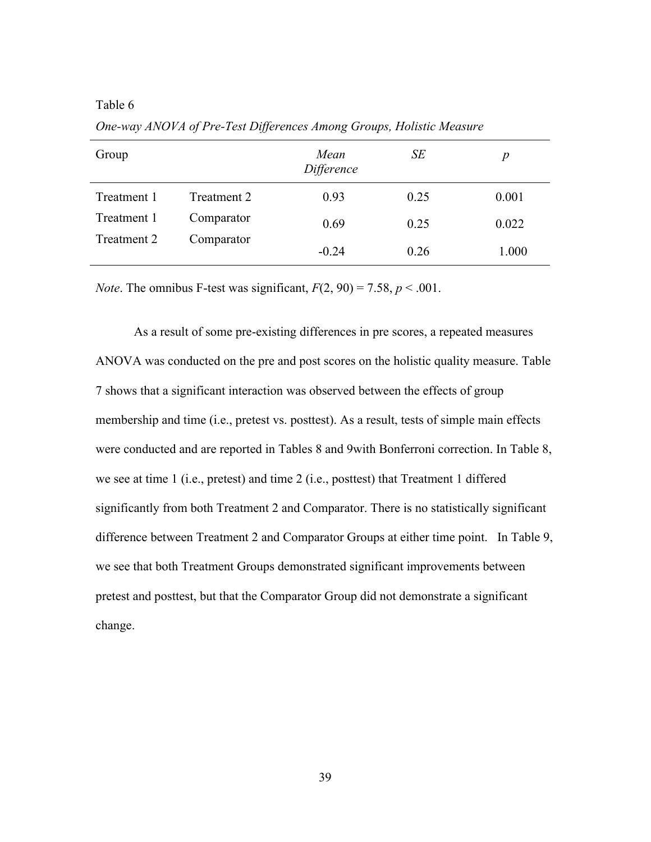| Group       |             | Mean<br>Difference | SE   | $\boldsymbol{p}$ |
|-------------|-------------|--------------------|------|------------------|
| Treatment 1 | Treatment 2 | 0.93               | 0.25 | 0.001            |
| Treatment 1 | Comparator  | 0.69               | 0.25 | 0.022            |
| Treatment 2 | Comparator  | $-0.24$            | 0.26 | 1.000            |

*One-way ANOVA of Pre-Test Differences Among Groups, Holistic Measure*

*Note*. The omnibus F-test was significant,  $F(2, 90) = 7.58$ ,  $p < .001$ .

As a result of some pre-existing differences in pre scores, a repeated measures ANOVA was conducted on the pre and post scores on the holistic quality measure. Table 7 shows that a significant interaction was observed between the effects of group membership and time (i.e., pretest vs. posttest). As a result, tests of simple main effects were conducted and are reported in Tables 8 and 9with Bonferroni correction. In Table 8, we see at time 1 (i.e., pretest) and time 2 (i.e., posttest) that Treatment 1 differed significantly from both Treatment 2 and Comparator. There is no statistically significant difference between Treatment 2 and Comparator Groups at either time point. In Table 9, we see that both Treatment Groups demonstrated significant improvements between pretest and posttest, but that the Comparator Group did not demonstrate a significant change.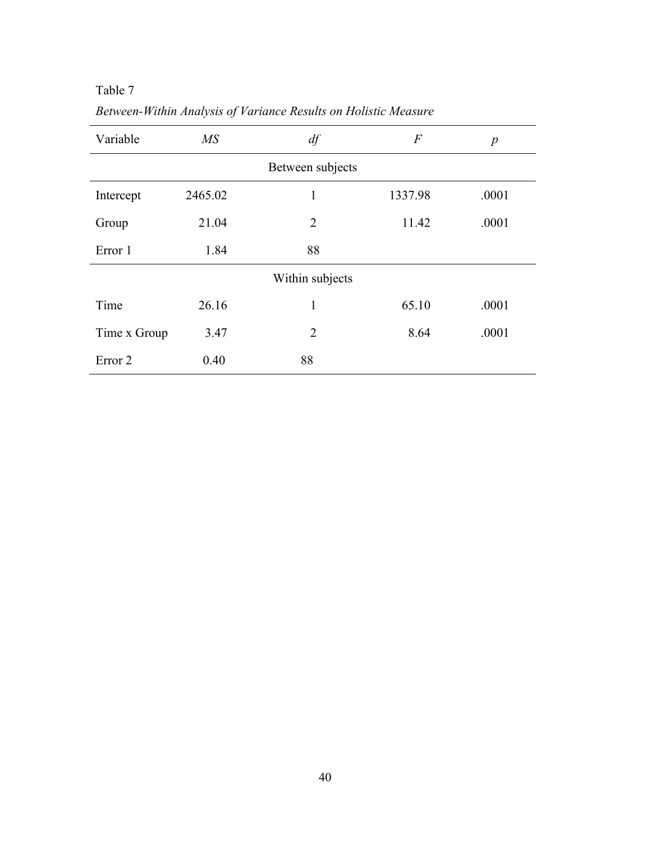| Variable           | MS      | df               | $\,F$   | $\boldsymbol{p}$ |
|--------------------|---------|------------------|---------|------------------|
|                    |         | Between subjects |         |                  |
| Intercept          | 2465.02 | 1                | 1337.98 | .0001            |
| Group              | 21.04   | $\overline{2}$   | 11.42   | .0001            |
| Error 1            | 1.84    | 88               |         |                  |
|                    |         | Within subjects  |         |                  |
| Time               | 26.16   | 1                | 65.10   | .0001            |
| Time x Group       | 3.47    | $\overline{2}$   | 8.64    | .0001            |
| Error <sub>2</sub> | 0.40    | 88               |         |                  |

*Between-Within Analysis of Variance Results on Holistic Measure*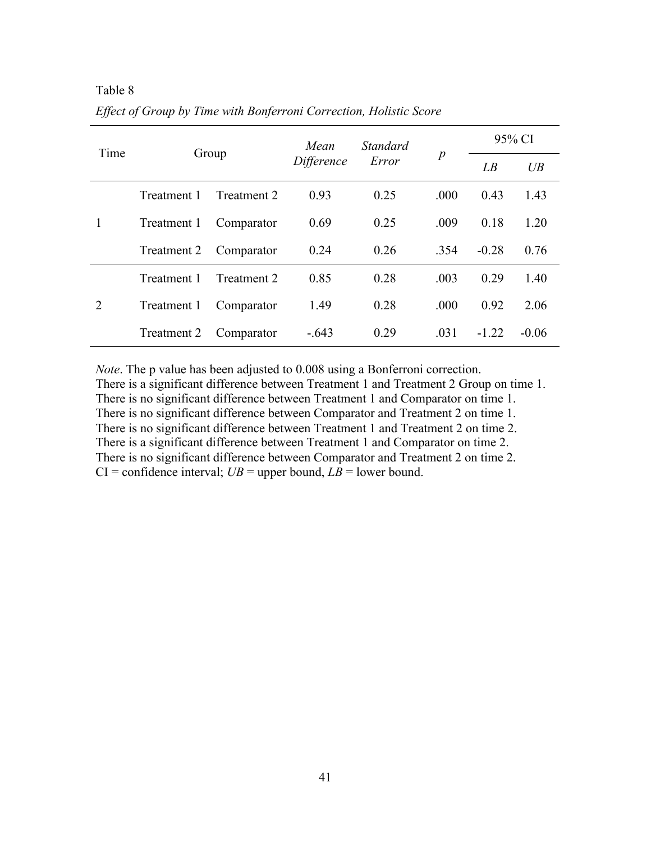| Time          |                              |             |                  | <i>Standard</i> |        | 95% CI  |         |
|---------------|------------------------------|-------------|------------------|-----------------|--------|---------|---------|
|               | Group<br>Difference<br>Error |             | $\boldsymbol{p}$ | LB              | $U\!B$ |         |         |
|               | Treatment 1                  | Treatment 2 | 0.93             | 0.25            | .000   | 0.43    | 1.43    |
| 1             | Treatment 1                  | Comparator  | 0.69             | 0.25            | .009   | 0.18    | 1.20    |
|               | Treatment 2                  | Comparator  | 0.24             | 0.26            | 354    | $-0.28$ | 0.76    |
| $\mathcal{D}$ | Treatment 1                  | Treatment 2 | 0.85             | 0.28            | .003   | 0.29    | 1.40    |
|               | Treatment 1                  | Comparator  | 1.49             | 0.28            | .000   | 0.92    | 2.06    |
|               | Treatment 2                  | Comparator  | $-.643$          | 0.29            | .031   | $-1.22$ | $-0.06$ |

Table 8 *Effect of Group by Time with Bonferroni Correction, Holistic Score*

*Note*. The p value has been adjusted to 0.008 using a Bonferroni correction. There is a significant difference between Treatment 1 and Treatment 2 Group on time 1. There is no significant difference between Treatment 1 and Comparator on time 1. There is no significant difference between Comparator and Treatment 2 on time 1. There is no significant difference between Treatment 1 and Treatment 2 on time 2. There is a significant difference between Treatment 1 and Comparator on time 2. There is no significant difference between Comparator and Treatment 2 on time 2.  $CI =$  confidence interval;  $UB =$  upper bound,  $LB =$  lower bound.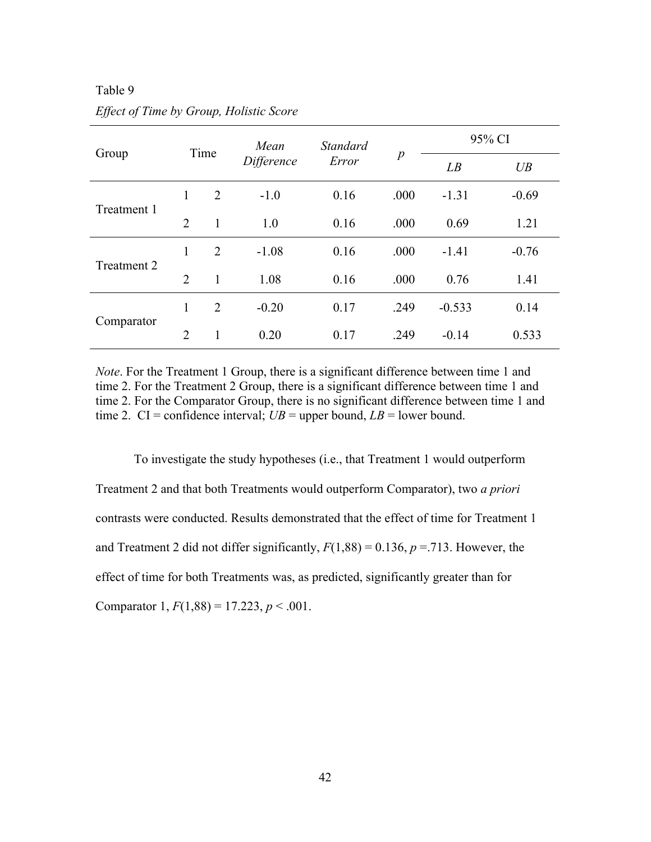|             |                |                    | Mean    | <b>Standard</b> | $\boldsymbol{p}$ | 95% CI   |         |
|-------------|----------------|--------------------|---------|-----------------|------------------|----------|---------|
| Group       |                | Time<br>Difference |         | Error           |                  | LB       | UB      |
| Treatment 1 | 1              | 2                  | $-1.0$  | 0.16            | .000             | $-1.31$  | $-0.69$ |
|             | $\overline{2}$ | 1                  | 1.0     | 0.16            | .000             | 0.69     | 1.21    |
| Treatment 2 | 1              | 2                  | $-1.08$ | 0.16            | .000             | $-1.41$  | $-0.76$ |
|             | $\overline{2}$ | 1                  | 1.08    | 0.16            | .000             | 0.76     | 1.41    |
| Comparator  | 1              | 2                  | $-0.20$ | 0.17            | .249             | $-0.533$ | 0.14    |
|             | $\overline{2}$ | 1                  | 0.20    | 0.17            | .249             | $-0.14$  | 0.533   |

Table 9 *Effect of Time by Group, Holistic Score*

*Note*. For the Treatment 1 Group, there is a significant difference between time 1 and time 2. For the Treatment 2 Group, there is a significant difference between time 1 and time 2. For the Comparator Group, there is no significant difference between time 1 and time 2. CI = confidence interval;  $UB =$  upper bound,  $LB =$  lower bound.

To investigate the study hypotheses (i.e., that Treatment 1 would outperform Treatment 2 and that both Treatments would outperform Comparator), two *a priori* contrasts were conducted. Results demonstrated that the effect of time for Treatment 1 and Treatment 2 did not differ significantly,  $F(1,88) = 0.136$ ,  $p = .713$ . However, the effect of time for both Treatments was, as predicted, significantly greater than for Comparator 1,  $F(1,88) = 17.223$ ,  $p < .001$ .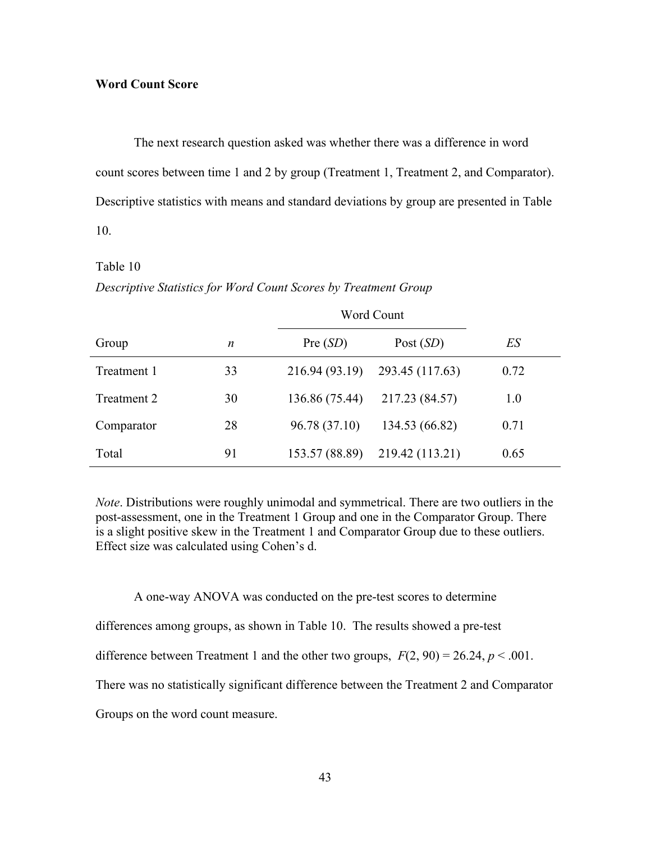### **Word Count Score**

The next research question asked was whether there was a difference in word count scores between time 1 and 2 by group (Treatment 1, Treatment 2, and Comparator). Descriptive statistics with means and standard deviations by group are presented in Table 10.

#### Table 10

#### *Descriptive Statistics for Word Count Scores by Treatment Group*

|             |    |                | Word Count      |      |
|-------------|----|----------------|-----------------|------|
| Group       | n  | Pre(SD)        | Post $(SD)$     | ES   |
| Treatment 1 | 33 | 216.94 (93.19) | 293.45 (117.63) | 0.72 |
| Treatment 2 | 30 | 136.86 (75.44) | 217.23 (84.57)  | 1.0  |
| Comparator  | 28 | 96.78 (37.10)  | 134.53 (66.82)  | 0.71 |
| Total       | 91 | 153.57 (88.89) | 219.42 (113.21) | 0.65 |

*Note*. Distributions were roughly unimodal and symmetrical. There are two outliers in the post-assessment, one in the Treatment 1 Group and one in the Comparator Group. There is a slight positive skew in the Treatment 1 and Comparator Group due to these outliers. Effect size was calculated using Cohen's d.

A one-way ANOVA was conducted on the pre-test scores to determine

differences among groups, as shown in Table 10. The results showed a pre-test

difference between Treatment 1 and the other two groups,  $F(2, 90) = 26.24$ ,  $p < .001$ .

There was no statistically significant difference between the Treatment 2 and Comparator

Groups on the word count measure.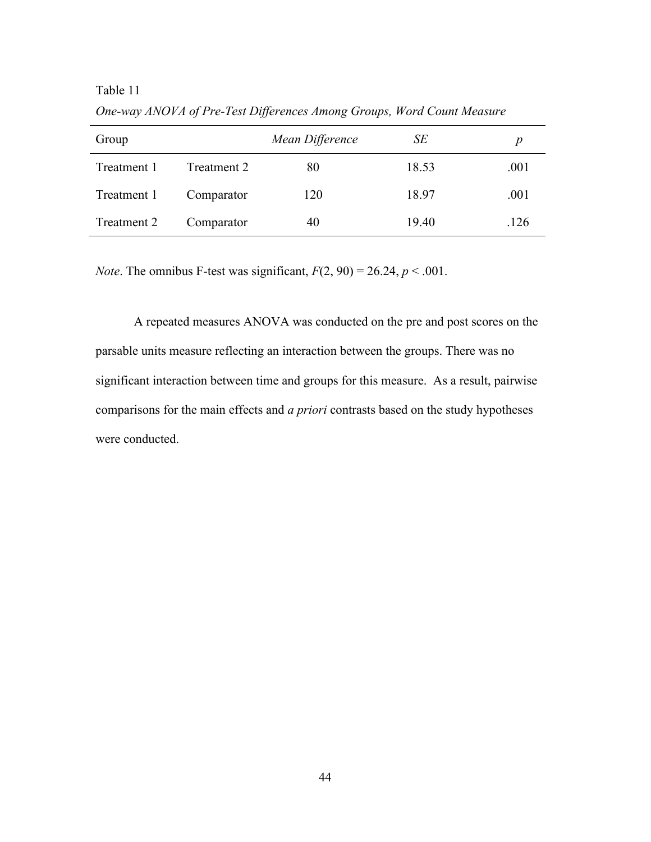Table 11

| Group       |             | Mean Difference | SЕ    | p    |
|-------------|-------------|-----------------|-------|------|
| Treatment 1 | Treatment 2 | 80              | 18.53 | .001 |
| Treatment 1 | Comparator  | 120             | 18.97 | .001 |
| Treatment 2 | Comparator  | 40              | 19.40 | .126 |

*One-way ANOVA of Pre-Test Differences Among Groups, Word Count Measure*

*Note*. The omnibus F-test was significant,  $F(2, 90) = 26.24$ ,  $p < .001$ .

A repeated measures ANOVA was conducted on the pre and post scores on the parsable units measure reflecting an interaction between the groups. There was no significant interaction between time and groups for this measure. As a result, pairwise comparisons for the main effects and *a priori* contrasts based on the study hypotheses were conducted.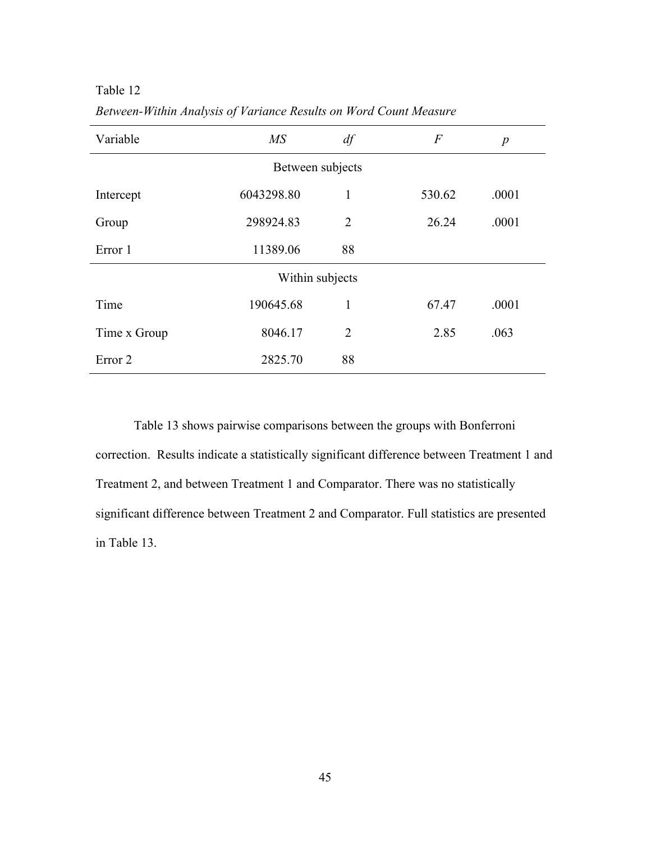Table 12

| Variable           | M <sub>S</sub>  | df             | $\overline{F}$ | $\boldsymbol{p}$ |  |  |  |  |
|--------------------|-----------------|----------------|----------------|------------------|--|--|--|--|
| Between subjects   |                 |                |                |                  |  |  |  |  |
| Intercept          | 6043298.80      | $\mathbf{1}$   | 530.62         | .0001            |  |  |  |  |
| Group              | 298924.83       | $\overline{2}$ | 26.24          | .0001            |  |  |  |  |
| Error 1            | 11389.06        | 88             |                |                  |  |  |  |  |
|                    | Within subjects |                |                |                  |  |  |  |  |
| Time               | 190645.68       | $\mathbf{1}$   | 67.47          | .0001            |  |  |  |  |
| Time x Group       | 8046.17         | $\overline{2}$ | 2.85           | .063             |  |  |  |  |
| Error <sub>2</sub> | 2825.70         | 88             |                |                  |  |  |  |  |

*Between-Within Analysis of Variance Results on Word Count Measure* 

Table 13 shows pairwise comparisons between the groups with Bonferroni correction. Results indicate a statistically significant difference between Treatment 1 and Treatment 2, and between Treatment 1 and Comparator. There was no statistically significant difference between Treatment 2 and Comparator. Full statistics are presented in Table 13.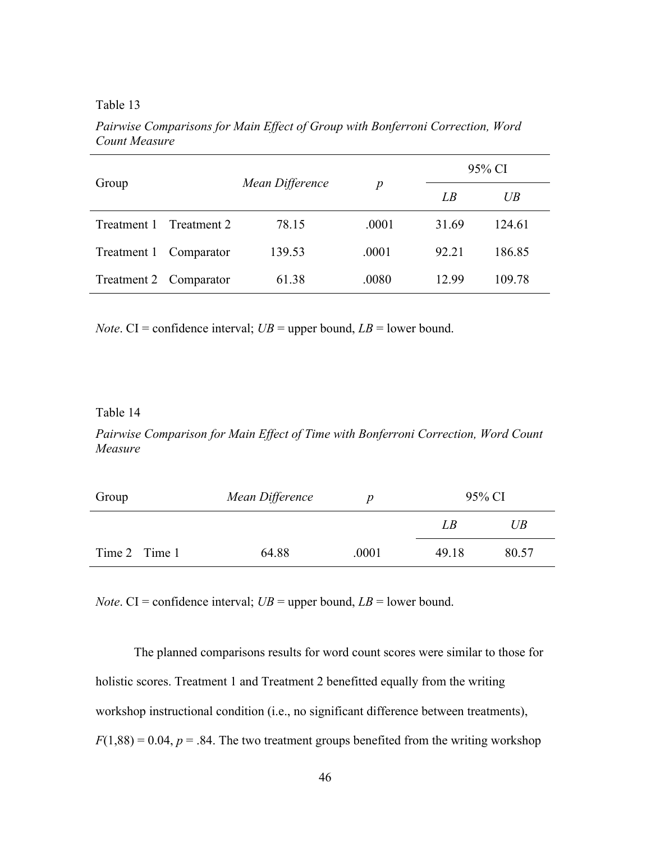Table 13

| Group                  |             |                 |                  | 95% CI |        |  |
|------------------------|-------------|-----------------|------------------|--------|--------|--|
|                        |             | Mean Difference | $\boldsymbol{p}$ | LB     | UB     |  |
| Treatment 1            | Treatment 2 | 78.15           | .0001            | 31.69  | 124.61 |  |
| Treatment 1            | Comparator  | 139.53          | .0001            | 92.21  | 186.85 |  |
| Treatment 2 Comparator |             | 61.38           | .0080            | 12.99  | 109.78 |  |

*Pairwise Comparisons for Main Effect of Group with Bonferroni Correction, Word Count Measure*

*Note*. CI = confidence interval;  $UB =$  upper bound,  $LB =$  lower bound.

#### Table 14

*Pairwise Comparison for Main Effect of Time with Bonferroni Correction, Word Count Measure*

| Group         | Mean Difference |       |       | 95% CI |
|---------------|-----------------|-------|-------|--------|
|               |                 |       | LВ    | UB     |
| Time 2 Time 1 | 64.88           | .0001 | 49 18 | 80.57  |

*Note*. CI = confidence interval;  $UB =$  upper bound,  $LB =$  lower bound.

The planned comparisons results for word count scores were similar to those for holistic scores. Treatment 1 and Treatment 2 benefitted equally from the writing workshop instructional condition (i.e., no significant difference between treatments),  $F(1,88) = 0.04$ ,  $p = .84$ . The two treatment groups benefited from the writing workshop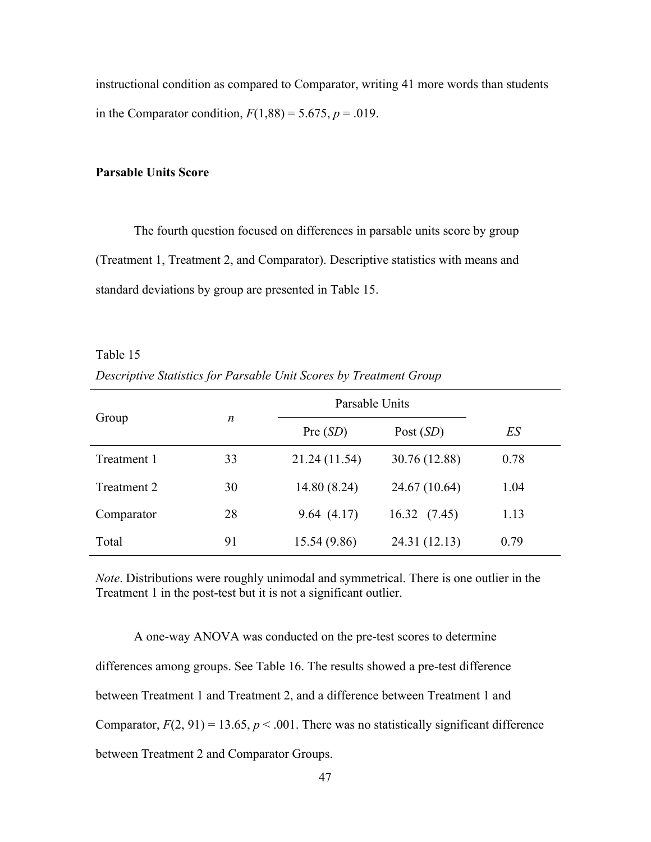instructional condition as compared to Comparator, writing 41 more words than students in the Comparator condition,  $F(1,88) = 5.675$ ,  $p = .019$ .

# **Parsable Units Score**

The fourth question focused on differences in parsable units score by group (Treatment 1, Treatment 2, and Comparator). Descriptive statistics with means and standard deviations by group are presented in Table 15.

Table 15 *Descriptive Statistics for Parsable Unit Scores by Treatment Group*

|             | $\boldsymbol{n}$ | Parsable Units |               |      |
|-------------|------------------|----------------|---------------|------|
| Group       |                  | Pre(SD)        | Post $(SD)$   | ES   |
| Treatment 1 | 33               | 21.24 (11.54)  | 30.76 (12.88) | 0.78 |
| Treatment 2 | 30               | 14.80 (8.24)   | 24.67 (10.64) | 1.04 |
| Comparator  | 28               | 9.64(4.17)     | 16.32(7.45)   | 1.13 |
| Total       | 91               | 15.54 (9.86)   | 24.31 (12.13) | 0.79 |

*Note*. Distributions were roughly unimodal and symmetrical. There is one outlier in the Treatment 1 in the post-test but it is not a significant outlier.

A one-way ANOVA was conducted on the pre-test scores to determine differences among groups. See Table 16. The results showed a pre-test difference between Treatment 1 and Treatment 2, and a difference between Treatment 1 and Comparator,  $F(2, 91) = 13.65$ ,  $p < .001$ . There was no statistically significant difference between Treatment 2 and Comparator Groups.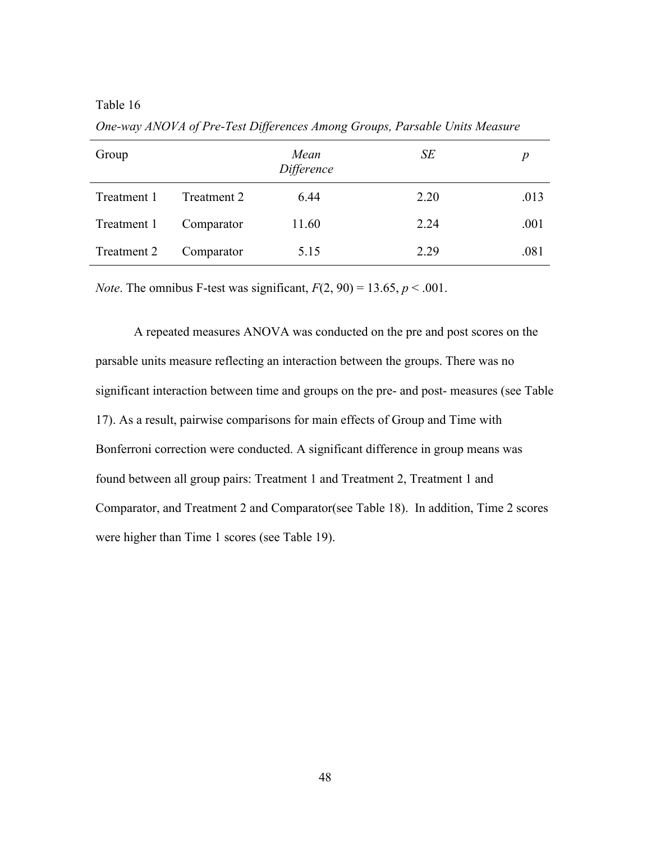| Group       |             | Mean<br>Difference | SE   |      |
|-------------|-------------|--------------------|------|------|
| Treatment 1 | Treatment 2 | 6.44               | 2.20 | .013 |
| Treatment 1 | Comparator  | 11.60              | 2.24 | .001 |
| Treatment 2 | Comparator  | 5.15               | 2.29 | .081 |

*One-way ANOVA of Pre-Test Differences Among Groups, Parsable Units Measure*

*Note*. The omnibus F-test was significant,  $F(2, 90) = 13.65$ ,  $p < .001$ .

A repeated measures ANOVA was conducted on the pre and post scores on the parsable units measure reflecting an interaction between the groups. There was no significant interaction between time and groups on the pre- and post- measures (see Table 17). As a result, pairwise comparisons for main effects of Group and Time with Bonferroni correction were conducted. A significant difference in group means was found between all group pairs: Treatment 1 and Treatment 2, Treatment 1 and Comparator, and Treatment 2 and Comparator(see Table 18). In addition, Time 2 scores were higher than Time 1 scores (see Table 19).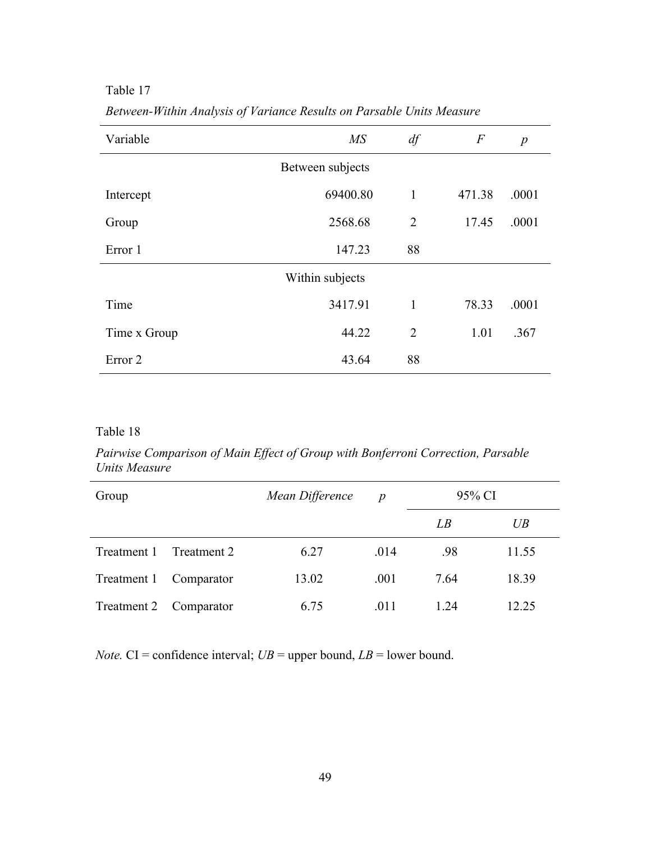Table 17

| Variable           | M S              | df             | $\overline{F}$ | $\boldsymbol{p}$ |
|--------------------|------------------|----------------|----------------|------------------|
|                    | Between subjects |                |                |                  |
| Intercept          | 69400.80         | $\mathbf{1}$   | 471.38         | .0001            |
| Group              | 2568.68          | $\overline{2}$ | 17.45          | .0001            |
| Error 1            | 147.23           | 88             |                |                  |
|                    | Within subjects  |                |                |                  |
| Time               | 3417.91          | $\mathbf{1}$   | 78.33          | .0001            |
| Time x Group       | 44.22            | $\overline{2}$ | 1.01           | .367             |
| Error <sub>2</sub> | 43.64            | 88             |                |                  |

*Between-Within Analysis of Variance Results on Parsable Units Measure*

*Pairwise Comparison of Main Effect of Group with Bonferroni Correction, Parsable Units Measure*

| Group       |             | Mean Difference | $\boldsymbol{p}$ | 95% CI |        |
|-------------|-------------|-----------------|------------------|--------|--------|
|             |             |                 |                  | LB     | $U\!B$ |
| Treatment 1 | Treatment 2 | 6.27            | .014             | .98    | 11.55  |
| Treatment 1 | Comparator  | 13.02           | .001             | 7.64   | 18.39  |
| Treatment 2 | Comparator  | 6.75            | .011             | 1 24   | 12 25  |

*Note.* CI = confidence interval;  $UB$  = upper bound,  $LB$  = lower bound.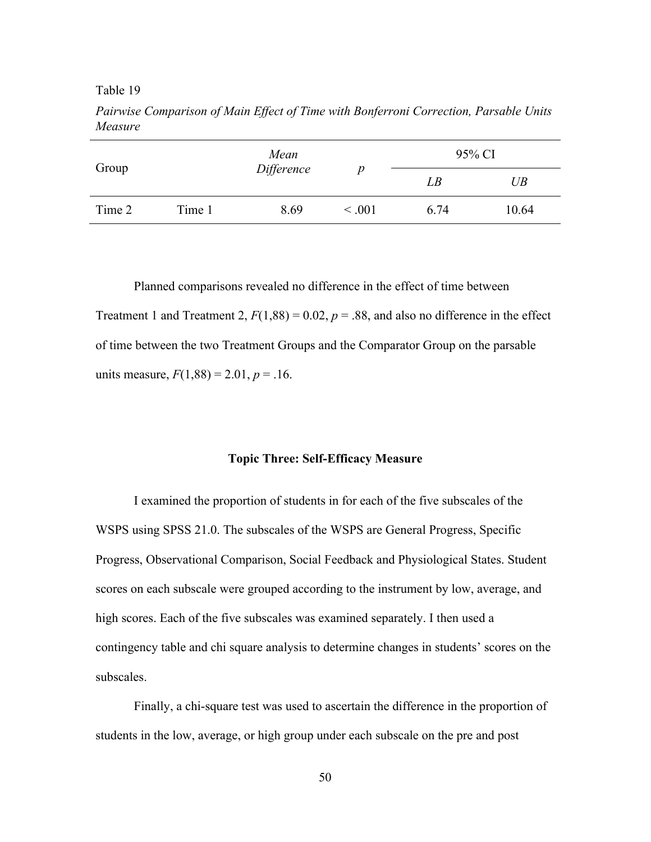|        |        | Mean       |             | 95% CI |        |
|--------|--------|------------|-------------|--------|--------|
| Group  |        | Difference | D           | LB     | $U\!B$ |
| Time 2 | Time 1 | 8.69       | $\leq .001$ | 6.74   | 10.64  |

*Pairwise Comparison of Main Effect of Time with Bonferroni Correction, Parsable Units Measure*

Planned comparisons revealed no difference in the effect of time between Treatment 1 and Treatment 2,  $F(1,88) = 0.02$ ,  $p = .88$ , and also no difference in the effect of time between the two Treatment Groups and the Comparator Group on the parsable units measure,  $F(1,88) = 2.01$ ,  $p = .16$ .

# **Topic Three: Self-Efficacy Measure**

I examined the proportion of students in for each of the five subscales of the WSPS using SPSS 21.0. The subscales of the WSPS are General Progress, Specific Progress, Observational Comparison, Social Feedback and Physiological States. Student scores on each subscale were grouped according to the instrument by low, average, and high scores. Each of the five subscales was examined separately. I then used a contingency table and chi square analysis to determine changes in students' scores on the subscales.

Finally, a chi-square test was used to ascertain the difference in the proportion of students in the low, average, or high group under each subscale on the pre and post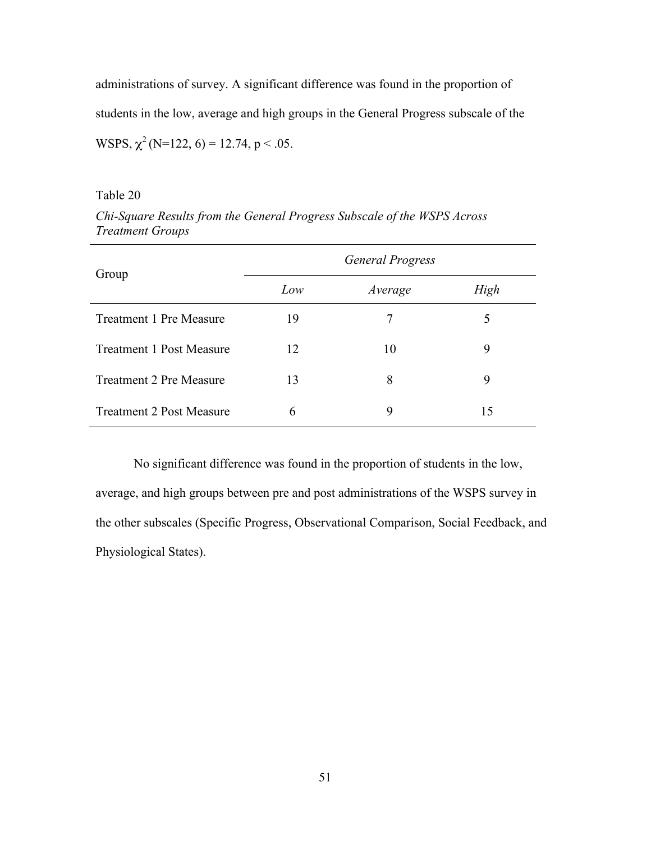administrations of survey. A significant difference was found in the proportion of students in the low, average and high groups in the General Progress subscale of the WSPS,  $\chi^2$  (N=122, 6) = 12.74, p < .05.

Table 20

| Group                           |     | <b>General Progress</b> |      |
|---------------------------------|-----|-------------------------|------|
|                                 | Low | Average                 | High |
| <b>Treatment 1 Pre Measure</b>  | 19  | 7                       | 5    |
| <b>Treatment 1 Post Measure</b> | 12  | 10                      | 9    |
| <b>Treatment 2 Pre Measure</b>  | 13  | 8                       | 9    |
| <b>Treatment 2 Post Measure</b> | 6   | 9                       | 15   |

*Chi-Square Results from the General Progress Subscale of the WSPS Across Treatment Groups*

No significant difference was found in the proportion of students in the low, average, and high groups between pre and post administrations of the WSPS survey in the other subscales (Specific Progress, Observational Comparison, Social Feedback, and Physiological States).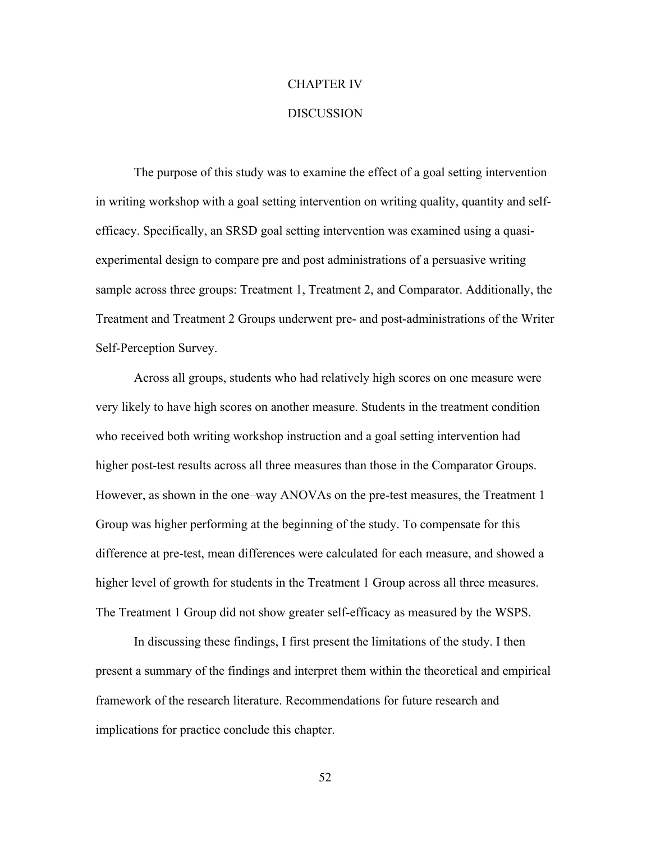### CHAPTER IV

#### **DISCUSSION**

The purpose of this study was to examine the effect of a goal setting intervention in writing workshop with a goal setting intervention on writing quality, quantity and selfefficacy. Specifically, an SRSD goal setting intervention was examined using a quasiexperimental design to compare pre and post administrations of a persuasive writing sample across three groups: Treatment 1, Treatment 2, and Comparator. Additionally, the Treatment and Treatment 2 Groups underwent pre- and post-administrations of the Writer Self-Perception Survey.

Across all groups, students who had relatively high scores on one measure were very likely to have high scores on another measure. Students in the treatment condition who received both writing workshop instruction and a goal setting intervention had higher post-test results across all three measures than those in the Comparator Groups. However, as shown in the one–way ANOVAs on the pre-test measures, the Treatment 1 Group was higher performing at the beginning of the study. To compensate for this difference at pre-test, mean differences were calculated for each measure, and showed a higher level of growth for students in the Treatment 1 Group across all three measures. The Treatment 1 Group did not show greater self-efficacy as measured by the WSPS.

In discussing these findings, I first present the limitations of the study. I then present a summary of the findings and interpret them within the theoretical and empirical framework of the research literature. Recommendations for future research and implications for practice conclude this chapter.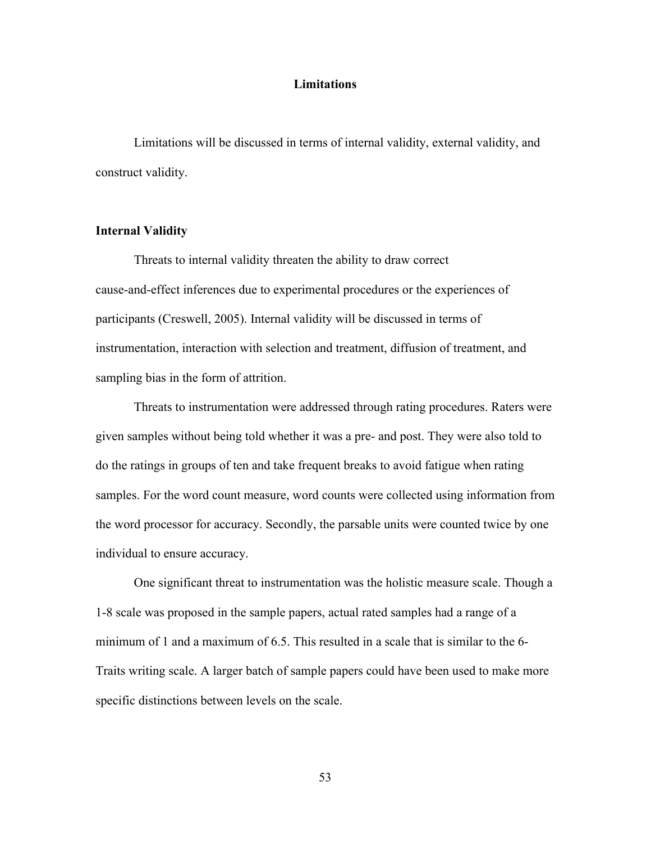#### **Limitations**

Limitations will be discussed in terms of internal validity, external validity, and construct validity.

# **Internal Validity**

Threats to internal validity threaten the ability to draw correct cause-and-effect inferences due to experimental procedures or the experiences of participants (Creswell, 2005). Internal validity will be discussed in terms of instrumentation, interaction with selection and treatment, diffusion of treatment, and sampling bias in the form of attrition.

Threats to instrumentation were addressed through rating procedures. Raters were given samples without being told whether it was a pre- and post. They were also told to do the ratings in groups of ten and take frequent breaks to avoid fatigue when rating samples. For the word count measure, word counts were collected using information from the word processor for accuracy. Secondly, the parsable units were counted twice by one individual to ensure accuracy.

One significant threat to instrumentation was the holistic measure scale. Though a 1-8 scale was proposed in the sample papers, actual rated samples had a range of a minimum of 1 and a maximum of 6.5. This resulted in a scale that is similar to the 6- Traits writing scale. A larger batch of sample papers could have been used to make more specific distinctions between levels on the scale.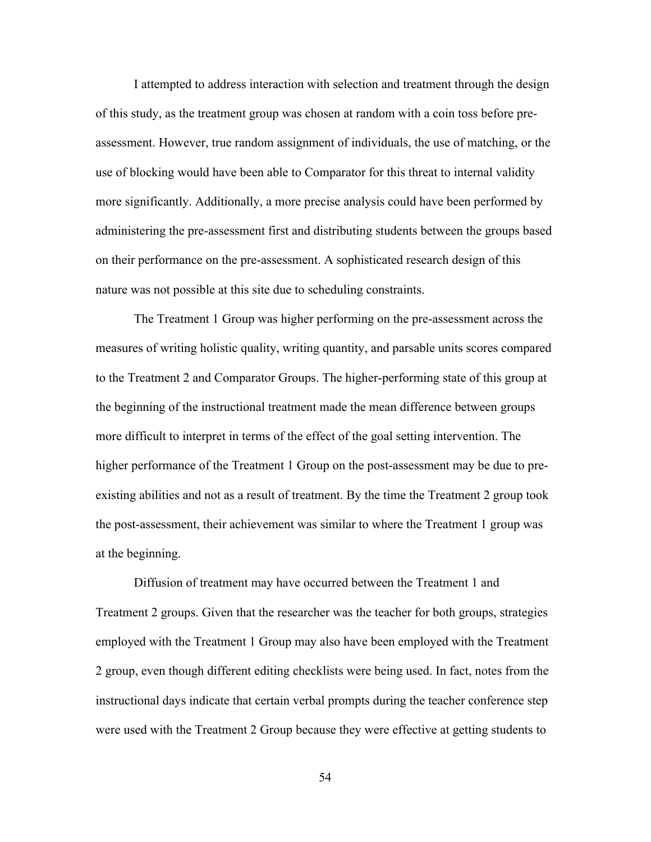I attempted to address interaction with selection and treatment through the design of this study, as the treatment group was chosen at random with a coin toss before preassessment. However, true random assignment of individuals, the use of matching, or the use of blocking would have been able to Comparator for this threat to internal validity more significantly. Additionally, a more precise analysis could have been performed by administering the pre-assessment first and distributing students between the groups based on their performance on the pre-assessment. A sophisticated research design of this nature was not possible at this site due to scheduling constraints.

The Treatment 1 Group was higher performing on the pre-assessment across the measures of writing holistic quality, writing quantity, and parsable units scores compared to the Treatment 2 and Comparator Groups. The higher-performing state of this group at the beginning of the instructional treatment made the mean difference between groups more difficult to interpret in terms of the effect of the goal setting intervention. The higher performance of the Treatment 1 Group on the post-assessment may be due to preexisting abilities and not as a result of treatment. By the time the Treatment 2 group took the post-assessment, their achievement was similar to where the Treatment 1 group was at the beginning.

Diffusion of treatment may have occurred between the Treatment 1 and Treatment 2 groups. Given that the researcher was the teacher for both groups, strategies employed with the Treatment 1 Group may also have been employed with the Treatment 2 group, even though different editing checklists were being used. In fact, notes from the instructional days indicate that certain verbal prompts during the teacher conference step were used with the Treatment 2 Group because they were effective at getting students to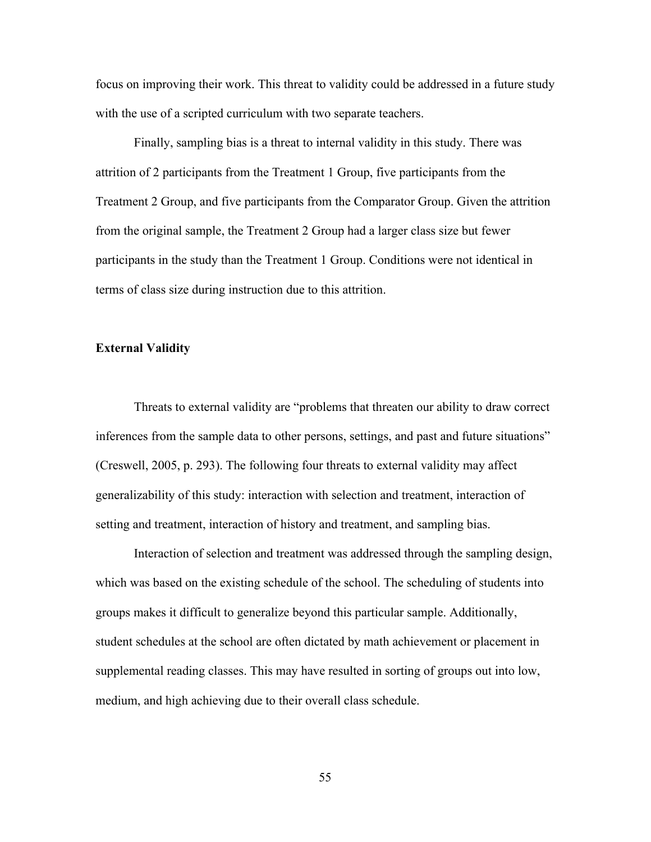focus on improving their work. This threat to validity could be addressed in a future study with the use of a scripted curriculum with two separate teachers.

Finally, sampling bias is a threat to internal validity in this study. There was attrition of 2 participants from the Treatment 1 Group, five participants from the Treatment 2 Group, and five participants from the Comparator Group. Given the attrition from the original sample, the Treatment 2 Group had a larger class size but fewer participants in the study than the Treatment 1 Group. Conditions were not identical in terms of class size during instruction due to this attrition.

# **External Validity**

Threats to external validity are "problems that threaten our ability to draw correct inferences from the sample data to other persons, settings, and past and future situations" (Creswell, 2005, p. 293). The following four threats to external validity may affect generalizability of this study: interaction with selection and treatment, interaction of setting and treatment, interaction of history and treatment, and sampling bias.

Interaction of selection and treatment was addressed through the sampling design, which was based on the existing schedule of the school. The scheduling of students into groups makes it difficult to generalize beyond this particular sample. Additionally, student schedules at the school are often dictated by math achievement or placement in supplemental reading classes. This may have resulted in sorting of groups out into low, medium, and high achieving due to their overall class schedule.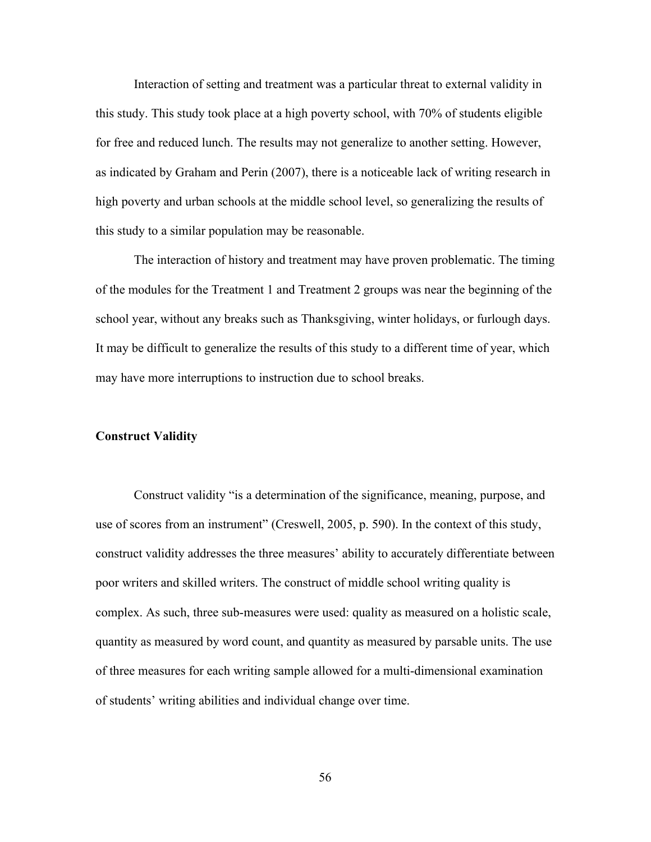Interaction of setting and treatment was a particular threat to external validity in this study. This study took place at a high poverty school, with 70% of students eligible for free and reduced lunch. The results may not generalize to another setting. However, as indicated by Graham and Perin (2007), there is a noticeable lack of writing research in high poverty and urban schools at the middle school level, so generalizing the results of this study to a similar population may be reasonable.

The interaction of history and treatment may have proven problematic. The timing of the modules for the Treatment 1 and Treatment 2 groups was near the beginning of the school year, without any breaks such as Thanksgiving, winter holidays, or furlough days. It may be difficult to generalize the results of this study to a different time of year, which may have more interruptions to instruction due to school breaks.

# **Construct Validity**

Construct validity "is a determination of the significance, meaning, purpose, and use of scores from an instrument" (Creswell, 2005, p. 590). In the context of this study, construct validity addresses the three measures' ability to accurately differentiate between poor writers and skilled writers. The construct of middle school writing quality is complex. As such, three sub-measures were used: quality as measured on a holistic scale, quantity as measured by word count, and quantity as measured by parsable units. The use of three measures for each writing sample allowed for a multi-dimensional examination of students' writing abilities and individual change over time.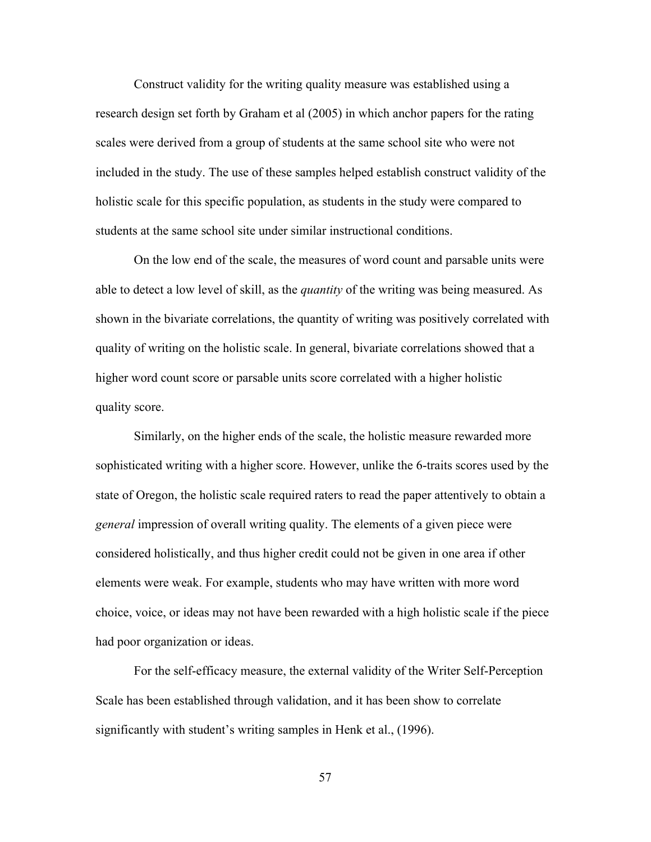Construct validity for the writing quality measure was established using a research design set forth by Graham et al (2005) in which anchor papers for the rating scales were derived from a group of students at the same school site who were not included in the study. The use of these samples helped establish construct validity of the holistic scale for this specific population, as students in the study were compared to students at the same school site under similar instructional conditions.

On the low end of the scale, the measures of word count and parsable units were able to detect a low level of skill, as the *quantity* of the writing was being measured. As shown in the bivariate correlations, the quantity of writing was positively correlated with quality of writing on the holistic scale. In general, bivariate correlations showed that a higher word count score or parsable units score correlated with a higher holistic quality score.

Similarly, on the higher ends of the scale, the holistic measure rewarded more sophisticated writing with a higher score. However, unlike the 6-traits scores used by the state of Oregon, the holistic scale required raters to read the paper attentively to obtain a *general* impression of overall writing quality. The elements of a given piece were considered holistically, and thus higher credit could not be given in one area if other elements were weak. For example, students who may have written with more word choice, voice, or ideas may not have been rewarded with a high holistic scale if the piece had poor organization or ideas.

For the self-efficacy measure, the external validity of the Writer Self-Perception Scale has been established through validation, and it has been show to correlate significantly with student's writing samples in Henk et al., (1996).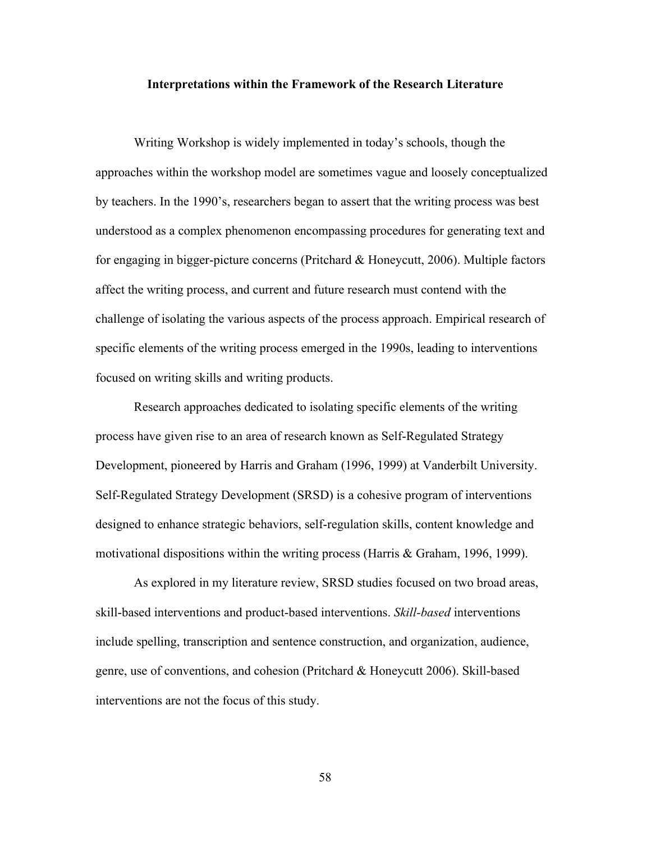#### **Interpretations within the Framework of the Research Literature**

Writing Workshop is widely implemented in today's schools, though the approaches within the workshop model are sometimes vague and loosely conceptualized by teachers. In the 1990's, researchers began to assert that the writing process was best understood as a complex phenomenon encompassing procedures for generating text and for engaging in bigger-picture concerns (Pritchard & Honeycutt, 2006). Multiple factors affect the writing process, and current and future research must contend with the challenge of isolating the various aspects of the process approach. Empirical research of specific elements of the writing process emerged in the 1990s, leading to interventions focused on writing skills and writing products.

Research approaches dedicated to isolating specific elements of the writing process have given rise to an area of research known as Self-Regulated Strategy Development, pioneered by Harris and Graham (1996, 1999) at Vanderbilt University. Self-Regulated Strategy Development (SRSD) is a cohesive program of interventions designed to enhance strategic behaviors, self-regulation skills, content knowledge and motivational dispositions within the writing process (Harris & Graham, 1996, 1999).

As explored in my literature review, SRSD studies focused on two broad areas, skill-based interventions and product-based interventions. *Skill-based* interventions include spelling, transcription and sentence construction, and organization, audience, genre, use of conventions, and cohesion (Pritchard & Honeycutt 2006). Skill-based interventions are not the focus of this study.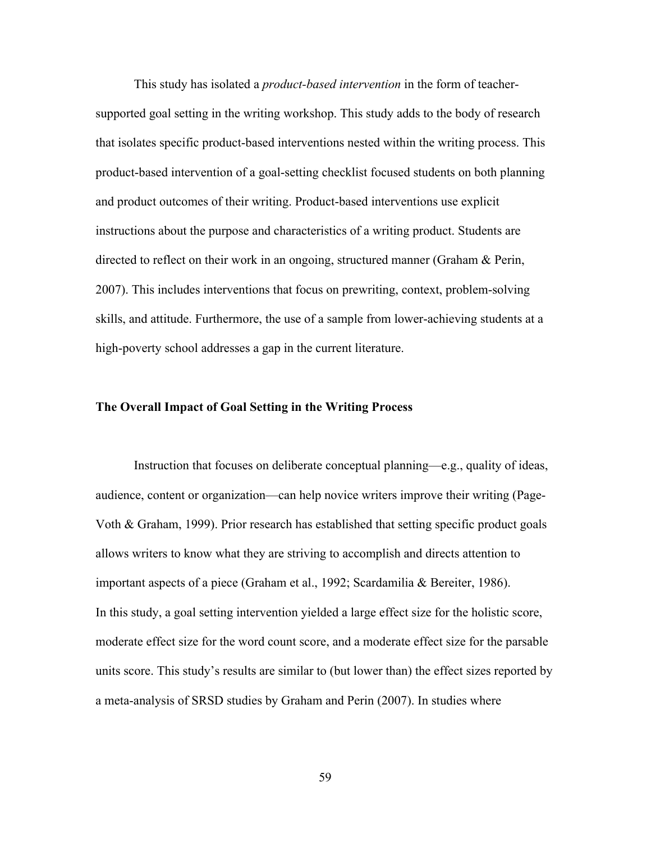This study has isolated a *product-based intervention* in the form of teachersupported goal setting in the writing workshop. This study adds to the body of research that isolates specific product-based interventions nested within the writing process. This product-based intervention of a goal-setting checklist focused students on both planning and product outcomes of their writing. Product-based interventions use explicit instructions about the purpose and characteristics of a writing product. Students are directed to reflect on their work in an ongoing, structured manner (Graham & Perin, 2007). This includes interventions that focus on prewriting, context, problem-solving skills, and attitude. Furthermore, the use of a sample from lower-achieving students at a high-poverty school addresses a gap in the current literature.

# **The Overall Impact of Goal Setting in the Writing Process**

Instruction that focuses on deliberate conceptual planning—e.g., quality of ideas, audience, content or organization—can help novice writers improve their writing (Page-Voth & Graham, 1999). Prior research has established that setting specific product goals allows writers to know what they are striving to accomplish and directs attention to important aspects of a piece (Graham et al., 1992; Scardamilia & Bereiter, 1986). In this study, a goal setting intervention yielded a large effect size for the holistic score, moderate effect size for the word count score, and a moderate effect size for the parsable units score. This study's results are similar to (but lower than) the effect sizes reported by a meta-analysis of SRSD studies by Graham and Perin (2007). In studies where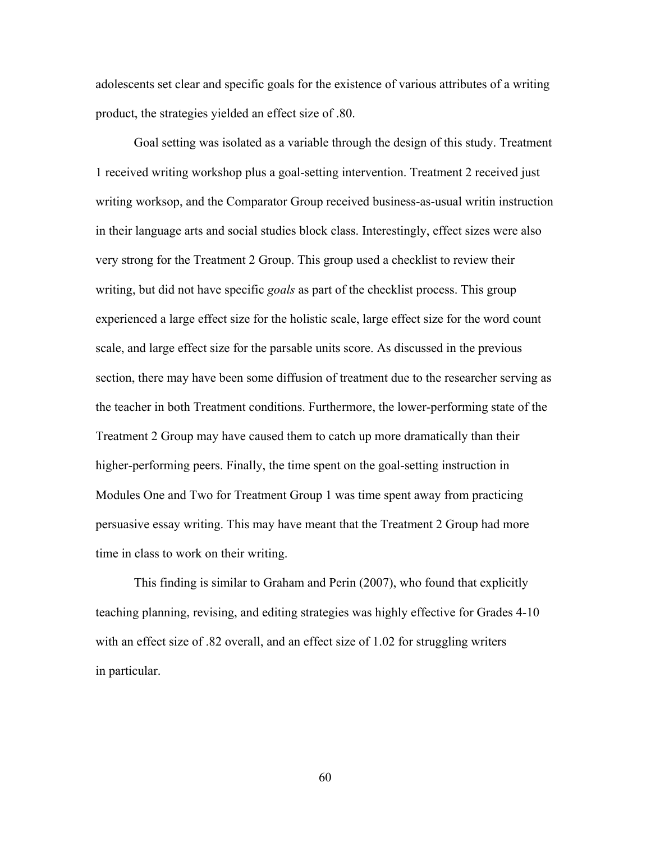adolescents set clear and specific goals for the existence of various attributes of a writing product, the strategies yielded an effect size of .80.

Goal setting was isolated as a variable through the design of this study. Treatment 1 received writing workshop plus a goal-setting intervention. Treatment 2 received just writing worksop, and the Comparator Group received business-as-usual writin instruction in their language arts and social studies block class. Interestingly, effect sizes were also very strong for the Treatment 2 Group. This group used a checklist to review their writing, but did not have specific *goals* as part of the checklist process. This group experienced a large effect size for the holistic scale, large effect size for the word count scale, and large effect size for the parsable units score. As discussed in the previous section, there may have been some diffusion of treatment due to the researcher serving as the teacher in both Treatment conditions. Furthermore, the lower-performing state of the Treatment 2 Group may have caused them to catch up more dramatically than their higher-performing peers. Finally, the time spent on the goal-setting instruction in Modules One and Two for Treatment Group 1 was time spent away from practicing persuasive essay writing. This may have meant that the Treatment 2 Group had more time in class to work on their writing.

This finding is similar to Graham and Perin (2007), who found that explicitly teaching planning, revising, and editing strategies was highly effective for Grades 4-10 with an effect size of .82 overall, and an effect size of 1.02 for struggling writers in particular.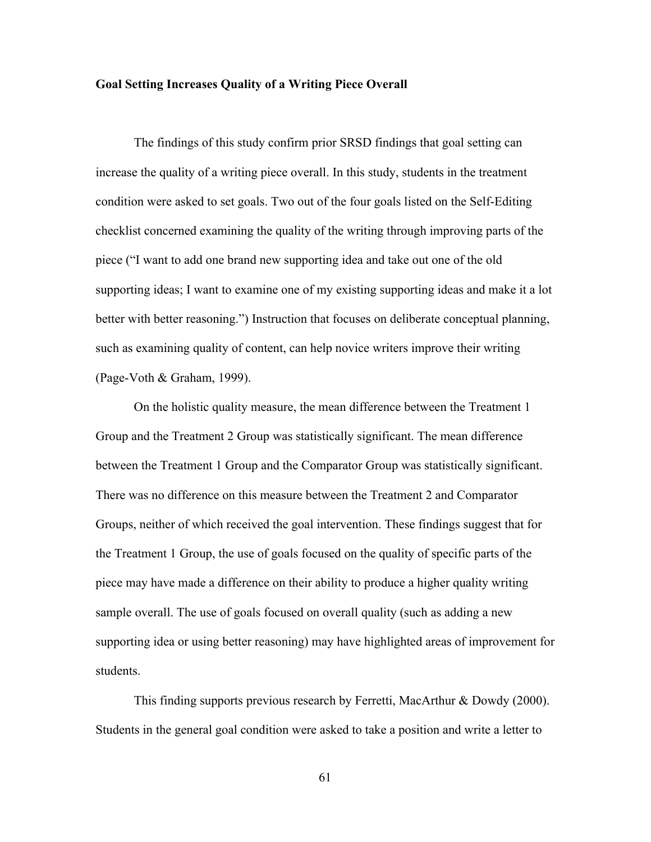#### **Goal Setting Increases Quality of a Writing Piece Overall**

The findings of this study confirm prior SRSD findings that goal setting can increase the quality of a writing piece overall. In this study, students in the treatment condition were asked to set goals. Two out of the four goals listed on the Self-Editing checklist concerned examining the quality of the writing through improving parts of the piece ("I want to add one brand new supporting idea and take out one of the old supporting ideas; I want to examine one of my existing supporting ideas and make it a lot better with better reasoning.") Instruction that focuses on deliberate conceptual planning, such as examining quality of content, can help novice writers improve their writing (Page-Voth & Graham, 1999).

On the holistic quality measure, the mean difference between the Treatment 1 Group and the Treatment 2 Group was statistically significant. The mean difference between the Treatment 1 Group and the Comparator Group was statistically significant. There was no difference on this measure between the Treatment 2 and Comparator Groups, neither of which received the goal intervention. These findings suggest that for the Treatment 1 Group, the use of goals focused on the quality of specific parts of the piece may have made a difference on their ability to produce a higher quality writing sample overall. The use of goals focused on overall quality (such as adding a new supporting idea or using better reasoning) may have highlighted areas of improvement for students.

This finding supports previous research by Ferretti, MacArthur & Dowdy (2000). Students in the general goal condition were asked to take a position and write a letter to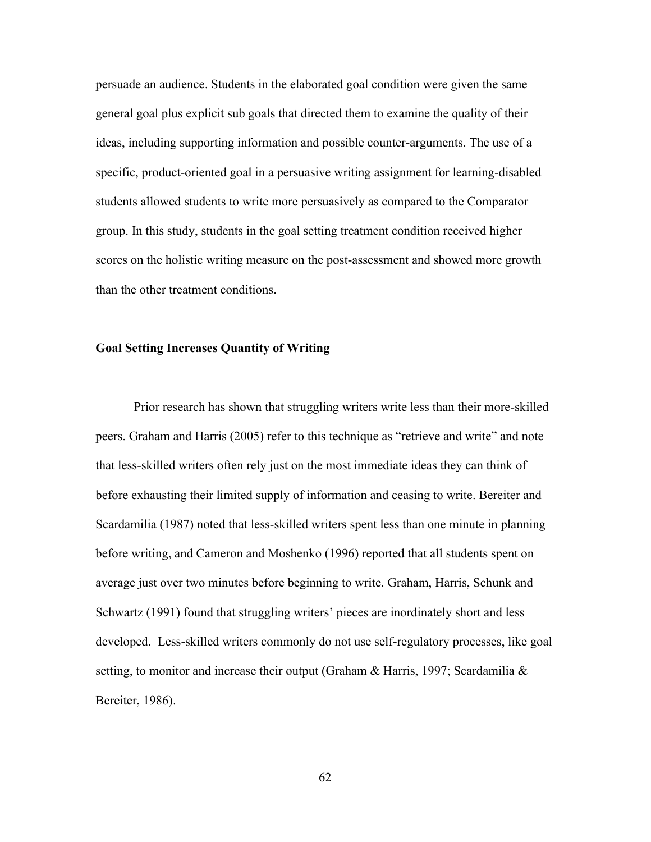persuade an audience. Students in the elaborated goal condition were given the same general goal plus explicit sub goals that directed them to examine the quality of their ideas, including supporting information and possible counter-arguments. The use of a specific, product-oriented goal in a persuasive writing assignment for learning-disabled students allowed students to write more persuasively as compared to the Comparator group. In this study, students in the goal setting treatment condition received higher scores on the holistic writing measure on the post-assessment and showed more growth than the other treatment conditions.

#### **Goal Setting Increases Quantity of Writing**

Prior research has shown that struggling writers write less than their more-skilled peers. Graham and Harris (2005) refer to this technique as "retrieve and write" and note that less-skilled writers often rely just on the most immediate ideas they can think of before exhausting their limited supply of information and ceasing to write. Bereiter and Scardamilia (1987) noted that less-skilled writers spent less than one minute in planning before writing, and Cameron and Moshenko (1996) reported that all students spent on average just over two minutes before beginning to write. Graham, Harris, Schunk and Schwartz (1991) found that struggling writers' pieces are inordinately short and less developed. Less-skilled writers commonly do not use self-regulatory processes, like goal setting, to monitor and increase their output (Graham & Harris, 1997; Scardamilia & Bereiter, 1986).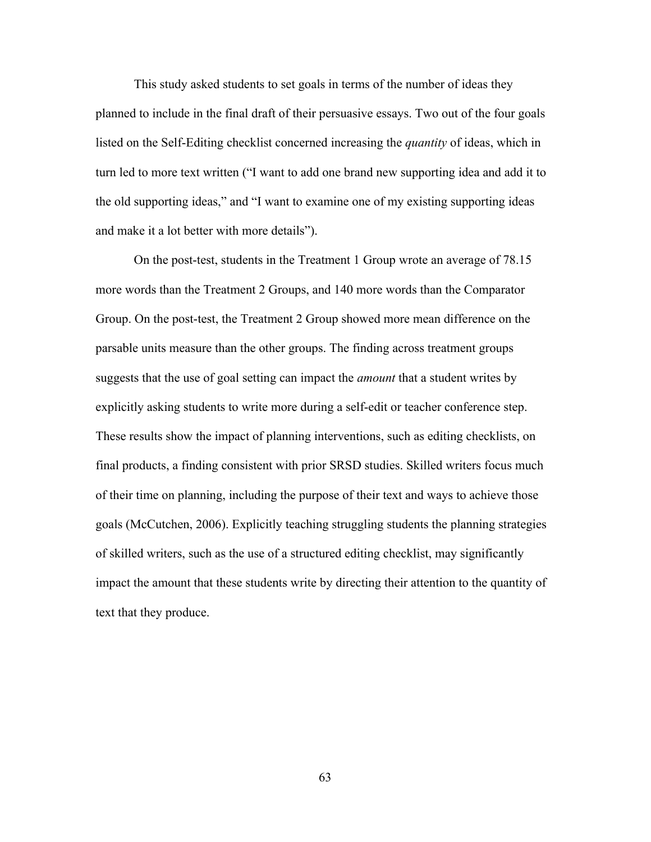This study asked students to set goals in terms of the number of ideas they planned to include in the final draft of their persuasive essays. Two out of the four goals listed on the Self-Editing checklist concerned increasing the *quantity* of ideas, which in turn led to more text written ("I want to add one brand new supporting idea and add it to the old supporting ideas," and "I want to examine one of my existing supporting ideas and make it a lot better with more details").

On the post-test, students in the Treatment 1 Group wrote an average of 78.15 more words than the Treatment 2 Groups, and 140 more words than the Comparator Group. On the post-test, the Treatment 2 Group showed more mean difference on the parsable units measure than the other groups. The finding across treatment groups suggests that the use of goal setting can impact the *amount* that a student writes by explicitly asking students to write more during a self-edit or teacher conference step. These results show the impact of planning interventions, such as editing checklists, on final products, a finding consistent with prior SRSD studies. Skilled writers focus much of their time on planning, including the purpose of their text and ways to achieve those goals (McCutchen, 2006). Explicitly teaching struggling students the planning strategies of skilled writers, such as the use of a structured editing checklist, may significantly impact the amount that these students write by directing their attention to the quantity of text that they produce.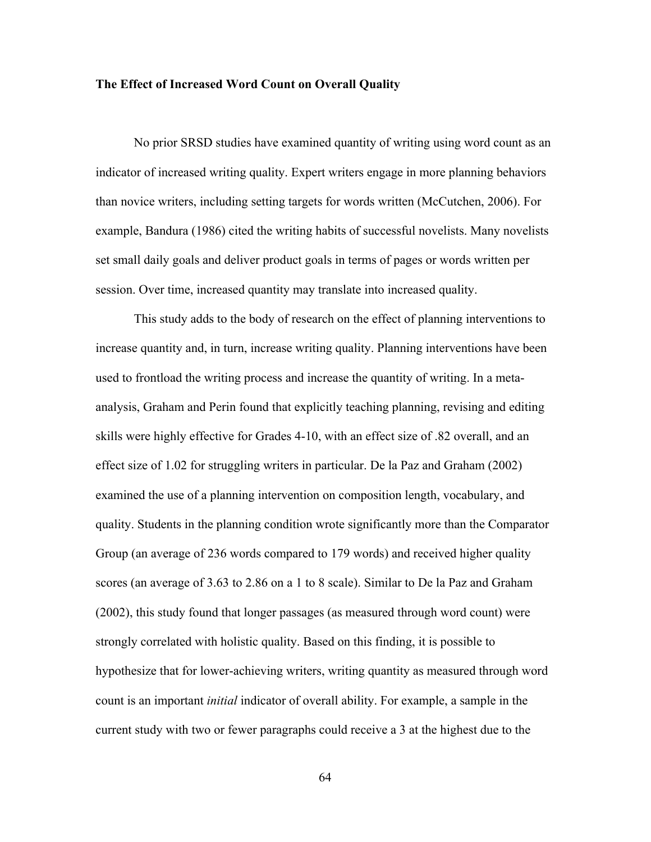#### **The Effect of Increased Word Count on Overall Quality**

No prior SRSD studies have examined quantity of writing using word count as an indicator of increased writing quality. Expert writers engage in more planning behaviors than novice writers, including setting targets for words written (McCutchen, 2006). For example, Bandura (1986) cited the writing habits of successful novelists. Many novelists set small daily goals and deliver product goals in terms of pages or words written per session. Over time, increased quantity may translate into increased quality.

This study adds to the body of research on the effect of planning interventions to increase quantity and, in turn, increase writing quality. Planning interventions have been used to frontload the writing process and increase the quantity of writing. In a metaanalysis, Graham and Perin found that explicitly teaching planning, revising and editing skills were highly effective for Grades 4-10, with an effect size of .82 overall, and an effect size of 1.02 for struggling writers in particular. De la Paz and Graham (2002) examined the use of a planning intervention on composition length, vocabulary, and quality. Students in the planning condition wrote significantly more than the Comparator Group (an average of 236 words compared to 179 words) and received higher quality scores (an average of 3.63 to 2.86 on a 1 to 8 scale). Similar to De la Paz and Graham (2002), this study found that longer passages (as measured through word count) were strongly correlated with holistic quality. Based on this finding, it is possible to hypothesize that for lower-achieving writers, writing quantity as measured through word count is an important *initial* indicator of overall ability. For example, a sample in the current study with two or fewer paragraphs could receive a 3 at the highest due to the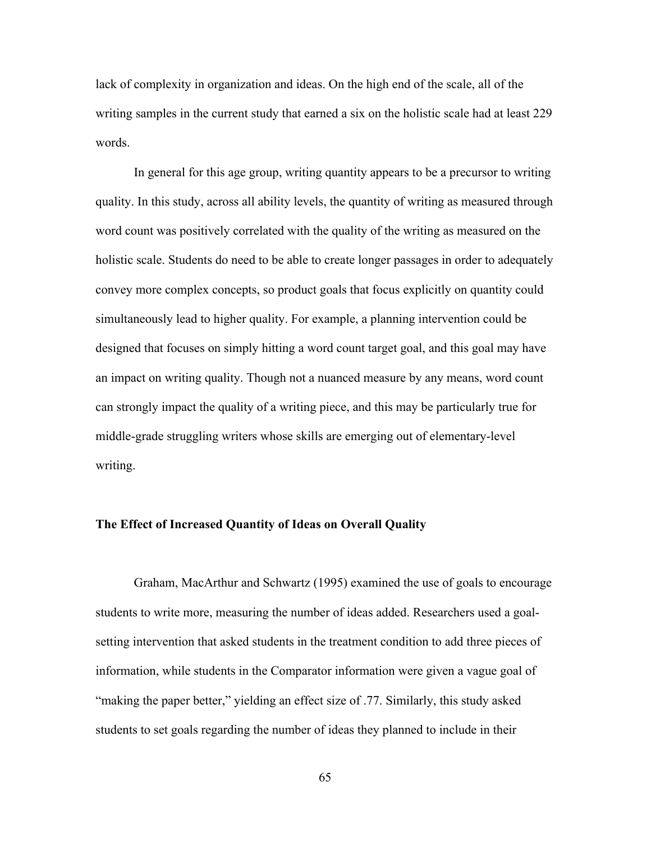lack of complexity in organization and ideas. On the high end of the scale, all of the writing samples in the current study that earned a six on the holistic scale had at least 229 words.

In general for this age group, writing quantity appears to be a precursor to writing quality. In this study, across all ability levels, the quantity of writing as measured through word count was positively correlated with the quality of the writing as measured on the holistic scale. Students do need to be able to create longer passages in order to adequately convey more complex concepts, so product goals that focus explicitly on quantity could simultaneously lead to higher quality. For example, a planning intervention could be designed that focuses on simply hitting a word count target goal, and this goal may have an impact on writing quality. Though not a nuanced measure by any means, word count can strongly impact the quality of a writing piece, and this may be particularly true for middle-grade struggling writers whose skills are emerging out of elementary-level writing.

#### **The Effect of Increased Quantity of Ideas on Overall Quality**

Graham, MacArthur and Schwartz (1995) examined the use of goals to encourage students to write more, measuring the number of ideas added. Researchers used a goalsetting intervention that asked students in the treatment condition to add three pieces of information, while students in the Comparator information were given a vague goal of "making the paper better," yielding an effect size of .77. Similarly, this study asked students to set goals regarding the number of ideas they planned to include in their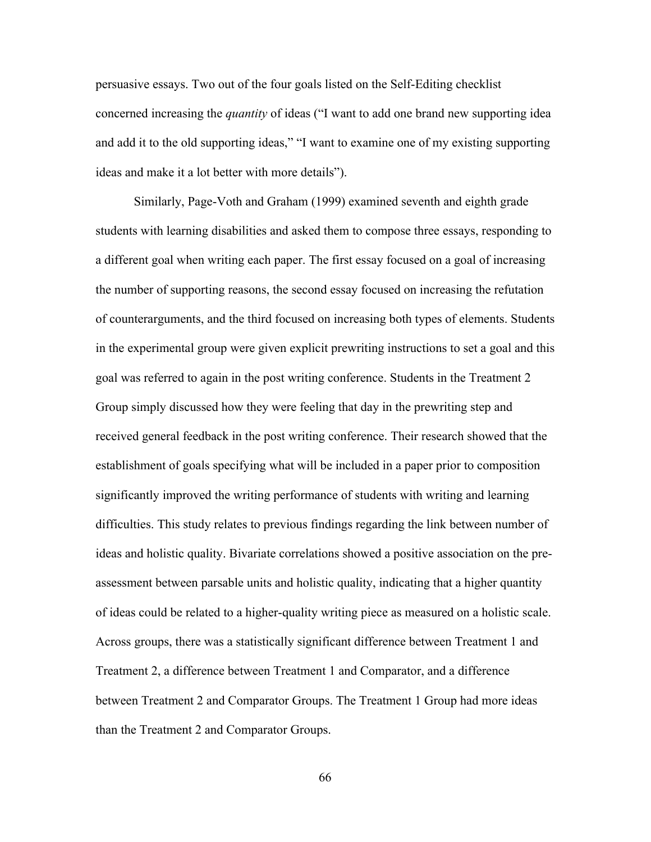persuasive essays. Two out of the four goals listed on the Self-Editing checklist concerned increasing the *quantity* of ideas ("I want to add one brand new supporting idea and add it to the old supporting ideas," "I want to examine one of my existing supporting ideas and make it a lot better with more details").

Similarly, Page-Voth and Graham (1999) examined seventh and eighth grade students with learning disabilities and asked them to compose three essays, responding to a different goal when writing each paper. The first essay focused on a goal of increasing the number of supporting reasons, the second essay focused on increasing the refutation of counterarguments, and the third focused on increasing both types of elements. Students in the experimental group were given explicit prewriting instructions to set a goal and this goal was referred to again in the post writing conference. Students in the Treatment 2 Group simply discussed how they were feeling that day in the prewriting step and received general feedback in the post writing conference. Their research showed that the establishment of goals specifying what will be included in a paper prior to composition significantly improved the writing performance of students with writing and learning difficulties. This study relates to previous findings regarding the link between number of ideas and holistic quality. Bivariate correlations showed a positive association on the preassessment between parsable units and holistic quality, indicating that a higher quantity of ideas could be related to a higher-quality writing piece as measured on a holistic scale. Across groups, there was a statistically significant difference between Treatment 1 and Treatment 2, a difference between Treatment 1 and Comparator, and a difference between Treatment 2 and Comparator Groups. The Treatment 1 Group had more ideas than the Treatment 2 and Comparator Groups.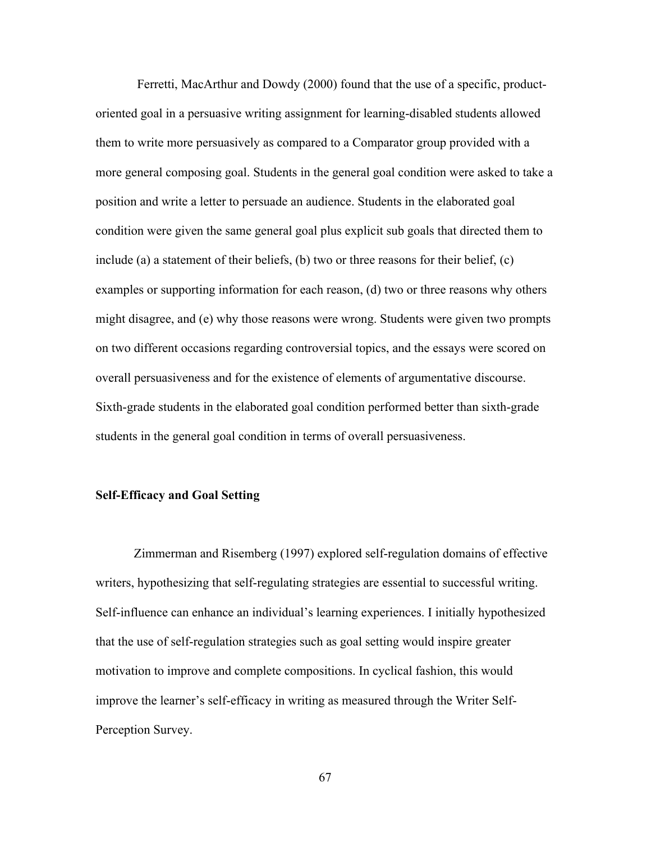Ferretti, MacArthur and Dowdy (2000) found that the use of a specific, productoriented goal in a persuasive writing assignment for learning-disabled students allowed them to write more persuasively as compared to a Comparator group provided with a more general composing goal. Students in the general goal condition were asked to take a position and write a letter to persuade an audience. Students in the elaborated goal condition were given the same general goal plus explicit sub goals that directed them to include (a) a statement of their beliefs, (b) two or three reasons for their belief, (c) examples or supporting information for each reason, (d) two or three reasons why others might disagree, and (e) why those reasons were wrong. Students were given two prompts on two different occasions regarding controversial topics, and the essays were scored on overall persuasiveness and for the existence of elements of argumentative discourse. Sixth-grade students in the elaborated goal condition performed better than sixth-grade students in the general goal condition in terms of overall persuasiveness.

#### **Self-Efficacy and Goal Setting**

Zimmerman and Risemberg (1997) explored self-regulation domains of effective writers, hypothesizing that self-regulating strategies are essential to successful writing. Self-influence can enhance an individual's learning experiences. I initially hypothesized that the use of self-regulation strategies such as goal setting would inspire greater motivation to improve and complete compositions. In cyclical fashion, this would improve the learner's self-efficacy in writing as measured through the Writer Self-Perception Survey.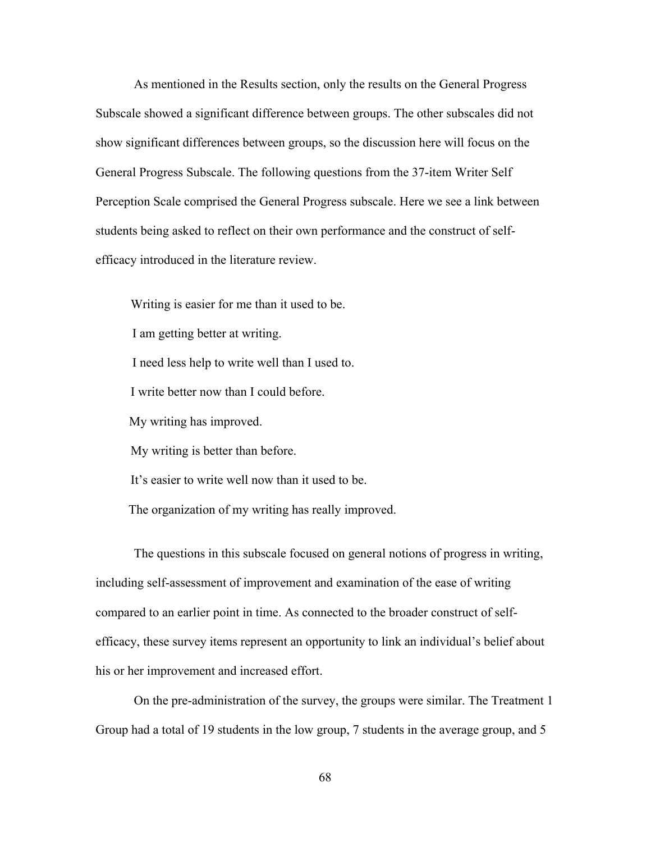As mentioned in the Results section, only the results on the General Progress Subscale showed a significant difference between groups. The other subscales did not show significant differences between groups, so the discussion here will focus on the General Progress Subscale. The following questions from the 37-item Writer Self Perception Scale comprised the General Progress subscale. Here we see a link between students being asked to reflect on their own performance and the construct of selfefficacy introduced in the literature review.

 Writing is easier for me than it used to be. I am getting better at writing. I need less help to write well than I used to. I write better now than I could before. My writing has improved. My writing is better than before. It's easier to write well now than it used to be. The organization of my writing has really improved.

The questions in this subscale focused on general notions of progress in writing, including self-assessment of improvement and examination of the ease of writing compared to an earlier point in time. As connected to the broader construct of selfefficacy, these survey items represent an opportunity to link an individual's belief about his or her improvement and increased effort.

On the pre-administration of the survey, the groups were similar. The Treatment 1 Group had a total of 19 students in the low group, 7 students in the average group, and 5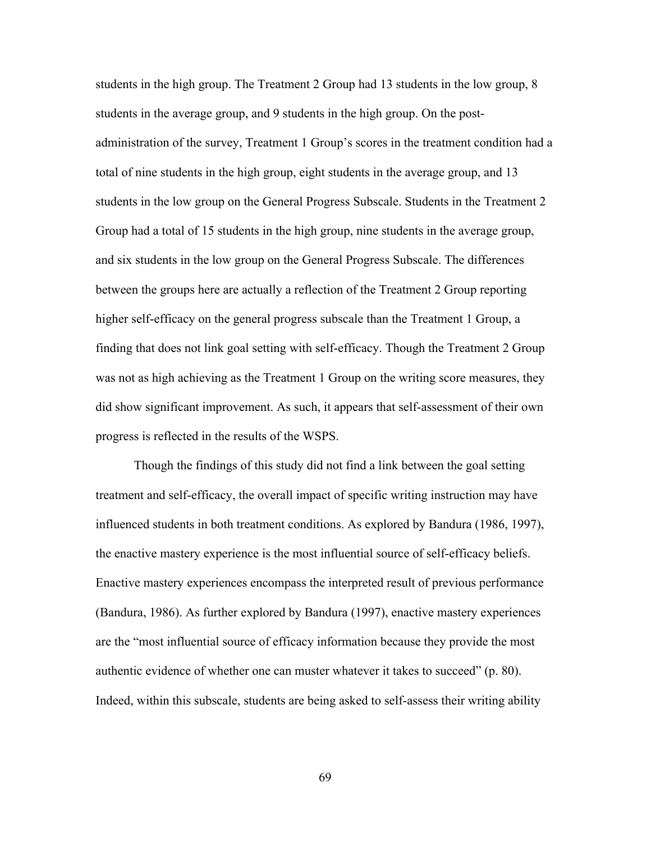students in the high group. The Treatment 2 Group had 13 students in the low group, 8 students in the average group, and 9 students in the high group. On the postadministration of the survey, Treatment 1 Group's scores in the treatment condition had a total of nine students in the high group, eight students in the average group, and 13 students in the low group on the General Progress Subscale. Students in the Treatment 2 Group had a total of 15 students in the high group, nine students in the average group, and six students in the low group on the General Progress Subscale. The differences between the groups here are actually a reflection of the Treatment 2 Group reporting higher self-efficacy on the general progress subscale than the Treatment 1 Group, a finding that does not link goal setting with self-efficacy. Though the Treatment 2 Group was not as high achieving as the Treatment 1 Group on the writing score measures, they did show significant improvement. As such, it appears that self-assessment of their own progress is reflected in the results of the WSPS.

Though the findings of this study did not find a link between the goal setting treatment and self-efficacy, the overall impact of specific writing instruction may have influenced students in both treatment conditions. As explored by Bandura (1986, 1997), the enactive mastery experience is the most influential source of self-efficacy beliefs. Enactive mastery experiences encompass the interpreted result of previous performance (Bandura, 1986). As further explored by Bandura (1997), enactive mastery experiences are the "most influential source of efficacy information because they provide the most authentic evidence of whether one can muster whatever it takes to succeed" (p. 80). Indeed, within this subscale, students are being asked to self-assess their writing ability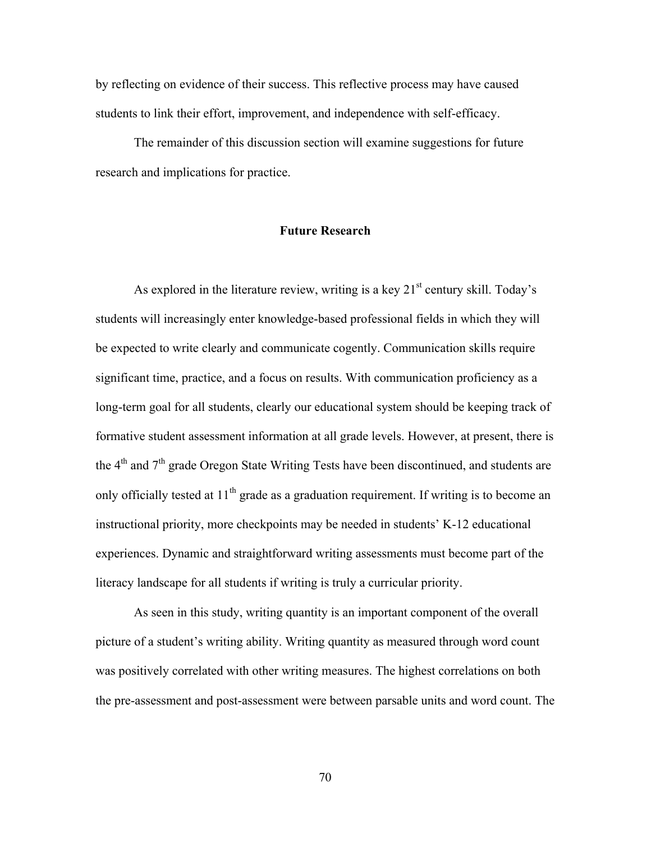by reflecting on evidence of their success. This reflective process may have caused students to link their effort, improvement, and independence with self-efficacy.

The remainder of this discussion section will examine suggestions for future research and implications for practice.

#### **Future Research**

As explored in the literature review, writing is a key  $21<sup>st</sup>$  century skill. Today's students will increasingly enter knowledge-based professional fields in which they will be expected to write clearly and communicate cogently. Communication skills require significant time, practice, and a focus on results. With communication proficiency as a long-term goal for all students, clearly our educational system should be keeping track of formative student assessment information at all grade levels. However, at present, there is the  $4<sup>th</sup>$  and  $7<sup>th</sup>$  grade Oregon State Writing Tests have been discontinued, and students are only officially tested at  $11<sup>th</sup>$  grade as a graduation requirement. If writing is to become an instructional priority, more checkpoints may be needed in students' K-12 educational experiences. Dynamic and straightforward writing assessments must become part of the literacy landscape for all students if writing is truly a curricular priority.

As seen in this study, writing quantity is an important component of the overall picture of a student's writing ability. Writing quantity as measured through word count was positively correlated with other writing measures. The highest correlations on both the pre-assessment and post-assessment were between parsable units and word count. The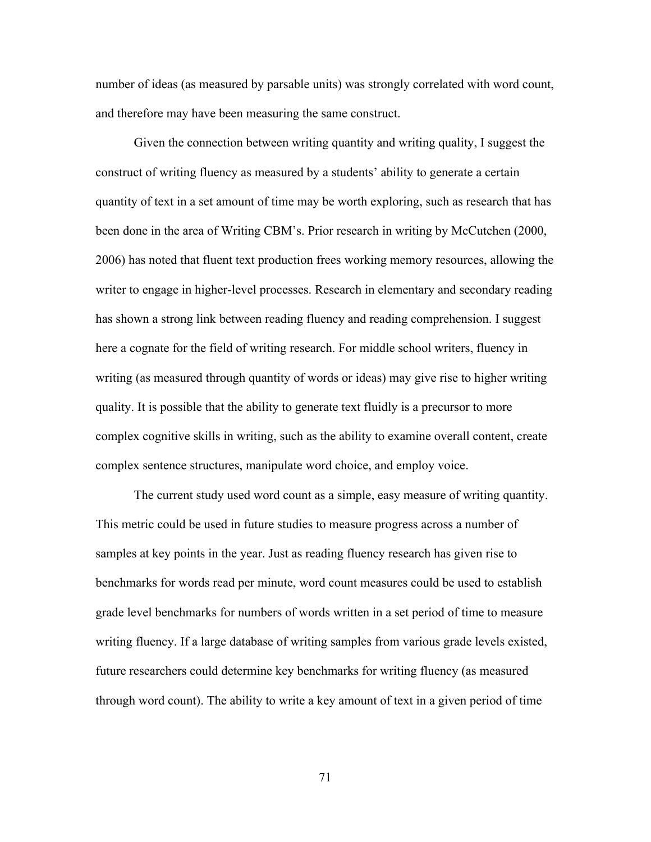number of ideas (as measured by parsable units) was strongly correlated with word count, and therefore may have been measuring the same construct.

Given the connection between writing quantity and writing quality, I suggest the construct of writing fluency as measured by a students' ability to generate a certain quantity of text in a set amount of time may be worth exploring, such as research that has been done in the area of Writing CBM's. Prior research in writing by McCutchen (2000, 2006) has noted that fluent text production frees working memory resources, allowing the writer to engage in higher-level processes. Research in elementary and secondary reading has shown a strong link between reading fluency and reading comprehension. I suggest here a cognate for the field of writing research. For middle school writers, fluency in writing (as measured through quantity of words or ideas) may give rise to higher writing quality. It is possible that the ability to generate text fluidly is a precursor to more complex cognitive skills in writing, such as the ability to examine overall content, create complex sentence structures, manipulate word choice, and employ voice.

The current study used word count as a simple, easy measure of writing quantity. This metric could be used in future studies to measure progress across a number of samples at key points in the year. Just as reading fluency research has given rise to benchmarks for words read per minute, word count measures could be used to establish grade level benchmarks for numbers of words written in a set period of time to measure writing fluency. If a large database of writing samples from various grade levels existed, future researchers could determine key benchmarks for writing fluency (as measured through word count). The ability to write a key amount of text in a given period of time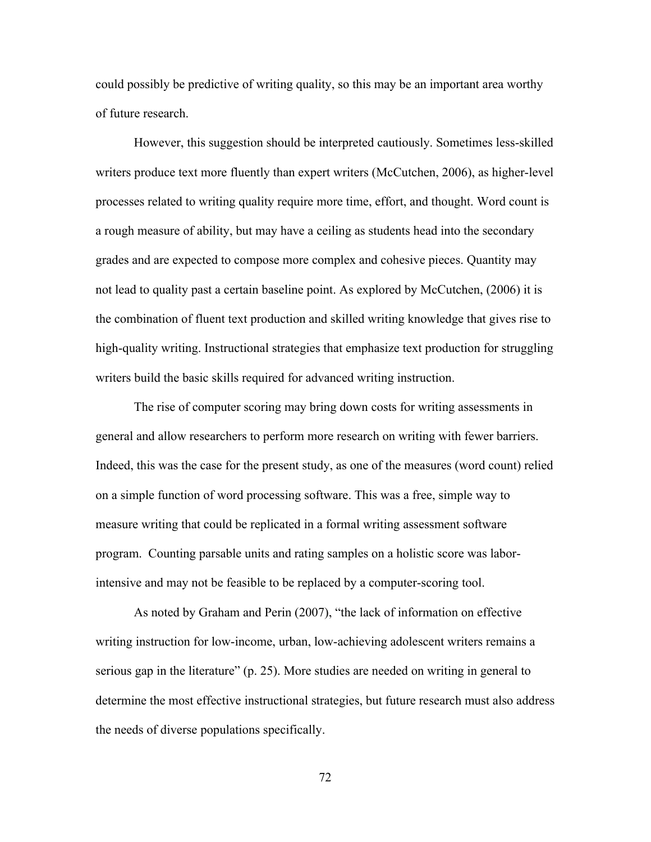could possibly be predictive of writing quality, so this may be an important area worthy of future research.

However, this suggestion should be interpreted cautiously. Sometimes less-skilled writers produce text more fluently than expert writers (McCutchen, 2006), as higher-level processes related to writing quality require more time, effort, and thought. Word count is a rough measure of ability, but may have a ceiling as students head into the secondary grades and are expected to compose more complex and cohesive pieces. Quantity may not lead to quality past a certain baseline point. As explored by McCutchen, (2006) it is the combination of fluent text production and skilled writing knowledge that gives rise to high-quality writing. Instructional strategies that emphasize text production for struggling writers build the basic skills required for advanced writing instruction.

The rise of computer scoring may bring down costs for writing assessments in general and allow researchers to perform more research on writing with fewer barriers. Indeed, this was the case for the present study, as one of the measures (word count) relied on a simple function of word processing software. This was a free, simple way to measure writing that could be replicated in a formal writing assessment software program. Counting parsable units and rating samples on a holistic score was laborintensive and may not be feasible to be replaced by a computer-scoring tool.

As noted by Graham and Perin (2007), "the lack of information on effective writing instruction for low-income, urban, low-achieving adolescent writers remains a serious gap in the literature" (p. 25). More studies are needed on writing in general to determine the most effective instructional strategies, but future research must also address the needs of diverse populations specifically.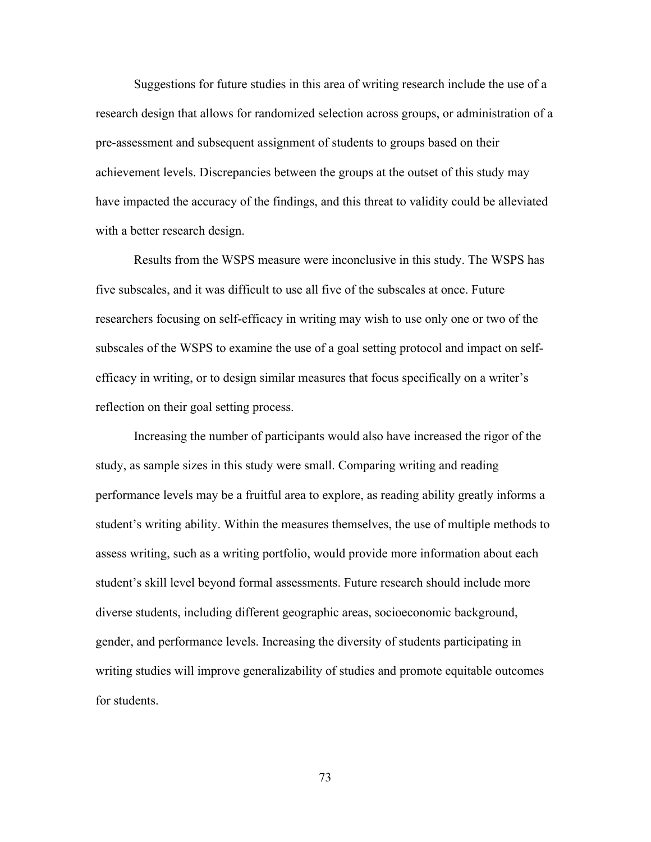Suggestions for future studies in this area of writing research include the use of a research design that allows for randomized selection across groups, or administration of a pre-assessment and subsequent assignment of students to groups based on their achievement levels. Discrepancies between the groups at the outset of this study may have impacted the accuracy of the findings, and this threat to validity could be alleviated with a better research design.

Results from the WSPS measure were inconclusive in this study. The WSPS has five subscales, and it was difficult to use all five of the subscales at once. Future researchers focusing on self-efficacy in writing may wish to use only one or two of the subscales of the WSPS to examine the use of a goal setting protocol and impact on selfefficacy in writing, or to design similar measures that focus specifically on a writer's reflection on their goal setting process.

Increasing the number of participants would also have increased the rigor of the study, as sample sizes in this study were small. Comparing writing and reading performance levels may be a fruitful area to explore, as reading ability greatly informs a student's writing ability. Within the measures themselves, the use of multiple methods to assess writing, such as a writing portfolio, would provide more information about each student's skill level beyond formal assessments. Future research should include more diverse students, including different geographic areas, socioeconomic background, gender, and performance levels. Increasing the diversity of students participating in writing studies will improve generalizability of studies and promote equitable outcomes for students.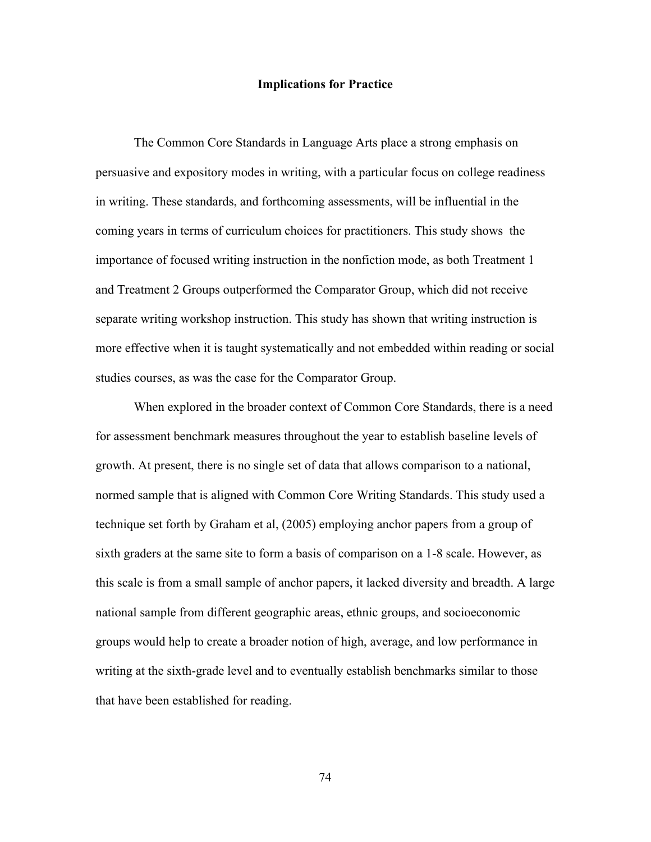#### **Implications for Practice**

The Common Core Standards in Language Arts place a strong emphasis on persuasive and expository modes in writing, with a particular focus on college readiness in writing. These standards, and forthcoming assessments, will be influential in the coming years in terms of curriculum choices for practitioners. This study shows the importance of focused writing instruction in the nonfiction mode, as both Treatment 1 and Treatment 2 Groups outperformed the Comparator Group, which did not receive separate writing workshop instruction. This study has shown that writing instruction is more effective when it is taught systematically and not embedded within reading or social studies courses, as was the case for the Comparator Group.

When explored in the broader context of Common Core Standards, there is a need for assessment benchmark measures throughout the year to establish baseline levels of growth. At present, there is no single set of data that allows comparison to a national, normed sample that is aligned with Common Core Writing Standards. This study used a technique set forth by Graham et al, (2005) employing anchor papers from a group of sixth graders at the same site to form a basis of comparison on a 1-8 scale. However, as this scale is from a small sample of anchor papers, it lacked diversity and breadth. A large national sample from different geographic areas, ethnic groups, and socioeconomic groups would help to create a broader notion of high, average, and low performance in writing at the sixth-grade level and to eventually establish benchmarks similar to those that have been established for reading.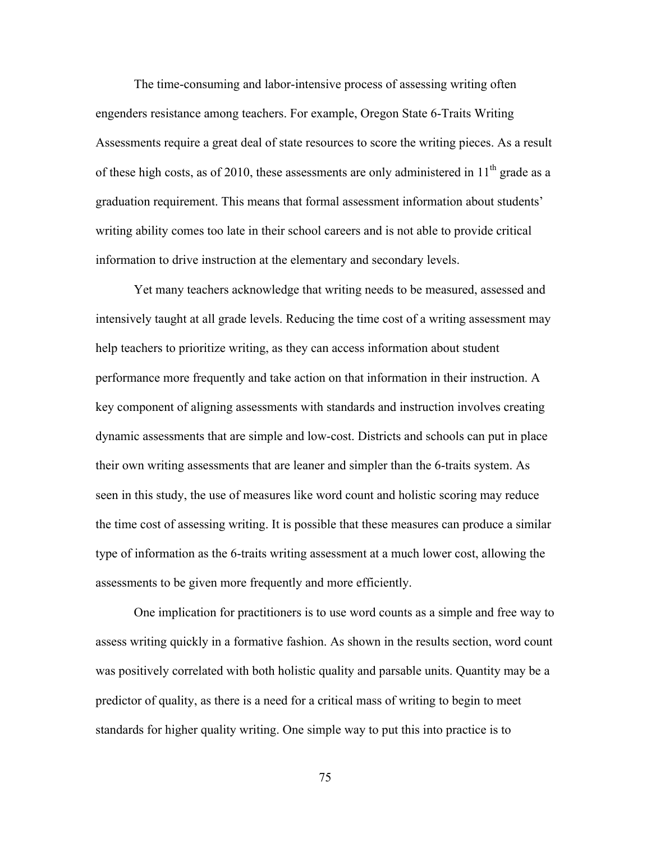The time-consuming and labor-intensive process of assessing writing often engenders resistance among teachers. For example, Oregon State 6-Traits Writing Assessments require a great deal of state resources to score the writing pieces. As a result of these high costs, as of 2010, these assessments are only administered in  $11<sup>th</sup>$  grade as a graduation requirement. This means that formal assessment information about students' writing ability comes too late in their school careers and is not able to provide critical information to drive instruction at the elementary and secondary levels.

Yet many teachers acknowledge that writing needs to be measured, assessed and intensively taught at all grade levels. Reducing the time cost of a writing assessment may help teachers to prioritize writing, as they can access information about student performance more frequently and take action on that information in their instruction. A key component of aligning assessments with standards and instruction involves creating dynamic assessments that are simple and low-cost. Districts and schools can put in place their own writing assessments that are leaner and simpler than the 6-traits system. As seen in this study, the use of measures like word count and holistic scoring may reduce the time cost of assessing writing. It is possible that these measures can produce a similar type of information as the 6-traits writing assessment at a much lower cost, allowing the assessments to be given more frequently and more efficiently.

One implication for practitioners is to use word counts as a simple and free way to assess writing quickly in a formative fashion. As shown in the results section, word count was positively correlated with both holistic quality and parsable units. Quantity may be a predictor of quality, as there is a need for a critical mass of writing to begin to meet standards for higher quality writing. One simple way to put this into practice is to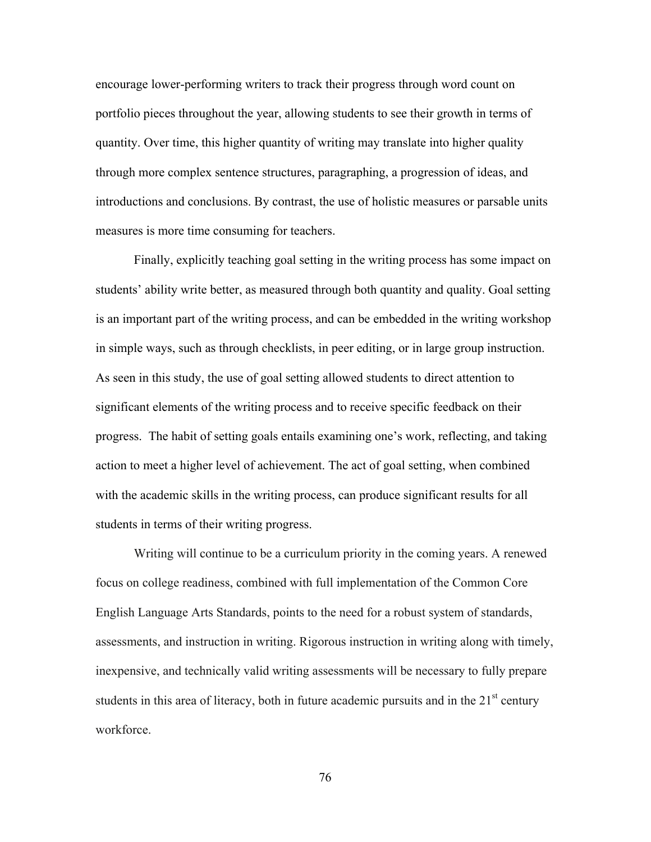encourage lower-performing writers to track their progress through word count on portfolio pieces throughout the year, allowing students to see their growth in terms of quantity. Over time, this higher quantity of writing may translate into higher quality through more complex sentence structures, paragraphing, a progression of ideas, and introductions and conclusions. By contrast, the use of holistic measures or parsable units measures is more time consuming for teachers.

Finally, explicitly teaching goal setting in the writing process has some impact on students' ability write better, as measured through both quantity and quality. Goal setting is an important part of the writing process, and can be embedded in the writing workshop in simple ways, such as through checklists, in peer editing, or in large group instruction. As seen in this study, the use of goal setting allowed students to direct attention to significant elements of the writing process and to receive specific feedback on their progress. The habit of setting goals entails examining one's work, reflecting, and taking action to meet a higher level of achievement. The act of goal setting, when combined with the academic skills in the writing process, can produce significant results for all students in terms of their writing progress.

Writing will continue to be a curriculum priority in the coming years. A renewed focus on college readiness, combined with full implementation of the Common Core English Language Arts Standards, points to the need for a robust system of standards, assessments, and instruction in writing. Rigorous instruction in writing along with timely, inexpensive, and technically valid writing assessments will be necessary to fully prepare students in this area of literacy, both in future academic pursuits and in the  $21<sup>st</sup>$  century workforce.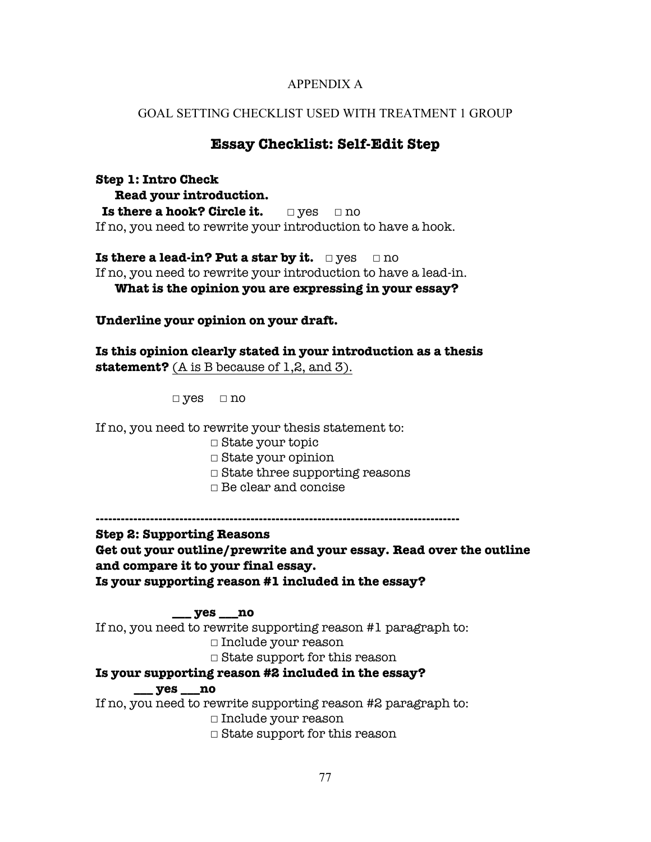## APPENDIX A

## GOAL SETTING CHECKLIST USED WITH TREATMENT 1 GROUP

# **Essay Checklist: Self-Edit Step**

**Step 1: Intro Check Read your introduction. Is there a hook? Circle it.** □ yes □ no If no, you need to rewrite your introduction to have a hook.

**Is there a lead-in? Put a star by it.** □ yes □ no If no, you need to rewrite your introduction to have a lead-in. **What is the opinion you are expressing in your essay?**

**Underline your opinion on your draft.**

**Is this opinion clearly stated in your introduction as a thesis statement?** (A is B because of 1,2, and 3).

**☐** yes **☐** no

If no, you need to rewrite your thesis statement to:

- **☐** State your topic
- **☐** State your opinion
- **☐** State three supporting reasons
- **☐** Be clear and concise

**---------------------------------------------------------------------------------------**

**Step 2: Supporting Reasons** 

**Get out your outline/prewrite and your essay. Read over the outline and compare it to your final essay. Is your supporting reason #1 included in the essay?**

### **\_\_\_ yes \_\_\_no**

If no, you need to rewrite supporting reason #1 paragraph to: **☐** Include your reason

**☐** State support for this reason

**Is your supporting reason #2 included in the essay?**

## **\_\_\_ yes \_\_\_no**

If no, you need to rewrite supporting reason #2 paragraph to:

**☐** Include your reason

**☐** State support for this reason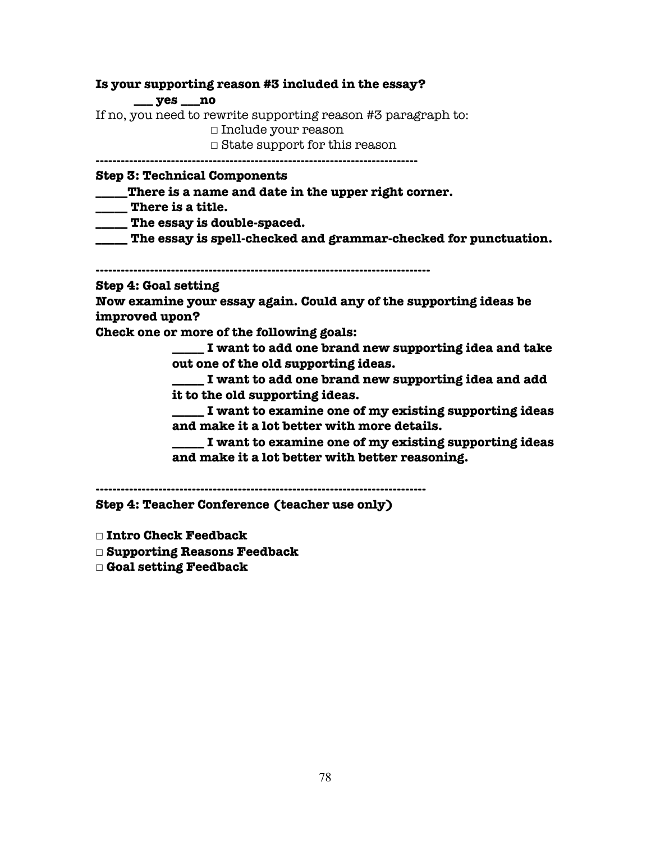**Is your supporting reason #3 included in the essay?**

**\_\_\_ yes \_\_\_no**

If no, you need to rewrite supporting reason #3 paragraph to:

**☐** Include your reason

**☐** State support for this reason

**-----------------------------------------------------------------------------**

**Step 3: Technical Components**

- **\_\_\_\_\_There is a name and date in the upper right corner.**
- **\_\_\_\_\_ There is a title.**

**\_\_\_\_\_ The essay is double-spaced.**

**\_\_\_\_\_ The essay is spell-checked and grammar-checked for punctuation.**

**--------------------------------------------------------------------------------**

**Step 4: Goal setting**

**Now examine your essay again. Could any of the supporting ideas be improved upon?**

**Check one or more of the following goals:**

**\_\_\_\_\_ I want to add one brand new supporting idea and take out one of the old supporting ideas.**

**\_\_\_\_\_ I want to add one brand new supporting idea and add it to the old supporting ideas.** 

**\_\_\_\_\_ I want to examine one of my existing supporting ideas and make it a lot better with more details.** 

**\_\_\_\_\_ I want to examine one of my existing supporting ideas and make it a lot better with better reasoning.** 

**-------------------------------------------------------------------------------**

**Step 4: Teacher Conference (teacher use only)**

- **☐ Intro Check Feedback**
- **☐ Supporting Reasons Feedback**
- **☐ Goal setting Feedback**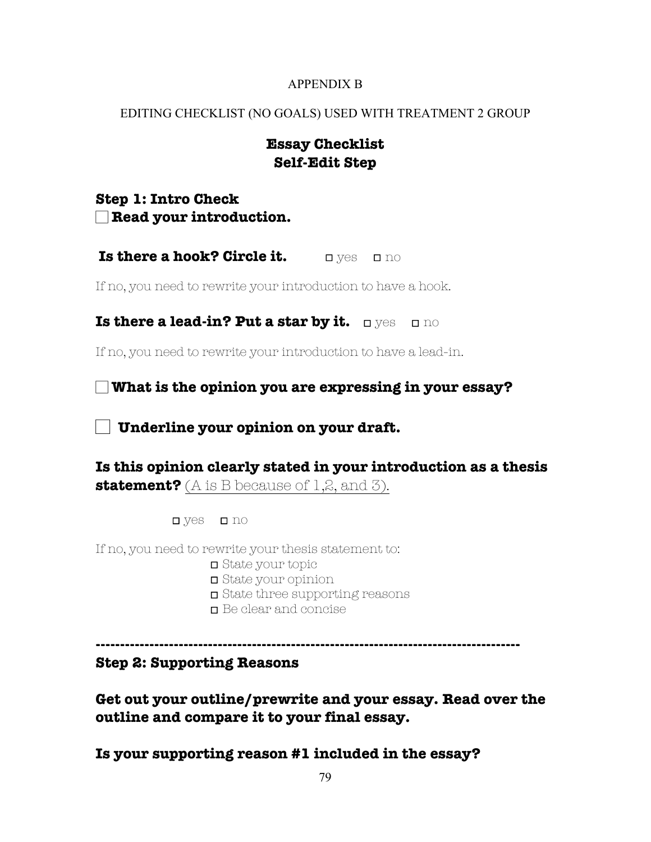# APPENDIX B

# EDITING CHECKLIST (NO GOALS) USED WITH TREATMENT 2 GROUP

# **Essay Checklist Self-Edit Step**

**Step 1: Intro Check** ☐ **Read your introduction.**

**Is there a hook? Circle it. □ Ves □ no** 

If no, you need to rewrite your introduction to have a hook.

**Is there a lead-in? Put a star by it. ☐** yes **☐** no

If no, you need to rewrite your introduction to have a lead-in.

☐ **What is the opinion you are expressing in your essay?**

☐ **Underline your opinion on your draft.**

**Is this opinion clearly stated in your introduction as a thesis statement?** (A is B because of 1,2, and 3).

**☐** yes **☐** no

If no, you need to rewrite your thesis statement to:

- **☐** State your topic
- **☐** State your opinion
- **☐** State three supporting reasons
- **☐** Be clear and concise

**---------------------------------------------------------------------------------------**

# **Step 2: Supporting Reasons**

**Get out your outline/prewrite and your essay. Read over the outline and compare it to your final essay.**

**Is your supporting reason #1 included in the essay?**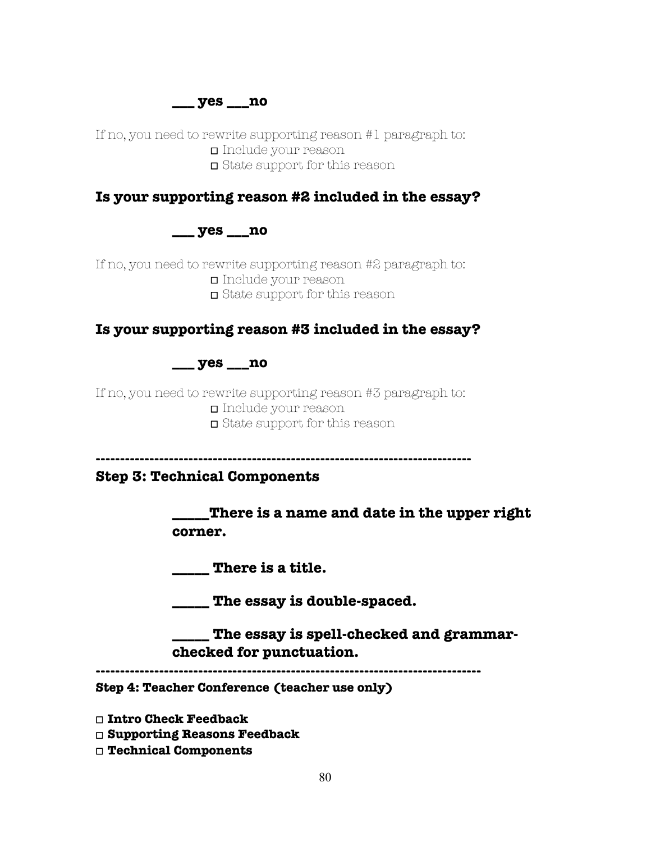**\_\_\_ yes \_\_\_no**

If no, you need to rewrite supporting reason #1 paragraph to: **☐** Include your reason **☐** State support for this reason

# **Is your supporting reason #2 included in the essay?**

**\_\_\_ yes \_\_\_no**

If no, you need to rewrite supporting reason #2 paragraph to: **☐** Include your reason **☐** State support for this reason

# **Is your supporting reason #3 included in the essay?**

# **\_\_\_ yes \_\_\_no**

If no, you need to rewrite supporting reason #3 paragraph to: **☐** Include your reason **☐** State support for this reason

**-----------------------------------------------------------------------------**

**Step 3: Technical Components**

**\_\_\_\_\_There is a name and date in the upper right corner.**

**\_\_\_\_\_ There is a title.**

**\_\_\_\_\_ The essay is double-spaced.**

**\_\_\_\_\_ The essay is spell-checked and grammarchecked for punctuation.** 

**-------------------------------------------------------------------------------**

**Step 4: Teacher Conference (teacher use only)**

**☐ Intro Check Feedback**

**☐ Supporting Reasons Feedback**

**☐ Technical Components**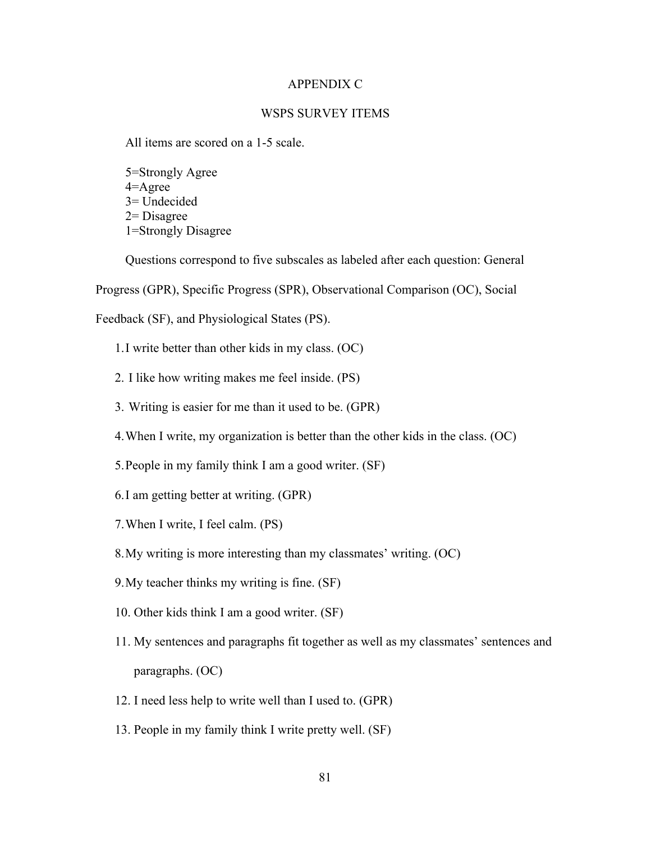#### APPENDIX C

### WSPS SURVEY ITEMS

All items are scored on a 1-5 scale.

5=Strongly Agree 4=Agree 3= Undecided 2= Disagree 1=Strongly Disagree

Questions correspond to five subscales as labeled after each question: General

Progress (GPR), Specific Progress (SPR), Observational Comparison (OC), Social

Feedback (SF), and Physiological States (PS).

- 1.I write better than other kids in my class. (OC)
- 2. I like how writing makes me feel inside. (PS)
- 3. Writing is easier for me than it used to be. (GPR)
- 4.When I write, my organization is better than the other kids in the class. (OC)
- 5.People in my family think I am a good writer. (SF)
- 6.I am getting better at writing. (GPR)
- 7.When I write, I feel calm. (PS)
- 8.My writing is more interesting than my classmates' writing. (OC)
- 9.My teacher thinks my writing is fine. (SF)
- 10. Other kids think I am a good writer. (SF)
- 11. My sentences and paragraphs fit together as well as my classmates' sentences and paragraphs. (OC)
- 12. I need less help to write well than I used to. (GPR)
- 13. People in my family think I write pretty well. (SF)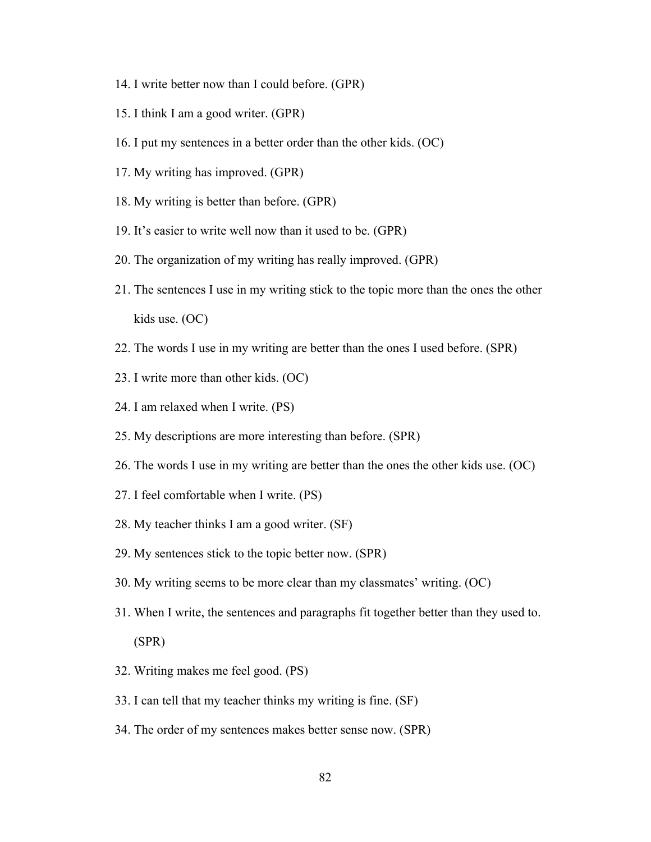- 14. I write better now than I could before. (GPR)
- 15. I think I am a good writer. (GPR)
- 16. I put my sentences in a better order than the other kids. (OC)
- 17. My writing has improved. (GPR)
- 18. My writing is better than before. (GPR)
- 19. It's easier to write well now than it used to be. (GPR)
- 20. The organization of my writing has really improved. (GPR)
- 21. The sentences I use in my writing stick to the topic more than the ones the other kids use. (OC)
- 22. The words I use in my writing are better than the ones I used before. (SPR)
- 23. I write more than other kids. (OC)
- 24. I am relaxed when I write. (PS)
- 25. My descriptions are more interesting than before. (SPR)
- 26. The words I use in my writing are better than the ones the other kids use. (OC)
- 27. I feel comfortable when I write. (PS)
- 28. My teacher thinks I am a good writer. (SF)
- 29. My sentences stick to the topic better now. (SPR)
- 30. My writing seems to be more clear than my classmates' writing. (OC)
- 31. When I write, the sentences and paragraphs fit together better than they used to. (SPR)
- 32. Writing makes me feel good. (PS)
- 33. I can tell that my teacher thinks my writing is fine. (SF)
- 34. The order of my sentences makes better sense now. (SPR)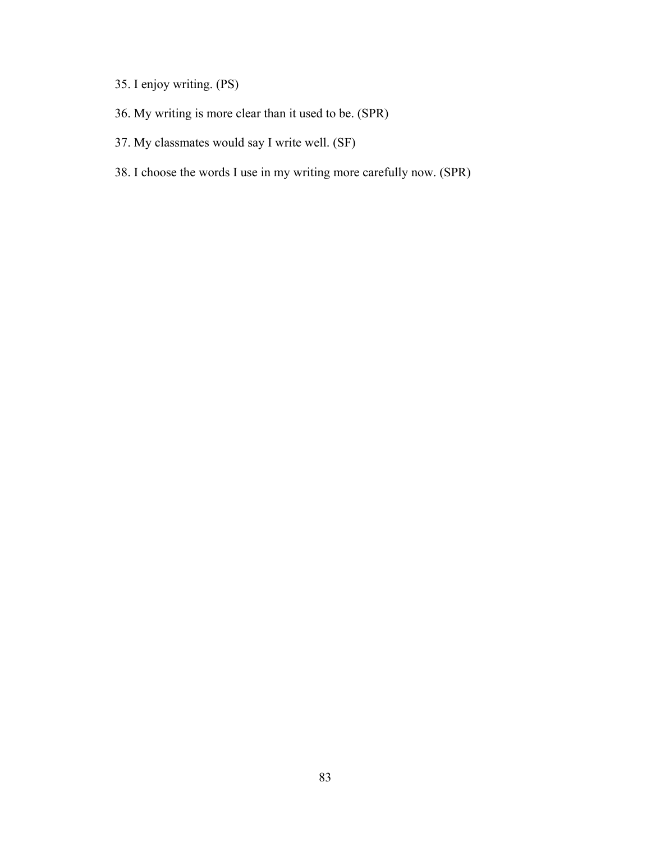- 35. I enjoy writing. (PS)
- 36. My writing is more clear than it used to be. (SPR)
- 37. My classmates would say I write well. (SF)
- 38. I choose the words I use in my writing more carefully now. (SPR)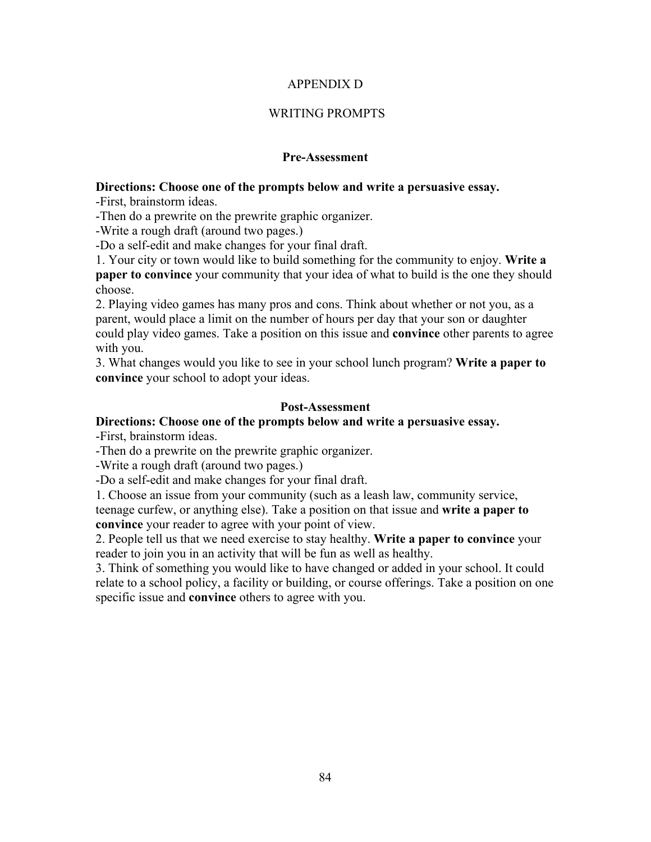## APPENDIX D

# WRITING PROMPTS

## **Pre-Assessment**

## **Directions: Choose one of the prompts below and write a persuasive essay.**

-First, brainstorm ideas.

-Then do a prewrite on the prewrite graphic organizer.

-Write a rough draft (around two pages.)

-Do a self-edit and make changes for your final draft.

1. Your city or town would like to build something for the community to enjoy. **Write a paper to convince** your community that your idea of what to build is the one they should choose.

2. Playing video games has many pros and cons. Think about whether or not you, as a parent, would place a limit on the number of hours per day that your son or daughter could play video games. Take a position on this issue and **convince** other parents to agree with you.

3. What changes would you like to see in your school lunch program? **Write a paper to convince** your school to adopt your ideas.

## **Post-Assessment**

# **Directions: Choose one of the prompts below and write a persuasive essay.**

-First, brainstorm ideas.

-Then do a prewrite on the prewrite graphic organizer.

-Write a rough draft (around two pages.)

-Do a self-edit and make changes for your final draft.

1. Choose an issue from your community (such as a leash law, community service, teenage curfew, or anything else). Take a position on that issue and **write a paper to convince** your reader to agree with your point of view.

2. People tell us that we need exercise to stay healthy. **Write a paper to convince** your reader to join you in an activity that will be fun as well as healthy.

3. Think of something you would like to have changed or added in your school. It could relate to a school policy, a facility or building, or course offerings. Take a position on one specific issue and **convince** others to agree with you.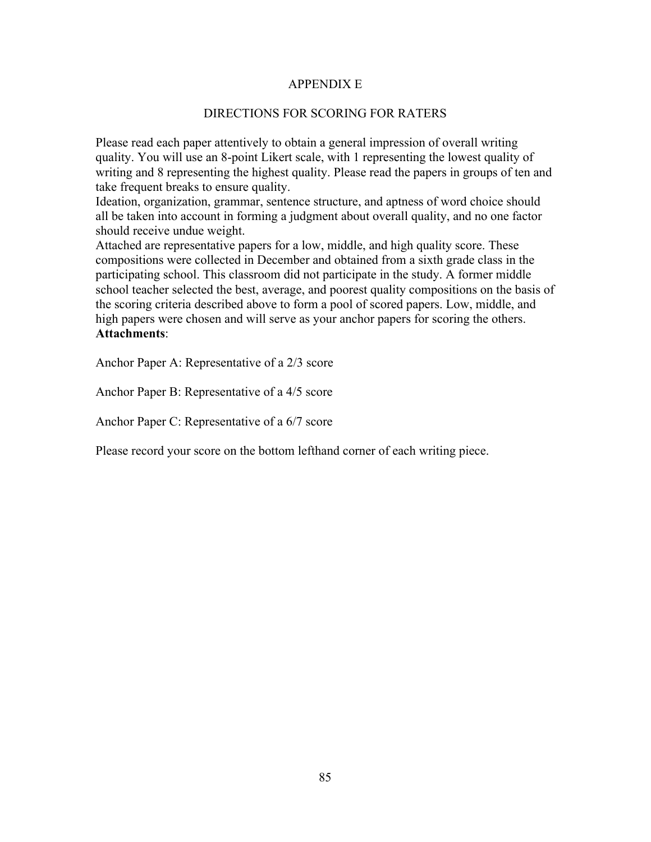## APPENDIX E

## DIRECTIONS FOR SCORING FOR RATERS

Please read each paper attentively to obtain a general impression of overall writing quality. You will use an 8-point Likert scale, with 1 representing the lowest quality of writing and 8 representing the highest quality. Please read the papers in groups of ten and take frequent breaks to ensure quality.

Ideation, organization, grammar, sentence structure, and aptness of word choice should all be taken into account in forming a judgment about overall quality, and no one factor should receive undue weight.

Attached are representative papers for a low, middle, and high quality score. These compositions were collected in December and obtained from a sixth grade class in the participating school. This classroom did not participate in the study. A former middle school teacher selected the best, average, and poorest quality compositions on the basis of the scoring criteria described above to form a pool of scored papers. Low, middle, and high papers were chosen and will serve as your anchor papers for scoring the others. **Attachments**:

Anchor Paper A: Representative of a 2/3 score

Anchor Paper B: Representative of a 4/5 score

Anchor Paper C: Representative of a 6/7 score

Please record your score on the bottom lefthand corner of each writing piece.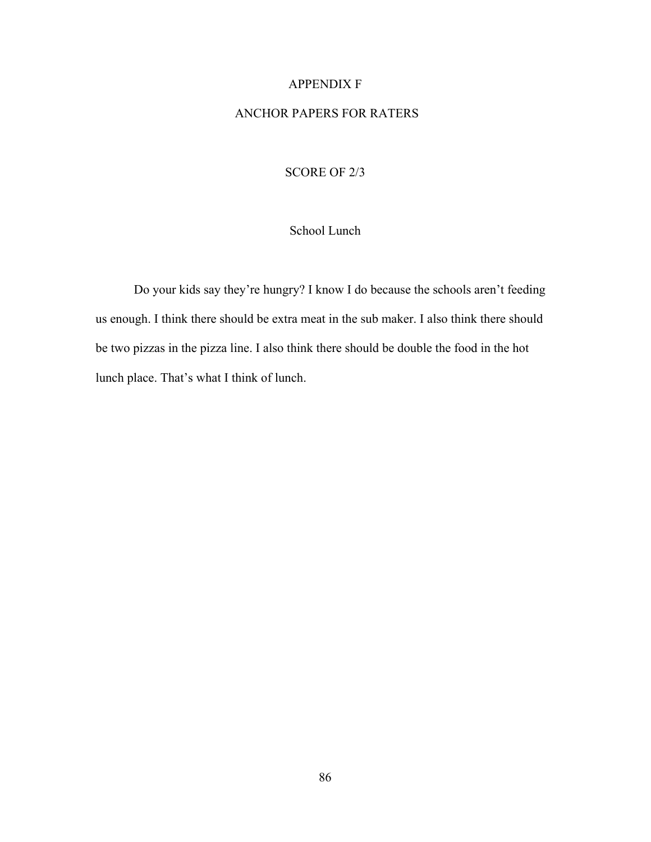### APPENDIX F

## ANCHOR PAPERS FOR RATERS

## SCORE OF 2/3

# School Lunch

Do your kids say they're hungry? I know I do because the schools aren't feeding us enough. I think there should be extra meat in the sub maker. I also think there should be two pizzas in the pizza line. I also think there should be double the food in the hot lunch place. That's what I think of lunch.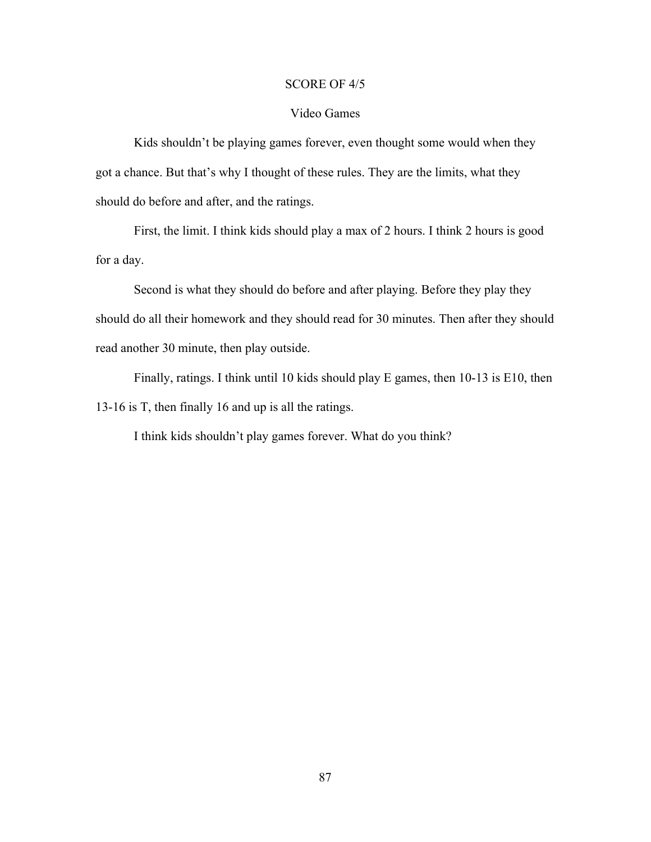### SCORE OF 4/5

### Video Games

Kids shouldn't be playing games forever, even thought some would when they got a chance. But that's why I thought of these rules. They are the limits, what they should do before and after, and the ratings.

First, the limit. I think kids should play a max of 2 hours. I think 2 hours is good for a day.

Second is what they should do before and after playing. Before they play they should do all their homework and they should read for 30 minutes. Then after they should read another 30 minute, then play outside.

Finally, ratings. I think until 10 kids should play E games, then 10-13 is E10, then 13-16 is T, then finally 16 and up is all the ratings.

I think kids shouldn't play games forever. What do you think?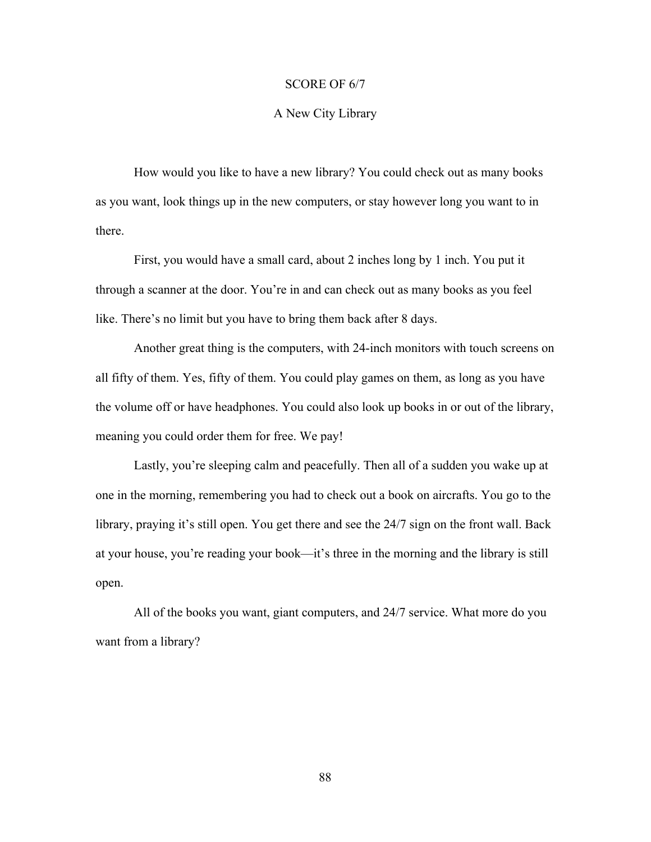#### SCORE OF 6/7

#### A New City Library

How would you like to have a new library? You could check out as many books as you want, look things up in the new computers, or stay however long you want to in there.

First, you would have a small card, about 2 inches long by 1 inch. You put it through a scanner at the door. You're in and can check out as many books as you feel like. There's no limit but you have to bring them back after 8 days.

Another great thing is the computers, with 24-inch monitors with touch screens on all fifty of them. Yes, fifty of them. You could play games on them, as long as you have the volume off or have headphones. You could also look up books in or out of the library, meaning you could order them for free. We pay!

Lastly, you're sleeping calm and peacefully. Then all of a sudden you wake up at one in the morning, remembering you had to check out a book on aircrafts. You go to the library, praying it's still open. You get there and see the 24/7 sign on the front wall. Back at your house, you're reading your book—it's three in the morning and the library is still open.

All of the books you want, giant computers, and 24/7 service. What more do you want from a library?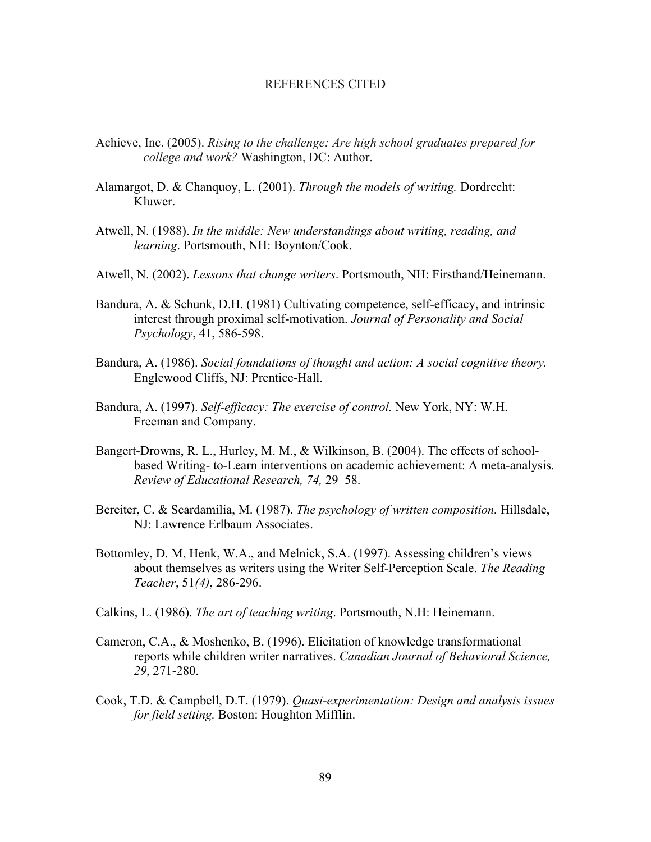#### REFERENCES CITED

- Achieve, Inc. (2005). *Rising to the challenge: Are high school graduates prepared for college and work?* Washington, DC: Author.
- Alamargot, D. & Chanquoy, L. (2001). *Through the models of writing.* Dordrecht: Kluwer.
- Atwell, N. (1988). *In the middle: New understandings about writing, reading, and learning*. Portsmouth, NH: Boynton/Cook.
- Atwell, N. (2002). *Lessons that change writers*. Portsmouth, NH: Firsthand/Heinemann.
- Bandura, A. & Schunk, D.H. (1981) Cultivating competence, self-efficacy, and intrinsic interest through proximal self-motivation. *Journal of Personality and Social Psychology*, 41, 586-598.
- Bandura, A. (1986). *Social foundations of thought and action: A social cognitive theory.* Englewood Cliffs, NJ: Prentice-Hall.
- Bandura, A. (1997). *Self-efficacy: The exercise of control.* New York, NY: W.H. Freeman and Company.
- Bangert-Drowns, R. L., Hurley, M. M., & Wilkinson, B. (2004). The effects of schoolbased Writing- to-Learn interventions on academic achievement: A meta-analysis. *Review of Educational Research, 74,* 29–58.
- Bereiter, C. & Scardamilia, M. (1987). *The psychology of written composition.* Hillsdale, NJ: Lawrence Erlbaum Associates.
- Bottomley, D. M, Henk, W.A., and Melnick, S.A. (1997). Assessing children's views about themselves as writers using the Writer Self-Perception Scale. *The Reading Teacher*, 51*(4)*, 286-296.
- Calkins, L. (1986). *The art of teaching writing*. Portsmouth, N.H: Heinemann.
- Cameron, C.A., & Moshenko, B. (1996). Elicitation of knowledge transformational reports while children writer narratives. *Canadian Journal of Behavioral Science, 29*, 271-280.
- Cook, T.D. & Campbell, D.T. (1979). *Quasi-experimentation: Design and analysis issues for field setting.* Boston: Houghton Mifflin.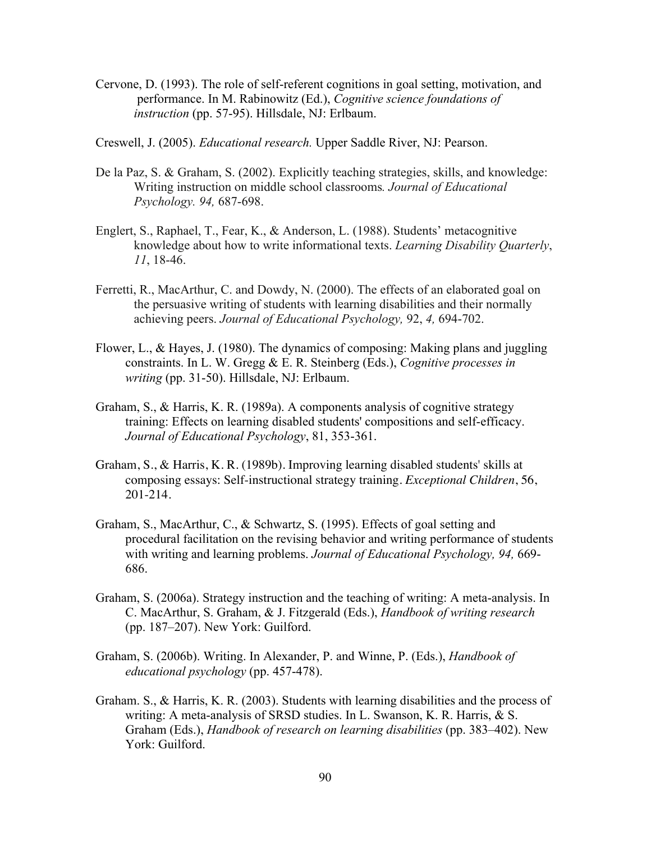- Cervone, D. (1993). The role of self-referent cognitions in goal setting, motivation, and performance. In M. Rabinowitz (Ed.), *Cognitive science foundations of instruction* (pp. 57-95). Hillsdale, NJ: Erlbaum.
- Creswell, J. (2005). *Educational research.* Upper Saddle River, NJ: Pearson.
- De la Paz, S. & Graham, S. (2002). Explicitly teaching strategies, skills, and knowledge: Writing instruction on middle school classrooms*. Journal of Educational Psychology. 94,* 687-698.
- Englert, S., Raphael, T., Fear, K., & Anderson, L. (1988). Students' metacognitive knowledge about how to write informational texts. *Learning Disability Quarterly*, *11*, 18-46.
- Ferretti, R., MacArthur, C. and Dowdy, N. (2000). The effects of an elaborated goal on the persuasive writing of students with learning disabilities and their normally achieving peers. *Journal of Educational Psychology,* 92, *4,* 694-702.
- Flower, L., & Hayes, J. (1980). The dynamics of composing: Making plans and juggling constraints. In L. W. Gregg & E. R. Steinberg (Eds.), *Cognitive processes in writing* (pp. 31-50). Hillsdale, NJ: Erlbaum.
- Graham, S., & Harris, K. R. (1989a). A components analysis of cognitive strategy training: Effects on learning disabled students' compositions and self-efficacy. *Journal of Educational Psychology*, 81, 353-361.
- Graham, S., & Harris, K. R. (1989b). Improving learning disabled students' skills at composing essays: Self-instructional strategy training. *Exceptional Children*, 56, 201-214.
- Graham, S., MacArthur, C., & Schwartz, S. (1995). Effects of goal setting and procedural facilitation on the revising behavior and writing performance of students with writing and learning problems. *Journal of Educational Psychology, 94,* 669- 686.
- Graham, S. (2006a). Strategy instruction and the teaching of writing: A meta-analysis. In C. MacArthur, S. Graham, & J. Fitzgerald (Eds.), *Handbook of writing research* (pp. 187–207). New York: Guilford.
- Graham, S. (2006b). Writing. In Alexander, P. and Winne, P. (Eds.), *Handbook of educational psychology* (pp. 457-478).
- Graham. S., & Harris, K. R. (2003). Students with learning disabilities and the process of writing: A meta-analysis of SRSD studies. In L. Swanson, K. R. Harris, & S. Graham (Eds.), *Handbook of research on learning disabilities* (pp. 383–402). New York: Guilford.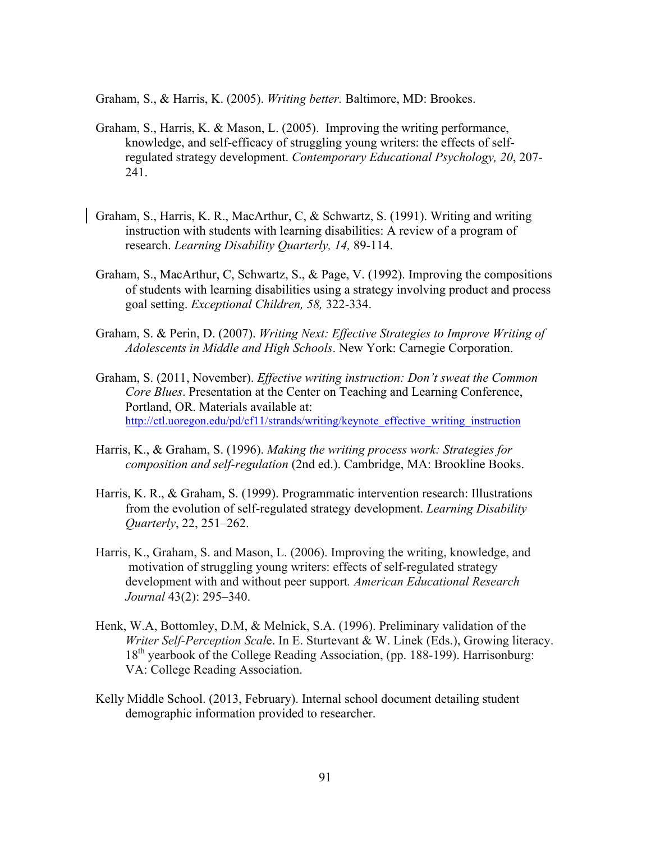Graham, S., & Harris, K. (2005). *Writing better.* Baltimore, MD: Brookes.

- Graham, S., Harris, K. & Mason, L. (2005). Improving the writing performance, knowledge, and self-efficacy of struggling young writers: the effects of selfregulated strategy development. *Contemporary Educational Psychology, 20*, 207- 241.
- Graham, S., Harris, K. R., MacArthur, C, & Schwartz, S. (1991). Writing and writing instruction with students with learning disabilities: A review of a program of research. *Learning Disability Quarterly, 14,* 89-114.
- Graham, S., MacArthur, C, Schwartz, S., & Page, V. (1992). Improving the compositions of students with learning disabilities using a strategy involving product and process goal setting. *Exceptional Children, 58,* 322-334.
- Graham, S. & Perin, D. (2007). *Writing Next: Effective Strategies to Improve Writing of Adolescents in Middle and High Schools*. New York: Carnegie Corporation.
- Graham, S. (2011, November). *Effective writing instruction: Don't sweat the Common Core Blues*. Presentation at the Center on Teaching and Learning Conference, Portland, OR. Materials available at: http://ctl.uoregon.edu/pd/cf11/strands/writing/keynote\_effective\_writing\_instruction
- Harris, K., & Graham, S. (1996). *Making the writing process work: Strategies for composition and self-regulation* (2nd ed.). Cambridge, MA: Brookline Books.
- Harris, K. R., & Graham, S. (1999). Programmatic intervention research: Illustrations from the evolution of self-regulated strategy development. *Learning Disability Quarterly*, 22, 251–262.
- Harris, K., Graham, S. and Mason, L. (2006). Improving the writing, knowledge, and motivation of struggling young writers: effects of self-regulated strategy development with and without peer support*. American Educational Research Journal* 43(2): 295–340.
- Henk, W.A, Bottomley, D.M, & Melnick, S.A. (1996). Preliminary validation of the *Writer Self-Perception Scal*e. In E. Sturtevant & W. Linek (Eds.), Growing literacy. 18<sup>th</sup> vearbook of the College Reading Association, (pp. 188-199). Harrisonburg: VA: College Reading Association.
- Kelly Middle School. (2013, February). Internal school document detailing student demographic information provided to researcher.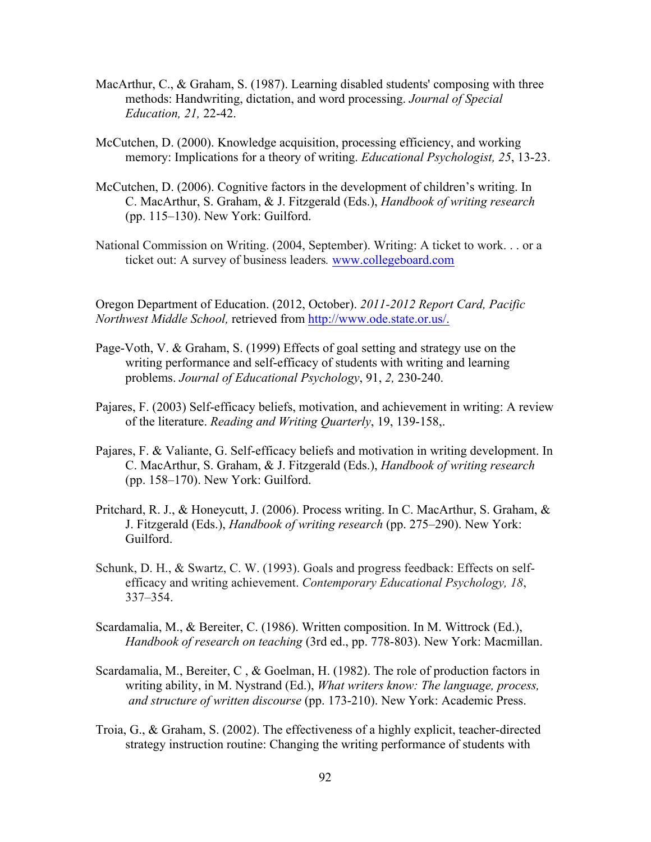- MacArthur, C., & Graham, S. (1987). Learning disabled students' composing with three methods: Handwriting, dictation, and word processing. *Journal of Special Education, 21,* 22-42.
- McCutchen, D. (2000). Knowledge acquisition, processing efficiency, and working memory: Implications for a theory of writing. *Educational Psychologist, 25*, 13-23.
- McCutchen, D. (2006). Cognitive factors in the development of children's writing. In C. MacArthur, S. Graham, & J. Fitzgerald (Eds.), *Handbook of writing research* (pp. 115–130). New York: Guilford.
- National Commission on Writing. (2004, September). Writing: A ticket to work. . . or a ticket out: A survey of business leaders*.* www.collegeboard.com

Oregon Department of Education. (2012, October). *2011-2012 Report Card, Pacific Northwest Middle School,* retrieved from http://www.ode.state.or.us/.

- Page-Voth, V. & Graham, S. (1999) Effects of goal setting and strategy use on the writing performance and self-efficacy of students with writing and learning problems. *Journal of Educational Psychology*, 91, *2,* 230-240.
- Pajares, F. (2003) Self-efficacy beliefs, motivation, and achievement in writing: A review of the literature. *Reading and Writing Quarterly*, 19, 139-158,.
- Pajares, F. & Valiante, G. Self-efficacy beliefs and motivation in writing development. In C. MacArthur, S. Graham, & J. Fitzgerald (Eds.), *Handbook of writing research* (pp. 158–170). New York: Guilford.
- Pritchard, R. J., & Honeycutt, J. (2006). Process writing. In C. MacArthur, S. Graham, & J. Fitzgerald (Eds.), *Handbook of writing research* (pp. 275–290). New York: Guilford.
- Schunk, D. H., & Swartz, C. W. (1993). Goals and progress feedback: Effects on selfefficacy and writing achievement. *Contemporary Educational Psychology, 18*, 337–354.
- Scardamalia, M., & Bereiter, C. (1986). Written composition. In M. Wittrock (Ed.), *Handbook of research on teaching* (3rd ed., pp. 778-803). New York: Macmillan.
- Scardamalia, M., Bereiter, C , & Goelman, H. (1982). The role of production factors in writing ability, in M. Nystrand (Ed.), *What writers know: The language, process, and structure of written discourse* (pp. 173-210). New York: Academic Press.
- Troia, G., & Graham, S. (2002). The effectiveness of a highly explicit, teacher-directed strategy instruction routine: Changing the writing performance of students with